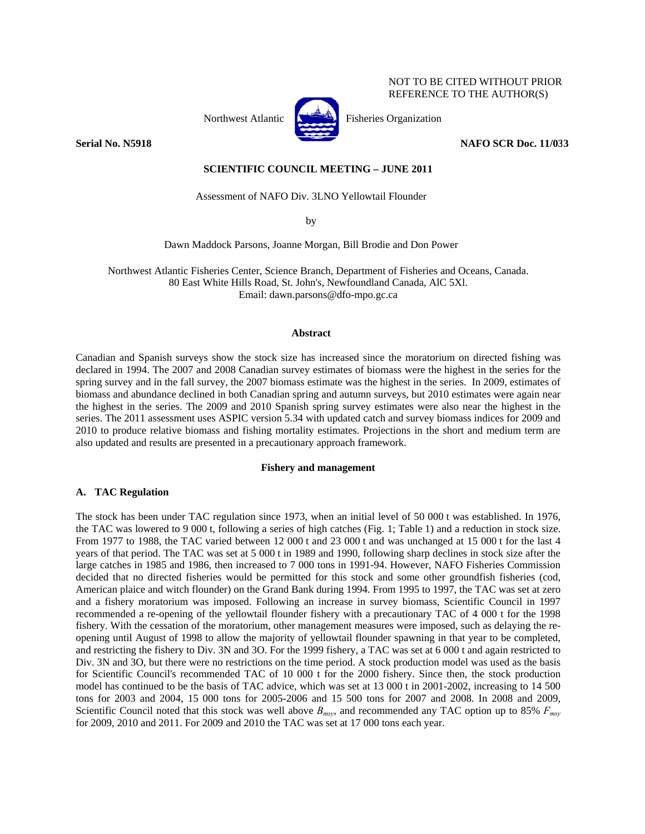# NOT TO BE CITED WITHOUT PRIOR REFERENCE TO THE AUTHOR(S)



Northwest Atlantic  $\begin{bmatrix} 1 & 1 \\ 1 & 1 \end{bmatrix}$  Fisheries Organization

**Serial No. N5918 NAFO SCR Doc. 11/033** 

**SCIENTIFIC COUNCIL MEETING – JUNE 2011** 

Assessment of NAFO Div. 3LNO Yellowtail Flounder

by

Dawn Maddock Parsons, Joanne Morgan, Bill Brodie and Don Power

Northwest Atlantic Fisheries Center, Science Branch, Department of Fisheries and Oceans, Canada. 80 East White Hills Road, St. John's, Newfoundland Canada, AlC 5Xl. Email: dawn.parsons@dfo-mpo.gc.ca

#### **Abstract**

Canadian and Spanish surveys show the stock size has increased since the moratorium on directed fishing was declared in 1994. The 2007 and 2008 Canadian survey estimates of biomass were the highest in the series for the spring survey and in the fall survey, the 2007 biomass estimate was the highest in the series. In 2009, estimates of biomass and abundance declined in both Canadian spring and autumn surveys, but 2010 estimates were again near the highest in the series. The 2009 and 2010 Spanish spring survey estimates were also near the highest in the series. The 2011 assessment uses ASPIC version 5.34 with updated catch and survey biomass indices for 2009 and 2010 to produce relative biomass and fishing mortality estimates. Projections in the short and medium term are also updated and results are presented in a precautionary approach framework.

## **Fishery and management**

# **A. TAC Regulation**

The stock has been under TAC regulation since 1973, when an initial level of 50 000 t was established. In 1976, the TAC was lowered to 9 000 t, following a series of high catches (Fig. 1; Table 1) and a reduction in stock size. From 1977 to 1988, the TAC varied between 12 000 t and 23 000 t and was unchanged at 15 000 t for the last 4 years of that period. The TAC was set at 5 000 t in 1989 and 1990, following sharp declines in stock size after the large catches in 1985 and 1986, then increased to 7 000 tons in 1991-94. However, NAFO Fisheries Commission decided that no directed fisheries would be permitted for this stock and some other groundfish fisheries (cod, American plaice and witch flounder) on the Grand Bank during 1994. From 1995 to 1997, the TAC was set at zero and a fishery moratorium was imposed. Following an increase in survey biomass, Scientific Council in 1997 recommended a re-opening of the yellowtail flounder fishery with a precautionary TAC of 4 000 t for the 1998 fishery. With the cessation of the moratorium, other management measures were imposed, such as delaying the reopening until August of 1998 to allow the majority of yellowtail flounder spawning in that year to be completed, and restricting the fishery to Div. 3N and 3O. For the 1999 fishery, a TAC was set at 6 000 t and again restricted to Div. 3N and 3O, but there were no restrictions on the time period. A stock production model was used as the basis for Scientific Council's recommended TAC of 10 000 t for the 2000 fishery. Since then, the stock production model has continued to be the basis of TAC advice, which was set at 13 000 t in 2001-2002, increasing to 14 500 tons for 2003 and 2004, 15 000 tons for 2005-2006 and 15 500 tons for 2007 and 2008. In 2008 and 2009, Scientific Council noted that this stock was well above *Bmsy*, and recommended any TAC option up to 85% *Fmsy* for 2009, 2010 and 2011. For 2009 and 2010 the TAC was set at 17 000 tons each year.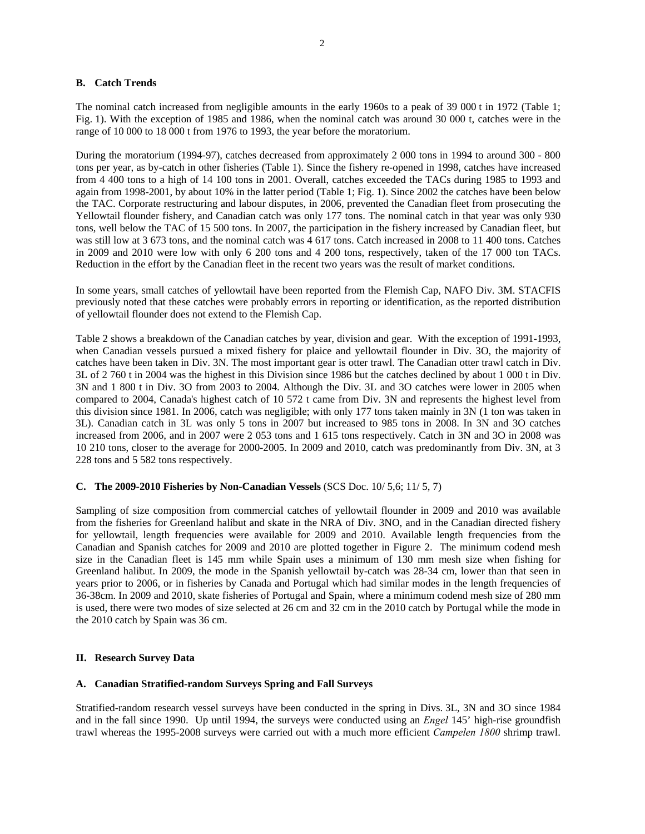# **B. Catch Trends**

The nominal catch increased from negligible amounts in the early 1960s to a peak of 39 000 t in 1972 (Table 1; Fig. 1). With the exception of 1985 and 1986, when the nominal catch was around 30 000 t, catches were in the range of 10 000 to 18 000 t from 1976 to 1993, the year before the moratorium.

During the moratorium (1994-97), catches decreased from approximately 2 000 tons in 1994 to around 300 - 800 tons per year, as by-catch in other fisheries (Table 1). Since the fishery re-opened in 1998, catches have increased from 4 400 tons to a high of 14 100 tons in 2001. Overall, catches exceeded the TACs during 1985 to 1993 and again from 1998-2001, by about 10% in the latter period (Table 1; Fig. 1). Since 2002 the catches have been below the TAC. Corporate restructuring and labour disputes, in 2006, prevented the Canadian fleet from prosecuting the Yellowtail flounder fishery, and Canadian catch was only 177 tons. The nominal catch in that year was only 930 tons, well below the TAC of 15 500 tons. In 2007, the participation in the fishery increased by Canadian fleet, but was still low at 3 673 tons, and the nominal catch was 4 617 tons. Catch increased in 2008 to 11 400 tons. Catches in 2009 and 2010 were low with only 6 200 tons and 4 200 tons, respectively, taken of the 17 000 ton TACs. Reduction in the effort by the Canadian fleet in the recent two years was the result of market conditions.

In some years, small catches of yellowtail have been reported from the Flemish Cap, NAFO Div. 3M. STACFIS previously noted that these catches were probably errors in reporting or identification, as the reported distribution of yellowtail flounder does not extend to the Flemish Cap.

Table 2 shows a breakdown of the Canadian catches by year, division and gear. With the exception of 1991-1993, when Canadian vessels pursued a mixed fishery for plaice and yellowtail flounder in Div. 3O, the majority of catches have been taken in Div. 3N. The most important gear is otter trawl. The Canadian otter trawl catch in Div. 3L of 2 760 t in 2004 was the highest in this Division since 1986 but the catches declined by about 1 000 t in Div. 3N and 1 800 t in Div. 3O from 2003 to 2004. Although the Div. 3L and 3O catches were lower in 2005 when compared to 2004, Canada's highest catch of 10 572 t came from Div. 3N and represents the highest level from this division since 1981. In 2006, catch was negligible; with only 177 tons taken mainly in 3N (1 ton was taken in 3L). Canadian catch in 3L was only 5 tons in 2007 but increased to 985 tons in 2008. In 3N and 3O catches increased from 2006, and in 2007 were 2 053 tons and 1 615 tons respectively. Catch in 3N and 3O in 2008 was 10 210 tons, closer to the average for 2000-2005. In 2009 and 2010, catch was predominantly from Div. 3N, at 3 228 tons and 5 582 tons respectively.

# **C. The 2009-2010 Fisheries by Non-Canadian Vessels** (SCS Doc. 10/ 5,6; 11/ 5, 7)

Sampling of size composition from commercial catches of yellowtail flounder in 2009 and 2010 was available from the fisheries for Greenland halibut and skate in the NRA of Div. 3NO, and in the Canadian directed fishery for yellowtail, length frequencies were available for 2009 and 2010. Available length frequencies from the Canadian and Spanish catches for 2009 and 2010 are plotted together in Figure 2. The minimum codend mesh size in the Canadian fleet is 145 mm while Spain uses a minimum of 130 mm mesh size when fishing for Greenland halibut. In 2009, the mode in the Spanish yellowtail by-catch was 28-34 cm, lower than that seen in years prior to 2006, or in fisheries by Canada and Portugal which had similar modes in the length frequencies of 36-38cm. In 2009 and 2010, skate fisheries of Portugal and Spain, where a minimum codend mesh size of 280 mm is used, there were two modes of size selected at 26 cm and 32 cm in the 2010 catch by Portugal while the mode in the 2010 catch by Spain was 36 cm.

#### **II. Research Survey Data**

#### **A. Canadian Stratified-random Surveys Spring and Fall Surveys**

Stratified-random research vessel surveys have been conducted in the spring in Divs. 3L, 3N and 3O since 1984 and in the fall since 1990. Up until 1994, the surveys were conducted using an *Engel* 145' high-rise groundfish trawl whereas the 1995-2008 surveys were carried out with a much more efficient *Campelen 1800* shrimp trawl.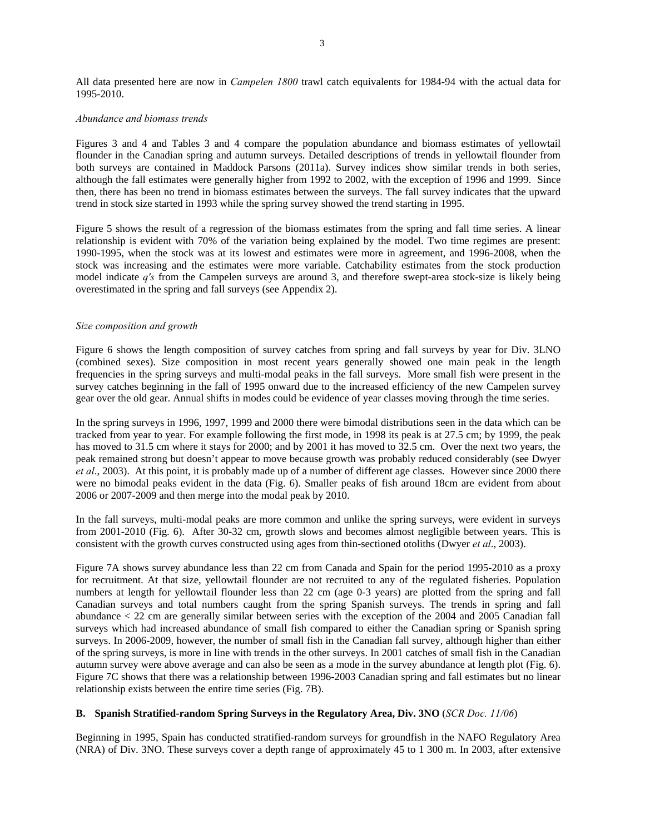All data presented here are now in *Campelen 1800* trawl catch equivalents for 1984-94 with the actual data for 1995-2010.

# *Abundance and biomass trends*

Figures 3 and 4 and Tables 3 and 4 compare the population abundance and biomass estimates of yellowtail flounder in the Canadian spring and autumn surveys. Detailed descriptions of trends in yellowtail flounder from both surveys are contained in Maddock Parsons (2011a). Survey indices show similar trends in both series, although the fall estimates were generally higher from 1992 to 2002, with the exception of 1996 and 1999. Since then, there has been no trend in biomass estimates between the surveys. The fall survey indicates that the upward trend in stock size started in 1993 while the spring survey showed the trend starting in 1995.

Figure 5 shows the result of a regression of the biomass estimates from the spring and fall time series. A linear relationship is evident with 70% of the variation being explained by the model. Two time regimes are present: 1990-1995, when the stock was at its lowest and estimates were more in agreement, and 1996-2008, when the stock was increasing and the estimates were more variable. Catchability estimates from the stock production model indicate *q's* from the Campelen surveys are around 3, and therefore swept-area stock-size is likely being overestimated in the spring and fall surveys (see Appendix 2).

#### *Size composition and growth*

Figure 6 shows the length composition of survey catches from spring and fall surveys by year for Div. 3LNO (combined sexes). Size composition in most recent years generally showed one main peak in the length frequencies in the spring surveys and multi-modal peaks in the fall surveys. More small fish were present in the survey catches beginning in the fall of 1995 onward due to the increased efficiency of the new Campelen survey gear over the old gear. Annual shifts in modes could be evidence of year classes moving through the time series.

In the spring surveys in 1996, 1997, 1999 and 2000 there were bimodal distributions seen in the data which can be tracked from year to year. For example following the first mode, in 1998 its peak is at 27.5 cm; by 1999, the peak has moved to 31.5 cm where it stays for 2000; and by 2001 it has moved to 32.5 cm. Over the next two years, the peak remained strong but doesn't appear to move because growth was probably reduced considerably (see Dwyer *et al*., 2003). At this point, it is probably made up of a number of different age classes. However since 2000 there were no bimodal peaks evident in the data (Fig. 6). Smaller peaks of fish around 18cm are evident from about 2006 or 2007-2009 and then merge into the modal peak by 2010.

In the fall surveys, multi-modal peaks are more common and unlike the spring surveys, were evident in surveys from 2001-2010 (Fig. 6). After 30-32 cm, growth slows and becomes almost negligible between years. This is consistent with the growth curves constructed using ages from thin-sectioned otoliths (Dwyer *et al*., 2003).

Figure 7A shows survey abundance less than 22 cm from Canada and Spain for the period 1995-2010 as a proxy for recruitment. At that size, yellowtail flounder are not recruited to any of the regulated fisheries. Population numbers at length for yellowtail flounder less than 22 cm (age 0-3 years) are plotted from the spring and fall Canadian surveys and total numbers caught from the spring Spanish surveys. The trends in spring and fall abundance < 22 cm are generally similar between series with the exception of the 2004 and 2005 Canadian fall surveys which had increased abundance of small fish compared to either the Canadian spring or Spanish spring surveys. In 2006-2009, however, the number of small fish in the Canadian fall survey, although higher than either of the spring surveys, is more in line with trends in the other surveys. In 2001 catches of small fish in the Canadian autumn survey were above average and can also be seen as a mode in the survey abundance at length plot (Fig. 6). Figure 7C shows that there was a relationship between 1996-2003 Canadian spring and fall estimates but no linear relationship exists between the entire time series (Fig. 7B).

# **B. Spanish Stratified-random Spring Surveys in the Regulatory Area, Div. 3NO** (*SCR Doc. 11/06*)

Beginning in 1995, Spain has conducted stratified-random surveys for groundfish in the NAFO Regulatory Area (NRA) of Div. 3NO. These surveys cover a depth range of approximately 45 to 1 300 m. In 2003, after extensive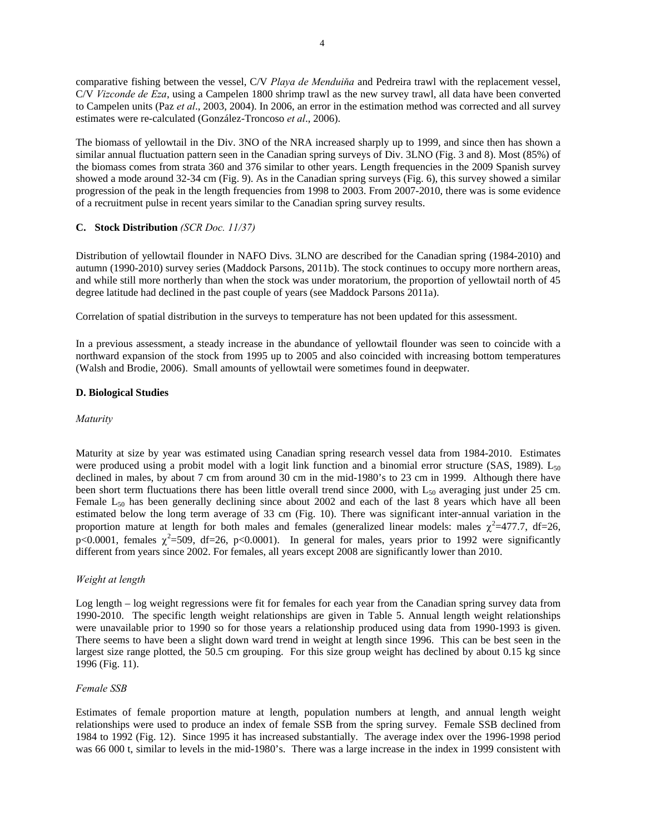comparative fishing between the vessel, C/V *Playa de Menduiňa* and Pedreira trawl with the replacement vessel, C/V *Vizconde de Eza*, using a Campelen 1800 shrimp trawl as the new survey trawl, all data have been converted to Campelen units (Paz *et al*., 2003, 2004). In 2006, an error in the estimation method was corrected and all survey estimates were re-calculated (González-Troncoso *et al*., 2006).

The biomass of yellowtail in the Div. 3NO of the NRA increased sharply up to 1999, and since then has shown a similar annual fluctuation pattern seen in the Canadian spring surveys of Div. 3LNO (Fig. 3 and 8). Most (85%) of the biomass comes from strata 360 and 376 similar to other years. Length frequencies in the 2009 Spanish survey showed a mode around 32-34 cm (Fig. 9). As in the Canadian spring surveys (Fig. 6), this survey showed a similar progression of the peak in the length frequencies from 1998 to 2003. From 2007-2010, there was is some evidence of a recruitment pulse in recent years similar to the Canadian spring survey results.

# **C. Stock Distribution** *(SCR Doc. 11/37)*

Distribution of yellowtail flounder in NAFO Divs. 3LNO are described for the Canadian spring (1984-2010) and autumn (1990-2010) survey series (Maddock Parsons, 2011b). The stock continues to occupy more northern areas, and while still more northerly than when the stock was under moratorium, the proportion of yellowtail north of 45 degree latitude had declined in the past couple of years (see Maddock Parsons 2011a).

Correlation of spatial distribution in the surveys to temperature has not been updated for this assessment.

In a previous assessment, a steady increase in the abundance of yellowtail flounder was seen to coincide with a northward expansion of the stock from 1995 up to 2005 and also coincided with increasing bottom temperatures (Walsh and Brodie, 2006). Small amounts of yellowtail were sometimes found in deepwater.

#### **D. Biological Studies**

#### *Maturity*

Maturity at size by year was estimated using Canadian spring research vessel data from 1984-2010. Estimates were produced using a probit model with a logit link function and a binomial error structure (SAS, 1989).  $L_{50}$ declined in males, by about 7 cm from around 30 cm in the mid-1980's to 23 cm in 1999. Although there have been short term fluctuations there has been little overall trend since 2000, with  $L_{50}$  averaging just under 25 cm. Female  $L_{50}$  has been generally declining since about 2002 and each of the last 8 years which have all been estimated below the long term average of 33 cm (Fig. 10). There was significant inter-annual variation in the proportion mature at length for both males and females (generalized linear models: males  $\chi^2$ =477.7, df=26, p<0.0001, females  $\chi^2$ =509, df=26, p<0.0001). In general for males, years prior to 1992 were significantly different from years since 2002. For females, all years except 2008 are significantly lower than 2010.

# *Weight at length*

Log length – log weight regressions were fit for females for each year from the Canadian spring survey data from 1990-2010. The specific length weight relationships are given in Table 5. Annual length weight relationships were unavailable prior to 1990 so for those years a relationship produced using data from 1990-1993 is given. There seems to have been a slight down ward trend in weight at length since 1996. This can be best seen in the largest size range plotted, the 50.5 cm grouping. For this size group weight has declined by about 0.15 kg since 1996 (Fig. 11).

#### *Female SSB*

Estimates of female proportion mature at length, population numbers at length, and annual length weight relationships were used to produce an index of female SSB from the spring survey. Female SSB declined from 1984 to 1992 (Fig. 12). Since 1995 it has increased substantially. The average index over the 1996-1998 period was 66 000 t, similar to levels in the mid-1980's. There was a large increase in the index in 1999 consistent with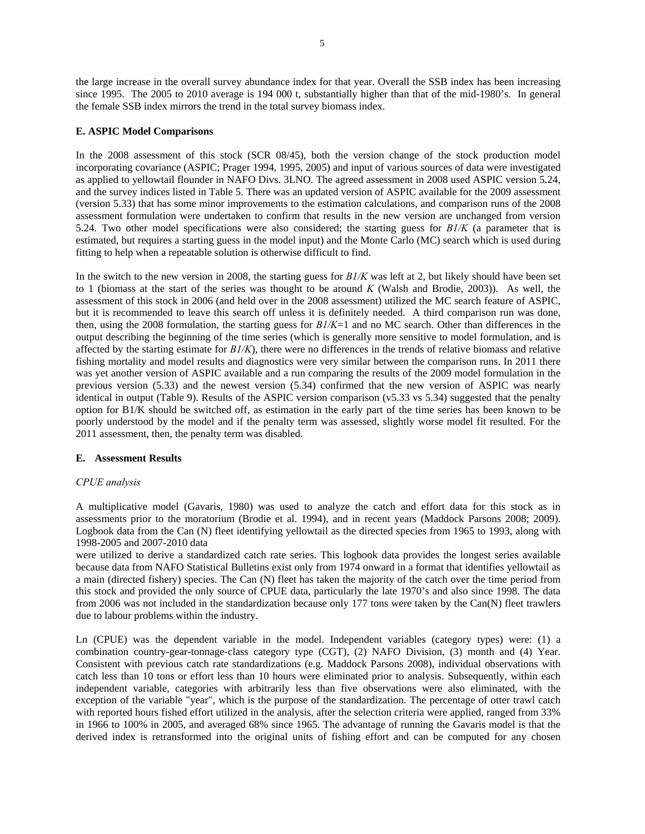the large increase in the overall survey abundance index for that year. Overall the SSB index has been increasing since 1995. The 2005 to 2010 average is 194 000 t, substantially higher than that of the mid-1980's. In general the female SSB index mirrors the trend in the total survey biomass index.

# **E. ASPIC Model Comparisons**

In the 2008 assessment of this stock (SCR 08/45), both the version change of the stock production model incorporating covariance (ASPIC; Prager 1994, 1995, 2005) and input of various sources of data were investigated as applied to yellowtail flounder in NAFO Divs. 3LNO. The agreed assessment in 2008 used ASPIC version 5.24, and the survey indices listed in Table 5. There was an updated version of ASPIC available for the 2009 assessment (version 5.33) that has some minor improvements to the estimation calculations, and comparison runs of the 2008 assessment formulation were undertaken to confirm that results in the new version are unchanged from version 5.24. Two other model specifications were also considered; the starting guess for *B1/K* (a parameter that is estimated, but requires a starting guess in the model input) and the Monte Carlo (MC) search which is used during fitting to help when a repeatable solution is otherwise difficult to find.

In the switch to the new version in 2008, the starting guess for *B1/K* was left at 2, but likely should have been set to 1 (biomass at the start of the series was thought to be around *K* (Walsh and Brodie, 2003)). As well, the assessment of this stock in 2006 (and held over in the 2008 assessment) utilized the MC search feature of ASPIC, but it is recommended to leave this search off unless it is definitely needed. A third comparison run was done, then, using the 2008 formulation, the starting guess for *B1/K*=1 and no MC search. Other than differences in the output describing the beginning of the time series (which is generally more sensitive to model formulation, and is affected by the starting estimate for *B1/K*), there were no differences in the trends of relative biomass and relative fishing mortality and model results and diagnostics were very similar between the comparison runs. In 2011 there was yet another version of ASPIC available and a run comparing the results of the 2009 model formulation in the previous version (5.33) and the newest version (5.34) confirmed that the new version of ASPIC was nearly identical in output (Table 9). Results of the ASPIC version comparison (v5.33 vs 5.34) suggested that the penalty option for B1/K should be switched off, as estimation in the early part of the time series has been known to be poorly understood by the model and if the penalty term was assessed, slightly worse model fit resulted. For the 2011 assessment, then, the penalty term was disabled.

#### **E. Assessment Results**

# *CPUE analysis*

A multiplicative model (Gavaris, 1980) was used to analyze the catch and effort data for this stock as in assessments prior to the moratorium (Brodie et al. 1994), and in recent years (Maddock Parsons 2008; 2009). Logbook data from the Can (N) fleet identifying yellowtail as the directed species from 1965 to 1993, along with 1998-2005 and 2007-2010 data

were utilized to derive a standardized catch rate series. This logbook data provides the longest series available because data from NAFO Statistical Bulletins exist only from 1974 onward in a format that identifies yellowtail as a main (directed fishery) species. The Can (N) fleet has taken the majority of the catch over the time period from this stock and provided the only source of CPUE data, particularly the late 1970's and also since 1998. The data from 2006 was not included in the standardization because only 177 tons were taken by the Can(N) fleet trawlers due to labour problems within the industry.

Ln (CPUE) was the dependent variable in the model. Independent variables (category types) were: (1) a combination country-gear-tonnage-class category type (CGT), (2) NAFO Division, (3) month and (4) Year. Consistent with previous catch rate standardizations (e.g. Maddock Parsons 2008), individual observations with catch less than 10 tons or effort less than 10 hours were eliminated prior to analysis. Subsequently, within each independent variable, categories with arbitrarily less than five observations were also eliminated, with the exception of the variable "year", which is the purpose of the standardization. The percentage of otter trawl catch with reported hours fished effort utilized in the analysis, after the selection criteria were applied, ranged from 33% in 1966 to 100% in 2005, and averaged 68% since 1965. The advantage of running the Gavaris model is that the derived index is retransformed into the original units of fishing effort and can be computed for any chosen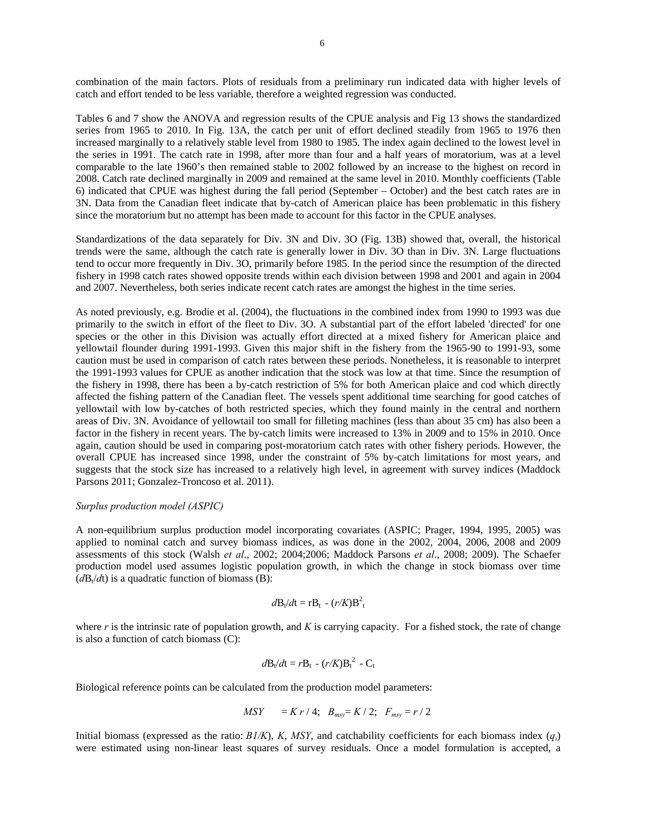combination of the main factors. Plots of residuals from a preliminary run indicated data with higher levels of catch and effort tended to be less variable, therefore a weighted regression was conducted.

Tables 6 and 7 show the ANOVA and regression results of the CPUE analysis and Fig 13 shows the standardized series from 1965 to 2010. In Fig. 13A, the catch per unit of effort declined steadily from 1965 to 1976 then increased marginally to a relatively stable level from 1980 to 1985. The index again declined to the lowest level in the series in 1991. The catch rate in 1998, after more than four and a half years of moratorium, was at a level comparable to the late 1960's then remained stable to 2002 followed by an increase to the highest on record in 2008. Catch rate declined marginally in 2009 and remained at the same level in 2010. Monthly coefficients (Table 6) indicated that CPUE was highest during the fall period (September – October) and the best catch rates are in 3N. Data from the Canadian fleet indicate that by-catch of American plaice has been problematic in this fishery since the moratorium but no attempt has been made to account for this factor in the CPUE analyses.

Standardizations of the data separately for Div. 3N and Div. 3O (Fig. 13B) showed that, overall, the historical trends were the same, although the catch rate is generally lower in Div. 3O than in Div. 3N. Large fluctuations tend to occur more frequently in Div. 3O, primarily before 1985. In the period since the resumption of the directed fishery in 1998 catch rates showed opposite trends within each division between 1998 and 2001 and again in 2004 and 2007. Nevertheless, both series indicate recent catch rates are amongst the highest in the time series.

As noted previously, e.g. Brodie et al. (2004), the fluctuations in the combined index from 1990 to 1993 was due primarily to the switch in effort of the fleet to Div. 3O. A substantial part of the effort labeled 'directed' for one species or the other in this Division was actually effort directed at a mixed fishery for American plaice and yellowtail flounder during 1991-1993. Given this major shift in the fishery from the 1965-90 to 1991-93, some caution must be used in comparison of catch rates between these periods. Nonetheless, it is reasonable to interpret the 1991-1993 values for CPUE as another indication that the stock was low at that time. Since the resumption of the fishery in 1998, there has been a by-catch restriction of 5% for both American plaice and cod which directly affected the fishing pattern of the Canadian fleet. The vessels spent additional time searching for good catches of yellowtail with low by-catches of both restricted species, which they found mainly in the central and northern areas of Div. 3N. Avoidance of yellowtail too small for filleting machines (less than about 35 cm) has also been a factor in the fishery in recent years. The by-catch limits were increased to 13% in 2009 and to 15% in 2010. Once again, caution should be used in comparing post-moratorium catch rates with other fishery periods. However, the overall CPUE has increased since 1998, under the constraint of 5% by-catch limitations for most years, and suggests that the stock size has increased to a relatively high level, in agreement with survey indices (Maddock Parsons 2011; Gonzalez-Troncoso et al. 2011).

#### *Surplus production model (ASPIC)*

A non-equilibrium surplus production model incorporating covariates (ASPIC; Prager, 1994, 1995, 2005) was applied to nominal catch and survey biomass indices, as was done in the 2002, 2004, 2006, 2008 and 2009 assessments of this stock (Walsh *et al*., 2002; 2004;2006; Maddock Parsons *et al*., 2008; 2009). The Schaefer production model used assumes logistic population growth, in which the change in stock biomass over time  $(dB_t/dt)$  is a quadratic function of biomass (B):

$$
d\mathbf{B}_t/d\mathbf{t} = \mathbf{r} \mathbf{B}_t - (r/K)\mathbf{B}_t^2
$$

where *r* is the intrinsic rate of population growth, and *K* is carrying capacity. For a fished stock, the rate of change is also a function of catch biomass (C):

$$
d\mathbf{B}_t/d\mathbf{t} = r\mathbf{B}_t - (r/K)\mathbf{B}_t^2 - \mathbf{C}_t
$$

Biological reference points can be calculated from the production model parameters:

$$
MSY = K r / 4; B_{msy} = K / 2; F_{msy} = r / 2
$$

Initial biomass (expressed as the ratio:  $B1/K$ ), *K*, *MSY*, and catchability coefficients for each biomass index  $(q_i)$ were estimated using non-linear least squares of survey residuals. Once a model formulation is accepted, a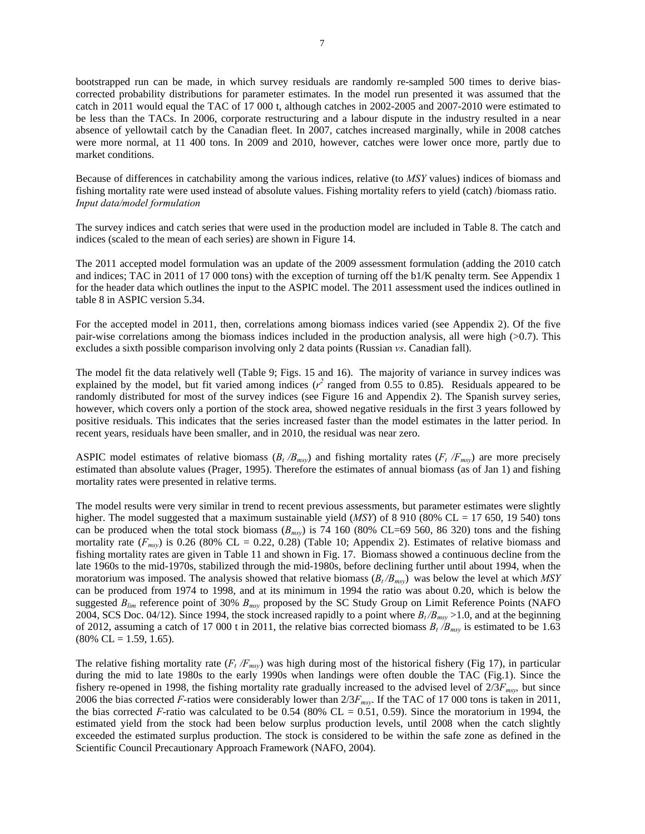bootstrapped run can be made, in which survey residuals are randomly re-sampled 500 times to derive biascorrected probability distributions for parameter estimates. In the model run presented it was assumed that the catch in 2011 would equal the TAC of 17 000 t, although catches in 2002-2005 and 2007-2010 were estimated to be less than the TACs. In 2006, corporate restructuring and a labour dispute in the industry resulted in a near absence of yellowtail catch by the Canadian fleet. In 2007, catches increased marginally, while in 2008 catches were more normal, at 11 400 tons. In 2009 and 2010, however, catches were lower once more, partly due to market conditions.

Because of differences in catchability among the various indices, relative (to *MSY* values) indices of biomass and fishing mortality rate were used instead of absolute values. Fishing mortality refers to yield (catch) /biomass ratio. *Input data/model formulation*

The survey indices and catch series that were used in the production model are included in Table 8. The catch and indices (scaled to the mean of each series) are shown in Figure 14.

The 2011 accepted model formulation was an update of the 2009 assessment formulation (adding the 2010 catch and indices; TAC in 2011 of 17 000 tons) with the exception of turning off the b1/K penalty term. See Appendix 1 for the header data which outlines the input to the ASPIC model. The 2011 assessment used the indices outlined in table 8 in ASPIC version 5.34.

For the accepted model in 2011, then, correlations among biomass indices varied (see Appendix 2). Of the five pair-wise correlations among the biomass indices included in the production analysis, all were high (>0.7). This excludes a sixth possible comparison involving only 2 data points (Russian *vs*. Canadian fall).

The model fit the data relatively well (Table 9; Figs. 15 and 16). The majority of variance in survey indices was explained by the model, but fit varied among indices  $(r^2$  ranged from 0.55 to 0.85). Residuals appeared to be randomly distributed for most of the survey indices (see Figure 16 and Appendix 2). The Spanish survey series, however, which covers only a portion of the stock area, showed negative residuals in the first 3 years followed by positive residuals. This indicates that the series increased faster than the model estimates in the latter period. In recent years, residuals have been smaller, and in 2010, the residual was near zero.

ASPIC model estimates of relative biomass  $(B_t/B_{msv})$  and fishing mortality rates  $(F_t/F_{msv})$  are more precisely estimated than absolute values (Prager, 1995). Therefore the estimates of annual biomass (as of Jan 1) and fishing mortality rates were presented in relative terms.

The model results were very similar in trend to recent previous assessments, but parameter estimates were slightly higher. The model suggested that a maximum sustainable yield (*MSY*) of 8 910 (80% CL = 17 650, 19 540) tons can be produced when the total stock biomass  $(B_{msy})$  is 74 160 (80% CL=69 560, 86 320) tons and the fishing mortality rate  $(F_{msv})$  is 0.26 (80% CL = 0.22, 0.28) (Table 10; Appendix 2). Estimates of relative biomass and fishing mortality rates are given in Table 11 and shown in Fig. 17. Biomass showed a continuous decline from the late 1960s to the mid-1970s, stabilized through the mid-1980s, before declining further until about 1994, when the moratorium was imposed. The analysis showed that relative biomass  $(B_t/B_{msy})$  was below the level at which *MSY* can be produced from 1974 to 1998, and at its minimum in 1994 the ratio was about 0.20, which is below the suggested *Blim* reference point of 30% *Bmsy* proposed by the SC Study Group on Limit Reference Points (NAFO 2004, SCS Doc. 04/12). Since 1994, the stock increased rapidly to a point where  $B_t/B_{msy}$  >1.0, and at the beginning of 2012, assuming a catch of 17 000 t in 2011, the relative bias corrected biomass  $B_t/B_{msy}$  is estimated to be 1.63  $(80\% \text{ CL} = 1.59, 1.65).$ 

The relative fishing mortality rate  $(F_t/F_{msy})$  was high during most of the historical fishery (Fig 17), in particular during the mid to late 1980s to the early 1990s when landings were often double the TAC (Fig.1). Since the fishery re-opened in 1998, the fishing mortality rate gradually increased to the advised level of 2/3*Fmsy,* but since 2006 the bias corrected *F*-ratios were considerably lower than  $2/3F_{msv}$ . If the TAC of 17 000 tons is taken in 2011, the bias corrected *F*-ratio was calculated to be 0.54 (80% CL = 0.51, 0.59). Since the moratorium in 1994, the estimated yield from the stock had been below surplus production levels, until 2008 when the catch slightly exceeded the estimated surplus production. The stock is considered to be within the safe zone as defined in the Scientific Council Precautionary Approach Framework (NAFO, 2004).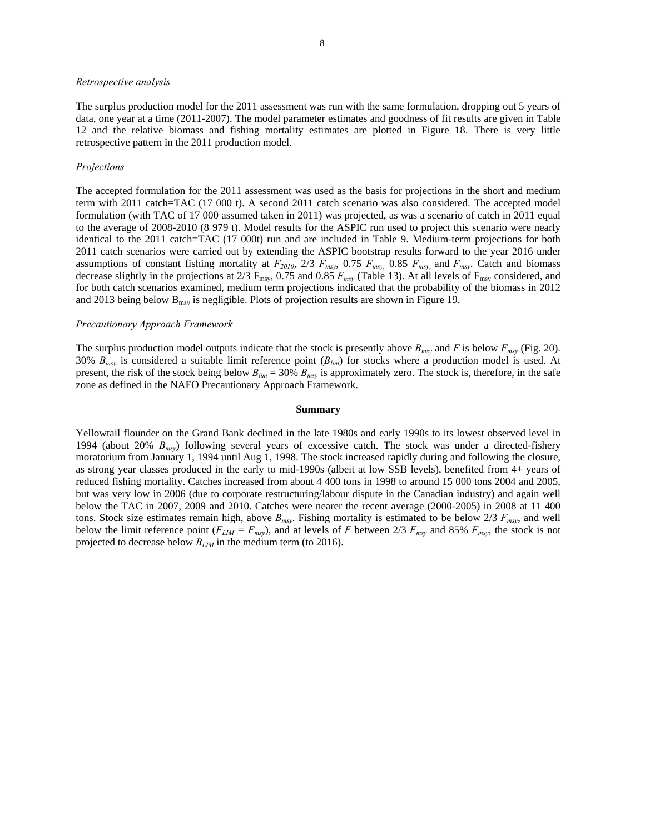#### *Retrospective analysis*

The surplus production model for the 2011 assessment was run with the same formulation, dropping out 5 years of data, one year at a time (2011-2007). The model parameter estimates and goodness of fit results are given in Table 12 and the relative biomass and fishing mortality estimates are plotted in Figure 18. There is very little retrospective pattern in the 2011 production model.

#### *Projections*

The accepted formulation for the 2011 assessment was used as the basis for projections in the short and medium term with 2011 catch=TAC (17 000 t). A second 2011 catch scenario was also considered. The accepted model formulation (with TAC of 17 000 assumed taken in 2011) was projected, as was a scenario of catch in 2011 equal to the average of 2008-2010 (8 979 t). Model results for the ASPIC run used to project this scenario were nearly identical to the 2011 catch=TAC (17 000t) run and are included in Table 9. Medium-term projections for both 2011 catch scenarios were carried out by extending the ASPIC bootstrap results forward to the year 2016 under assumptions of constant fishing mortality at *F2010*, 2/3 *Fmsy*, 0.75 *Fmsy,* 0.85 *Fmsy*, and *Fmsy*. Catch and biomass decrease slightly in the projections at 2/3  $F_{\text{msy}}$ , 0.75 and 0.85  $F_{\text{msy}}$  (Table 13). At all levels of  $F_{\text{msy}}$  considered, and for both catch scenarios examined, medium term projections indicated that the probability of the biomass in 2012 and 2013 being below  $B_{\text{msy}}$  is negligible. Plots of projection results are shown in Figure 19.

#### *Precautionary Approach Framework*

The surplus production model outputs indicate that the stock is presently above  $B_{msy}$  and *F* is below  $F_{msy}$  (Fig. 20). 30% *Bmsy* is considered a suitable limit reference point (*Blim*) for stocks where a production model is used. At present, the risk of the stock being below  $B_{lim} = 30\% B_{max}$  is approximately zero. The stock is, therefore, in the safe zone as defined in the NAFO Precautionary Approach Framework.

#### **Summary**

Yellowtail flounder on the Grand Bank declined in the late 1980s and early 1990s to its lowest observed level in 1994 (about 20% *Bmsy*) following several years of excessive catch. The stock was under a directed-fishery moratorium from January 1, 1994 until Aug 1, 1998. The stock increased rapidly during and following the closure, as strong year classes produced in the early to mid-1990s (albeit at low SSB levels), benefited from 4+ years of reduced fishing mortality. Catches increased from about 4 400 tons in 1998 to around 15 000 tons 2004 and 2005, but was very low in 2006 (due to corporate restructuring/labour dispute in the Canadian industry) and again well below the TAC in 2007, 2009 and 2010. Catches were nearer the recent average (2000-2005) in 2008 at 11 400 tons. Stock size estimates remain high, above  $B_{msv}$ . Fishing mortality is estimated to be below  $2/3$   $F_{msv}$ , and well below the limit reference point  $(F_{LIM} = F_{msy})$ , and at levels of *F* between 2/3  $F_{msy}$  and 85%  $F_{msy}$ , the stock is not projected to decrease below *BLIM* in the medium term (to 2016).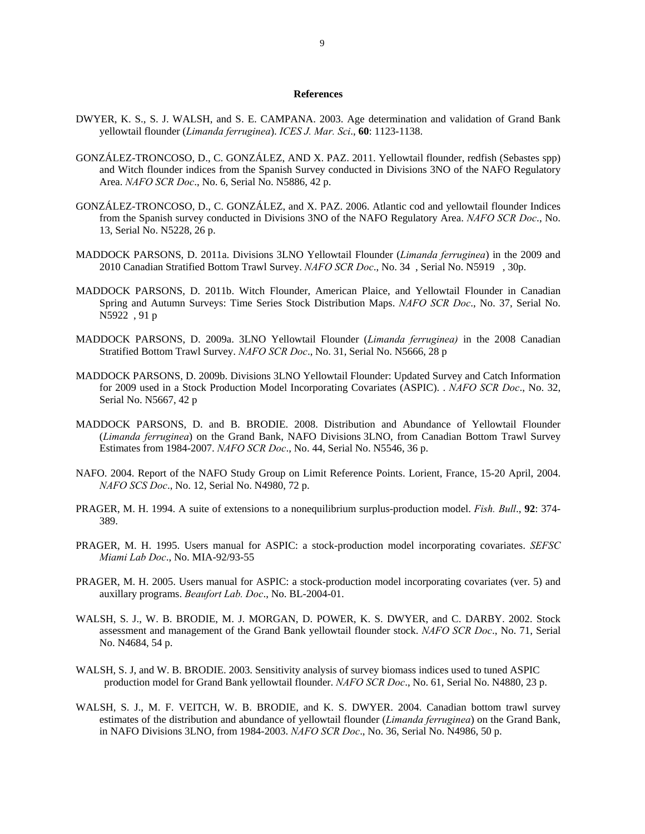#### **References**

- DWYER, K. S., S. J. WALSH, and S. E. CAMPANA. 2003. Age determination and validation of Grand Bank yellowtail flounder (*Limanda ferruginea*). *ICES J. Mar. Sci*., **60**: 1123-1138.
- GONZÁLEZ-TRONCOSO, D., C. GONZÁLEZ, AND X. PAZ. 2011. Yellowtail flounder, redfish (Sebastes spp) and Witch flounder indices from the Spanish Survey conducted in Divisions 3NO of the NAFO Regulatory Area. *NAFO SCR Doc*., No. 6, Serial No. N5886, 42 p.
- GONZÁLEZ-TRONCOSO, D., C. GONZÁLEZ, and X. PAZ. 2006. Atlantic cod and yellowtail flounder Indices from the Spanish survey conducted in Divisions 3NO of the NAFO Regulatory Area. *NAFO SCR Doc*., No. 13, Serial No. N5228, 26 p.
- MADDOCK PARSONS, D. 2011a. Divisions 3LNO Yellowtail Flounder (*Limanda ferruginea*) in the 2009 and 2010 Canadian Stratified Bottom Trawl Survey. *NAFO SCR Doc*., No. 34 , Serial No. N5919 , 30p.
- MADDOCK PARSONS, D. 2011b. Witch Flounder, American Plaice, and Yellowtail Flounder in Canadian Spring and Autumn Surveys: Time Series Stock Distribution Maps. *NAFO SCR Doc*., No. 37, Serial No. N5922 , 91 p
- MADDOCK PARSONS, D. 2009a. 3LNO Yellowtail Flounder (*Limanda ferruginea)* in the 2008 Canadian Stratified Bottom Trawl Survey. *NAFO SCR Doc*., No. 31, Serial No. N5666, 28 p
- MADDOCK PARSONS, D. 2009b. Divisions 3LNO Yellowtail Flounder: Updated Survey and Catch Information for 2009 used in a Stock Production Model Incorporating Covariates (ASPIC). . *NAFO SCR Doc*., No. 32, Serial No. N5667, 42 p
- MADDOCK PARSONS, D. and B. BRODIE. 2008. Distribution and Abundance of Yellowtail Flounder (*Limanda ferruginea*) on the Grand Bank, NAFO Divisions 3LNO, from Canadian Bottom Trawl Survey Estimates from 1984-2007. *NAFO SCR Doc*., No. 44, Serial No. N5546, 36 p.
- NAFO. 2004. Report of the NAFO Study Group on Limit Reference Points. Lorient, France, 15-20 April, 2004. *NAFO SCS Doc*., No. 12, Serial No. N4980, 72 p.
- PRAGER, M. H. 1994. A suite of extensions to a nonequilibrium surplus-production model. *Fish. Bull*., **92**: 374- 389.
- PRAGER, M. H. 1995. Users manual for ASPIC: a stock-production model incorporating covariates. *SEFSC Miami Lab Doc*., No. MIA-92/93-55
- PRAGER, M. H. 2005. Users manual for ASPIC: a stock-production model incorporating covariates (ver. 5) and auxillary programs. *Beaufort Lab. Doc*., No. BL-2004-01.
- WALSH, S. J., W. B. BRODIE, M. J. MORGAN, D. POWER, K. S. DWYER, and C. DARBY. 2002. Stock assessment and management of the Grand Bank yellowtail flounder stock. *NAFO SCR Doc*., No. 71, Serial No. N4684, 54 p.
- WALSH, S. J, and W. B. BRODIE. 2003. Sensitivity analysis of survey biomass indices used to tuned ASPIC production model for Grand Bank yellowtail flounder. *NAFO SCR Doc*., No. 61, Serial No. N4880, 23 p.
- WALSH, S. J., M. F. VEITCH, W. B. BRODIE, and K. S. DWYER. 2004. Canadian bottom trawl survey estimates of the distribution and abundance of yellowtail flounder (*Limanda ferruginea*) on the Grand Bank, in NAFO Divisions 3LNO, from 1984-2003. *NAFO SCR Doc*., No. 36, Serial No. N4986, 50 p.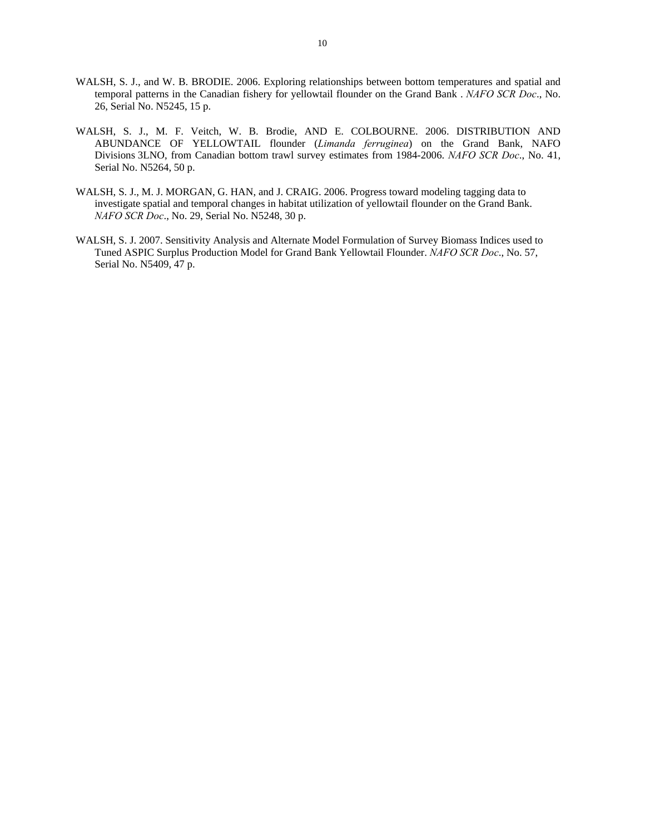- WALSH, S. J., and W. B. BRODIE. 2006. Exploring relationships between bottom temperatures and spatial and temporal patterns in the Canadian fishery for yellowtail flounder on the Grand Bank . *NAFO SCR Doc*., No. 26, Serial No. N5245, 15 p.
- WALSH, S. J., M. F. Veitch, W. B. Brodie, AND E. COLBOURNE. 2006. DISTRIBUTION AND ABUNDANCE OF YELLOWTAIL flounder (*Limanda ferruginea*) on the Grand Bank, NAFO Divisions 3LNO, from Canadian bottom trawl survey estimates from 1984-2006. *NAFO SCR Doc*., No. 41, Serial No. N5264, 50 p.
- WALSH, S. J., M. J. MORGAN, G. HAN, and J. CRAIG. 2006. Progress toward modeling tagging data to investigate spatial and temporal changes in habitat utilization of yellowtail flounder on the Grand Bank. *NAFO SCR Doc*., No. 29, Serial No. N5248, 30 p.
- WALSH, S. J. 2007. Sensitivity Analysis and Alternate Model Formulation of Survey Biomass Indices used to Tuned ASPIC Surplus Production Model for Grand Bank Yellowtail Flounder. *NAFO SCR Doc*., No. 57, Serial No. N5409, 47 p.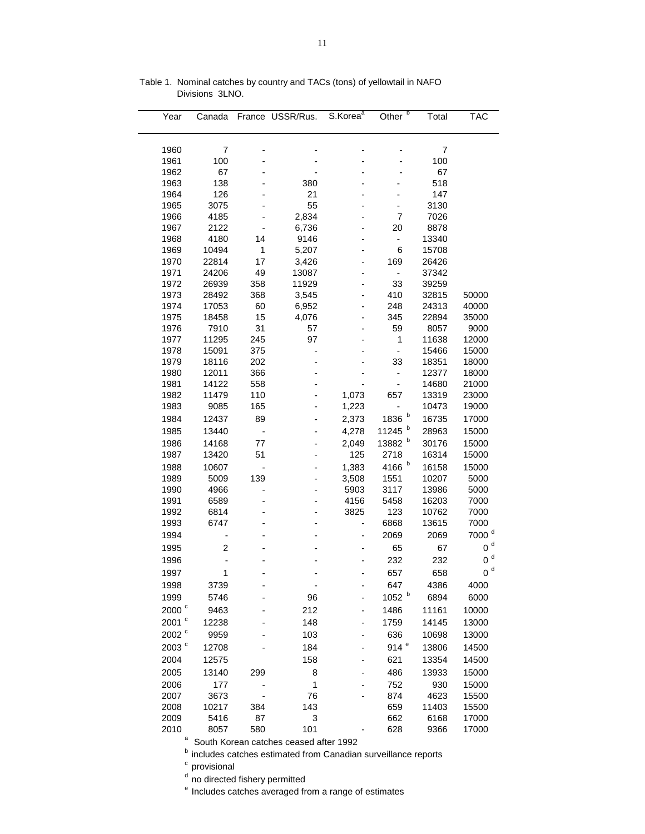| Year              | Canada         |            | France USSR/Rus. | S.Korea <sup>a</sup>     | Other <sup>b</sup>       | Total          | <b>TAC</b>        |
|-------------------|----------------|------------|------------------|--------------------------|--------------------------|----------------|-------------------|
|                   |                |            |                  |                          |                          |                |                   |
| 1960              | 7              |            |                  |                          |                          | 7              |                   |
| 1961              | 100            |            |                  |                          |                          | 100            |                   |
| 1962              | 67             |            |                  |                          |                          | 67             |                   |
| 1963              | 138            |            | 380              |                          |                          | 518            |                   |
| 1964              | 126            |            | 21               |                          |                          | 147            |                   |
| 1965              | 3075           |            | 55               |                          | $\overline{\phantom{0}}$ | 3130           |                   |
| 1966              | 4185           |            | 2,834            |                          | 7                        | 7026           |                   |
| 1967              | 2122           |            | 6,736            |                          | 20                       | 8878           |                   |
| 1968              | 4180           | 14         | 9146             |                          | $\overline{\phantom{a}}$ | 13340          |                   |
| 1969              | 10494          | 1          | 5,207            |                          | 6                        | 15708          |                   |
| 1970              | 22814          | 17         | 3,426            | $\overline{a}$           | 169                      | 26426          |                   |
| 1971              | 24206          | 49         | 13087            |                          | $\blacksquare$           | 37342          |                   |
| 1972<br>1973      | 26939<br>28492 | 358<br>368 | 11929<br>3,545   |                          | 33<br>410                | 39259<br>32815 | 50000             |
| 1974              | 17053          | 60         | 6,952            |                          | 248                      | 24313          | 40000             |
| 1975              | 18458          | 15         | 4,076            |                          | 345                      | 22894          | 35000             |
| 1976              | 7910           | 31         | 57               |                          | 59                       | 8057           | 9000              |
| 1977              | 11295          | 245        | 97               |                          | 1                        | 11638          | 12000             |
| 1978              | 15091          | 375        |                  |                          | $\frac{1}{2}$            | 15466          | 15000             |
| 1979              | 18116          | 202        |                  |                          | 33                       | 18351          | 18000             |
| 1980              | 12011          | 366        |                  |                          | $\overline{\phantom{a}}$ | 12377          | 18000             |
| 1981              | 14122          | 558        |                  |                          | $\blacksquare$           | 14680          | 21000             |
| 1982              | 11479          | 110        |                  | 1,073                    | 657                      | 13319          | 23000             |
| 1983              | 9085           | 165        |                  | 1,223                    | $\overline{\phantom{0}}$ | 10473          | 19000             |
| 1984              | 12437          | 89         |                  | 2,373                    | 1836 $b$                 | 16735          | 17000             |
| 1985              | 13440          | ÷          |                  | 4,278                    | 11245 b                  | 28963          | 15000             |
| 1986              | 14168          | 77         |                  | 2,049                    | 13882 b                  | 30176          | 15000             |
| 1987              | 13420          | 51         |                  | 125                      | 2718                     | 16314          | 15000             |
| 1988              | 10607          |            |                  | 1,383                    | 4166 b                   | 16158          | 15000             |
| 1989              | 5009           | 139        |                  | 3,508                    | 1551                     | 10207          | 5000              |
| 1990              | 4966           |            |                  | 5903                     | 3117                     | 13986          | 5000              |
| 1991              | 6589           |            |                  | 4156                     | 5458                     | 16203          | 7000              |
| 1992              | 6814           |            |                  | 3825                     | 123                      | 10762          | 7000              |
| 1993              | 6747           |            |                  | $\overline{\phantom{0}}$ | 6868                     | 13615          | 7000              |
| 1994              |                |            |                  |                          | 2069                     | 2069           | 7000 <sup>d</sup> |
| 1995              | $\overline{2}$ |            |                  |                          | 65                       | 67             | $0d$              |
| 1996              |                |            |                  |                          | 232                      | 232            | $0d$              |
| 1997              | 1              |            |                  |                          | 657                      | 658            | 0 <sup>d</sup>    |
|                   |                |            |                  |                          |                          |                |                   |
| 1998              | 3739           |            |                  |                          | 647                      | 4386           | 4000              |
| 1999              | 5746           |            | 96               |                          | 1052 b                   | 6894           | 6000              |
| 2000 <sup>c</sup> | 9463           |            | 212              |                          | 1486                     | 11161          | 10000             |
| 2001 $^{\circ}$   | 12238          |            | 148              |                          | 1759                     | 14145          | 13000             |
| 2002 <sup>c</sup> | 9959           |            | 103              |                          | 636                      | 10698          | 13000             |
| 2003 $^{\circ}$   | 12708          |            | 184              |                          | 914 $e$                  | 13806          | 14500             |
| 2004              | 12575          |            | 158              |                          | 621                      | 13354          | 14500             |
| 2005              | 13140          | 299        | 8                |                          | 486                      | 13933          | 15000             |
| 2006              | 177            |            | $\mathbf 1$      |                          | 752                      | 930            | 15000             |
| 2007              | 3673           |            | 76               |                          | 874                      | 4623           | 15500             |
| 2008              | 10217          | 384        | 143              |                          | 659                      | 11403          | 15500             |
| 2009              | 5416           | 87         | 3                |                          | 662                      | 6168           | 17000             |
| 2010              | 8057           | 580        | 101              |                          | 628                      | 9366           | 17000             |

Table 1. Nominal catches by country and TACs (tons) of yellowtail in NAFO Divisions 3LNO.

<sup>a</sup> South Korean catches ceased after 1992

**b** includes catches estimated from Canadian surveillance reports

<sup>c</sup> provisional

<sup>d</sup> no directed fishery permitted

<sup>e</sup> Includes catches averaged from a range of estimates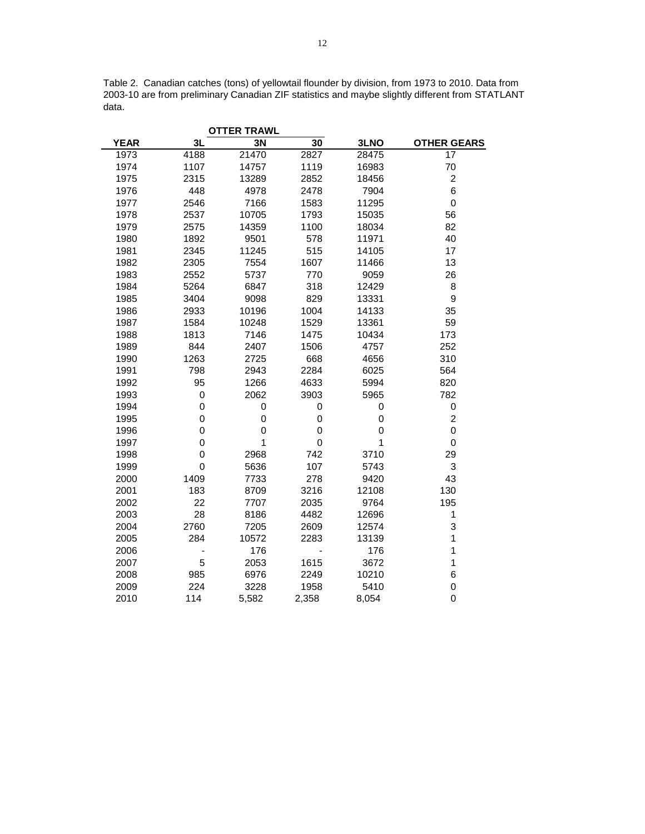Table 2. Canadian catches (tons) of yellowtail flounder by division, from 1973 to 2010. Data from 2003-10 are from preliminary Canadian ZIF statistics and maybe slightly different from STATLANT data.

|             |             | <b>OTTER TRAWL</b> |             |       |                    |
|-------------|-------------|--------------------|-------------|-------|--------------------|
| <b>YEAR</b> | 3L          | 3N                 | 30          | 3LNO  | <b>OTHER GEARS</b> |
| 1973        | 4188        | 21470              | 2827        | 28475 | 17                 |
| 1974        | 1107        | 14757              | 1119        | 16983 | 70                 |
| 1975        | 2315        | 13289              | 2852        | 18456 | $\overline{c}$     |
| 1976        | 448         | 4978               | 2478        | 7904  | 6                  |
| 1977        | 2546        | 7166               | 1583        | 11295 | $\pmb{0}$          |
| 1978        | 2537        | 10705              | 1793        | 15035 | 56                 |
| 1979        | 2575        | 14359              | 1100        | 18034 | 82                 |
| 1980        | 1892        | 9501               | 578         | 11971 | 40                 |
| 1981        | 2345        | 11245              | 515         | 14105 | 17                 |
| 1982        | 2305        | 7554               | 1607        | 11466 | 13                 |
| 1983        | 2552        | 5737               | 770         | 9059  | 26                 |
| 1984        | 5264        | 6847               | 318         | 12429 | 8                  |
| 1985        | 3404        | 9098               | 829         | 13331 | 9                  |
| 1986        | 2933        | 10196              | 1004        | 14133 | 35                 |
| 1987        | 1584        | 10248              | 1529        | 13361 | 59                 |
| 1988        | 1813        | 7146               | 1475        | 10434 | 173                |
| 1989        | 844         | 2407               | 1506        | 4757  | 252                |
| 1990        | 1263        | 2725               | 668         | 4656  | 310                |
| 1991        | 798         | 2943               | 2284        | 6025  | 564                |
| 1992        | 95          | 1266               | 4633        | 5994  | 820                |
| 1993        | $\pmb{0}$   | 2062               | 3903        | 5965  | 782                |
| 1994        | 0           | 0                  | 0           | 0     | 0                  |
| 1995        | 0           | 0                  | 0           | 0     | $\overline{c}$     |
| 1996        | $\mathbf 0$ | 0                  | 0           | 0     | 0                  |
| 1997        | $\mathbf 0$ | $\mathbf{1}$       | $\mathbf 0$ | 1     | $\pmb{0}$          |
| 1998        | 0           | 2968               | 742         | 3710  | 29                 |
| 1999        | $\mathbf 0$ | 5636               | 107         | 5743  | 3                  |
| 2000        | 1409        | 7733               | 278         | 9420  | 43                 |
| 2001        | 183         | 8709               | 3216        | 12108 | 130                |
| 2002        | 22          | 7707               | 2035        | 9764  | 195                |
| 2003        | 28          | 8186               | 4482        | 12696 | $\mathbf{1}$       |
| 2004        | 2760        | 7205               | 2609        | 12574 | 3                  |
| 2005        | 284         | 10572              | 2283        | 13139 | 1                  |
| 2006        |             | 176                |             | 176   | $\mathbf{1}$       |
| 2007        | 5           | 2053               | 1615        | 3672  | 1                  |
| 2008        | 985         | 6976               | 2249        | 10210 | 6                  |
| 2009        | 224         | 3228               | 1958        | 5410  | $\mathbf 0$        |
| 2010        | 114         | 5,582              | 2,358       | 8,054 | $\mathbf 0$        |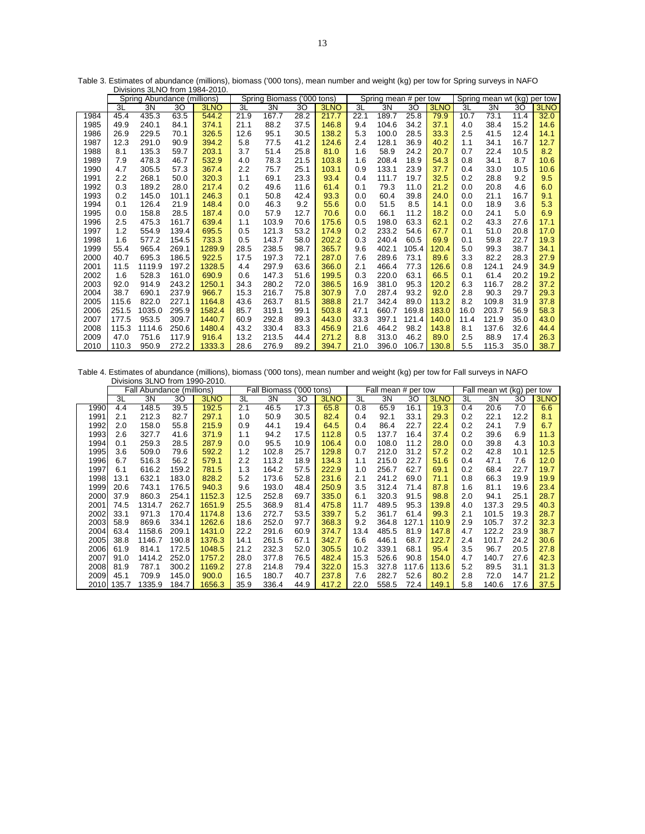|      | Divisions 3LNO from 1984-2010 |                             |       |        |      |                            |      |       |      |                       |       |       |                                |       |      |      |
|------|-------------------------------|-----------------------------|-------|--------|------|----------------------------|------|-------|------|-----------------------|-------|-------|--------------------------------|-------|------|------|
|      |                               | Spring Abundance (millions) |       |        |      | Spring Biomass ('000 tons) |      |       |      | Spring mean # per tow |       |       | Spring mean wt (kg)<br>per tow |       |      |      |
|      | 3L                            | 3N                          | 30    | 3LNO   | 3L   | 3N                         | 30   | 3LNO  | 3L   | 3N                    | 30    | 3LNO  | 3L                             | 3N    | 30   | 3LNO |
| 1984 | 45.4                          | 435.3                       | 63.5  | 544.2  | 21.9 | 167.7                      | 28.2 | 217.7 | 22.1 | 189.7                 | 25.8  | 79.9  | 10.7                           | 73.1  | 11.4 | 32.0 |
| 1985 | 49.9                          | 240.1                       | 84.1  | 374.1  | 21.1 | 88.2                       | 37.5 | 146.8 | 9.4  | 104.6                 | 34.2  | 37.1  | 4.0                            | 38.4  | 15.2 | 14.6 |
| 1986 | 26.9                          | 229.5                       | 70.1  | 326.5  | 12.6 | 95.1                       | 30.5 | 138.2 | 5.3  | 100.0                 | 28.5  | 33.3  | 2.5                            | 41.5  | 12.4 | 14.1 |
| 1987 | 12.3                          | 291.0                       | 90.9  | 394.2  | 5.8  | 77.5                       | 41.2 | 124.6 | 2.4  | 128.1                 | 36.9  | 40.2  | 1.1                            | 34.1  | 16.7 | 12.7 |
| 1988 | 8.1                           | 135.3                       | 59.7  | 203.1  | 3.7  | 51.4                       | 25.8 | 81.0  | 1.6  | 58.9                  | 24.2  | 20.7  | 0.7                            | 22.4  | 10.5 | 8.2  |
| 1989 | 7.9                           | 478.3                       | 46.7  | 532.9  | 4.0  | 78.3                       | 21.5 | 103.8 | 1.6  | 208.4                 | 18.9  | 54.3  | 0.8                            | 34.1  | 8.7  | 10.6 |
| 1990 | 4.7                           | 305.5                       | 57.3  | 367.4  | 2.2  | 75.7                       | 25.1 | 103.1 | 0.9  | 133.1                 | 23.9  | 37.7  | 0.4                            | 33.0  | 10.5 | 10.6 |
| 1991 | 2.2                           | 268.1                       | 50.0  | 320.3  | 1.1  | 69.1                       | 23.3 | 93.4  | 0.4  | 111.7                 | 19.7  | 32.5  | 0.2                            | 28.8  | 9.2  | 9.5  |
| 1992 | 0.3                           | 189.2                       | 28.0  | 217.4  | 0.2  | 49.6                       | 11.6 | 61.4  | 0.1  | 79.3                  | 11.0  | 21.2  | 0.0                            | 20.8  | 4.6  | 6.0  |
| 1993 | 0.2                           | 145.0                       | 101.1 | 246.3  | 0.1  | 50.8                       | 42.4 | 93.3  | 0.0  | 60.4                  | 39.8  | 24.0  | 0.0                            | 21.1  | 16.7 | 9.1  |
| 1994 | 0.1                           | 126.4                       | 21.9  | 148.4  | 0.0  | 46.3                       | 9.2  | 55.6  | 0.0  | 51.5                  | 8.5   | 14.1  | 0.0                            | 18.9  | 3.6  | 5.3  |
| 1995 | 0.0                           | 158.8                       | 28.5  | 187.4  | 0.0  | 57.9                       | 12.7 | 70.6  | 0.0  | 66.1                  | 11.2  | 18.2  | 0.0                            | 24.1  | 5.0  | 6.9  |
| 1996 | 2.5                           | 475.3                       | 161.7 | 639.4  | 1.1  | 103.9                      | 70.6 | 175.6 | 0.5  | 198.0                 | 63.3  | 62.1  | 0.2                            | 43.3  | 27.6 | 17.1 |
| 1997 | 1.2                           | 554.9                       | 139.4 | 695.5  | 0.5  | 121.3                      | 53.2 | 174.9 | 0.2  | 233.2                 | 54.6  | 67.7  | 0.1                            | 51.0  | 20.8 | 17.0 |
| 1998 | 1.6                           | 577.2                       | 154.5 | 733.3  | 0.5  | 143.7                      | 58.0 | 202.2 | 0.3  | 240.4                 | 60.5  | 69.9  | 0.1                            | 59.8  | 22.7 | 19.3 |
| 1999 | 55.4                          | 965.4                       | 269.1 | 1289.9 | 28.5 | 238.5                      | 98.7 | 365.7 | 9.6  | 402.1                 | 105.4 | 120.4 | 5.0                            | 99.3  | 38.7 | 34.1 |
| 2000 | 40.7                          | 695.3                       | 186.5 | 922.5  | 17.5 | 197.3                      | 72.1 | 287.0 | 7.6  | 289.6                 | 73.1  | 89.6  | 3.3                            | 82.2  | 28.3 | 27.9 |
| 2001 | 11.5                          | 1119.9                      | 197.2 | 1328.5 | 4.4  | 297.9                      | 63.6 | 366.0 | 2.1  | 466.4                 | 77.3  | 126.6 | 0.8                            | 124.1 | 24.9 | 34.9 |
| 2002 | 1.6                           | 528.3                       | 161.0 | 690.9  | 0.6  | 147.3                      | 51.6 | 199.5 | 0.3  | 220.0                 | 63.1  | 66.5  | 0.1                            | 61.4  | 20.2 | 19.2 |
| 2003 | 92.0                          | 914.9                       | 243.2 | 1250.1 | 34.3 | 280.2                      | 72.0 | 386.5 | 16.9 | 381.0                 | 95.3  | 120.2 | 6.3                            | 116.7 | 28.2 | 37.2 |
| 2004 | 38.7                          | 690.1                       | 237.9 | 966.7  | 15.3 | 216.7                      | 75.8 | 307.9 | 7.0  | 287.4                 | 93.2  | 92.0  | 2.8                            | 90.3  | 29.7 | 29.3 |
| 2005 | 115.6                         | 822.0                       | 227.1 | 1164.8 | 43.6 | 263.7                      | 81.5 | 388.8 | 21.7 | 342.4                 | 89.0  | 113.2 | 8.2                            | 109.8 | 31.9 | 37.8 |
| 2006 | 251.5                         | 1035.0                      | 295.9 | 1582.4 | 85.7 | 319.1                      | 99.1 | 503.8 | 47.1 | 660.7                 | 169.8 | 183.0 | 16.0                           | 203.7 | 56.9 | 58.3 |
| 2007 | 177.5                         | 953.5                       | 309.7 | 1440.7 | 60.9 | 292.8                      | 89.3 | 443.0 | 33.3 | 397.1                 | 121.4 | 140.0 | 11.4                           | 121.9 | 35.0 | 43.0 |
| 2008 | 115.3                         | 1114.6                      | 250.6 | 1480.4 | 43.2 | 330.4                      | 83.3 | 456.9 | 21.6 | 464.2                 | 98.2  | 143.8 | 8.1                            | 137.6 | 32.6 | 44.4 |
| 2009 | 47.0                          | 751.6                       | 117.9 | 916.4  | 13.2 | 213.5                      | 44.4 | 271.2 | 8.8  | 313.0                 | 46.2  | 89.0  | 2.5                            | 88.9  | 17.4 | 26.3 |
| 2010 | 110.3                         | 950.9                       | 272.2 | 1333.3 | 28.6 | 276.9                      | 89.2 | 394.7 | 21.0 | 396.0                 | 106.7 | 130.8 | 5.5                            | 115.3 | 35.0 | 38.7 |

Table 3. Estimates of abundance (millions), biomass ('000 tons), mean number and weight (kg) per tow for Spring surveys in NAFO

Table 4. Estimates of abundance (millions), biomass ('000 tons), mean number and weight (kg) per tow for Fall surveys in NAFO Divisions 3LNO from 1990-2010.

|      |            | Fall Abundance (millions) |       |        |      | <b>Fall Biomass</b> |      | Fall mean # per tow<br>('000 tons) |      |       | Fall mean wt (kg) |       |     | per tow |      |      |
|------|------------|---------------------------|-------|--------|------|---------------------|------|------------------------------------|------|-------|-------------------|-------|-----|---------|------|------|
|      | 3L         | 3N                        | 30    | 3LNO   | 3L   | 3N                  | 30   | 3LNO                               | 3L   | 3N    | 30                | 3LNO  | 3L  | 3N      | 30   | 3LNO |
| 1990 | 4.4        | 148.5                     | 39.5  | 192.5  | 2.1  | 46.5                | 17.3 | 65.8                               | 0.8  | 65.9  | 16.1              | 19.3  | 0.4 | 20.6    | 7.0  | 6.6  |
| 1991 | 2.1        | 212.3                     | 82.7  | 297.1  | 1.0  | 50.9                | 30.5 | 82.4                               | 0.4  | 92.1  | 33.1              | 29.3  | 0.2 | 22.1    | 12.2 | 8.1  |
| 1992 | 2.0        | 158.0                     | 55.8  | 215.9  | 0.9  | 44.1                | 19.4 | 64.5                               | 0.4  | 86.4  | 22.7              | 22.4  | 0.2 | 24.1    | 7.9  | 6.7  |
| 1993 | 2.6        | 327.7                     | 41.6  | 371.9  | 1.1  | 94.2                | 17.5 | 112.8                              | 0.5  | 137.7 | 16.4              | 37.4  | 0.2 | 39.6    | 6.9  | 11.3 |
| 1994 | 0.1        | 259.3                     | 28.5  | 287.9  | 0.0  | 95.5                | 10.9 | 106.4                              | 0.0  | 108.0 | 11.2              | 28.0  | 0.0 | 39.8    | 4.3  | 10.3 |
| 1995 | 3.6        | 509.0                     | 79.6  | 592.2  | 1.2  | 102.8               | 25.7 | 129.8                              | 0.7  | 212.0 | 31.2              | 57.2  | 0.2 | 42.8    | 10.1 | 12.5 |
| 1996 | 6.7        | 516.3                     | 56.2  | 579.1  | 2.2  | 113.2               | 18.9 | 134.3                              | 1.1  | 215.0 | 22.7              | 51.6  | 0.4 | 47.1    | 7.6  | 12.0 |
| 1997 | 6.1        | 616.2                     | 159.2 | 781.5  | 1.3  | 164.2               | 57.5 | 222.9                              | 1.0  | 256.7 | 62.7              | 69.1  | 0.2 | 68.4    | 22.7 | 19.7 |
| 1998 | 13.1       | 632.1                     | 183.0 | 828.2  | 5.2  | 173.6               | 52.8 | 231.6                              | 2.1  | 241.2 | 69.0              | 71.1  | 0.8 | 66.3    | 19.9 | 19.9 |
| 1999 | 20.6       | 743.1                     | 176.5 | 940.3  | 9.6  | 193.0               | 48.4 | 250.9                              | 3.5  | 312.4 | 71.4              | 87.8  | 1.6 | 81.1    | 19.6 | 23.4 |
| 2000 | 37.9       | 860.3                     | 254.1 | 1152.3 | 12.5 | 252.8               | 69.7 | 335.0                              | 6.1  | 320.3 | 91.5              | 98.8  | 2.0 | 94.1    | 25.1 | 28.7 |
| 2001 | 74.5       | 1314.7                    | 262.7 | 1651.9 | 25.5 | 368.9               | 81.4 | 475.8                              | 11.7 | 489.5 | 95.3              | 139.8 | 4.0 | 137.3   | 29.5 | 40.3 |
| 2002 | 33.1       | 971.3                     | 170.4 | 1174.8 | 13.6 | 272.7               | 53.5 | 339.7                              | 5.2  | 361.7 | 61.4              | 99.3  | 2.1 | 101.5   | 19.3 | 28.7 |
| 2003 | 58.9       | 869.6                     | 334.1 | 1262.6 | 18.6 | 252.0               | 97.7 | 368.3                              | 9.2  | 364.8 | 127.1             | 110.9 | 2.9 | 105.7   | 37.2 | 32.3 |
| 2004 | 63.4       | 1158.6                    | 209.1 | 1431.0 | 22.2 | 291.6               | 60.9 | 374.7                              | 13.4 | 485.5 | 81.9              | 147.8 | 4.7 | 122.2   | 23.9 | 38.7 |
| 2005 | 38.8       | 1146.7                    | 190.8 | 1376.3 | 14.1 | 261.5               | 67.1 | 342.7                              | 6.6  | 446.1 | 68.7              | 122.7 | 2.4 | 101.7   | 24.2 | 30.6 |
| 2006 | 61.9       | 814.1                     | 172.5 | 1048.5 | 21.2 | 232.3               | 52.0 | 305.5                              | 10.2 | 339.1 | 68.1              | 95.4  | 3.5 | 96.7    | 20.5 | 27.8 |
| 2007 | 91.0       | 1414.2                    | 252.0 | 1757.2 | 28.0 | 377.8               | 76.5 | 482.4                              | 15.3 | 526.6 | 90.8              | 154.0 | 4.7 | 140.7   | 27.6 | 42.3 |
| 2008 | 81.9       | 787.1                     | 300.2 | 1169.2 | 27.8 | 214.8               | 79.4 | 322.0                              | 15.3 | 327.8 | 117.6             | 113.6 | 5.2 | 89.5    | 31.1 | 31.3 |
| 2009 | 45.1       | 709.9                     | 145.0 | 900.0  | 16.5 | 180.7               | 40.7 | 237.8                              | 7.6  | 282.7 | 52.6              | 80.2  | 2.8 | 72.0    | 14.7 | 21.2 |
|      | 2010 135.7 | 1335.9                    | 184.7 | 1656.3 | 35.9 | 336.4               | 44.9 | 417.2                              | 22.0 | 558.5 | 72.4              | 149.1 | 5.8 | 140.6   | 17.6 | 37.5 |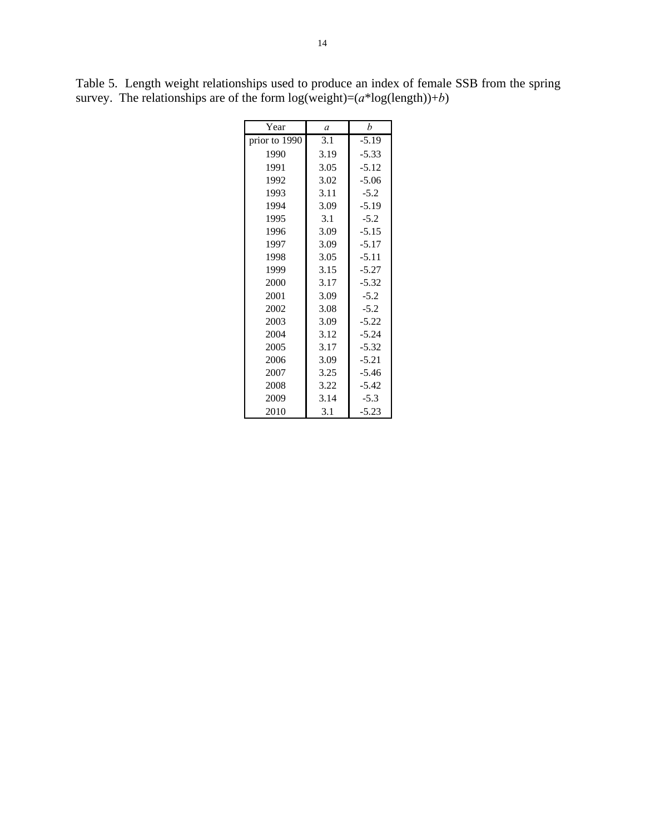| Year          | a    | b       |  |  |
|---------------|------|---------|--|--|
| prior to 1990 | 3.1  | $-5.19$ |  |  |
| 1990          | 3.19 | $-5.33$ |  |  |
| 1991          | 3.05 | $-5.12$ |  |  |
| 1992          | 3.02 | $-5.06$ |  |  |
| 1993          | 3.11 | $-5.2$  |  |  |
| 1994          | 3.09 | $-5.19$ |  |  |
| 1995          | 3.1  | $-5.2$  |  |  |
| 1996          | 3.09 | $-5.15$ |  |  |
| 1997          | 3.09 | $-5.17$ |  |  |
| 1998          | 3.05 | $-5.11$ |  |  |
| 1999          | 3.15 | $-5.27$ |  |  |
| 2000          | 3.17 | $-5.32$ |  |  |
| 2001          | 3.09 | $-5.2$  |  |  |
| 2002          | 3.08 | $-5.2$  |  |  |
| 2003          | 3.09 | $-5.22$ |  |  |
| 2004          | 3.12 | $-5.24$ |  |  |
| 2005          | 3.17 | $-5.32$ |  |  |
| 2006          | 3.09 | $-5.21$ |  |  |
| 2007          | 3.25 | $-5.46$ |  |  |
| 2008          | 3.22 | $-5.42$ |  |  |
| 2009          | 3.14 | $-5.3$  |  |  |
| 2010          | 3.1  | $-5.23$ |  |  |

Table 5. Length weight relationships used to produce an index of female SSB from the spring survey. The relationships are of the form  $log(weight)=(a*log(length))+b)$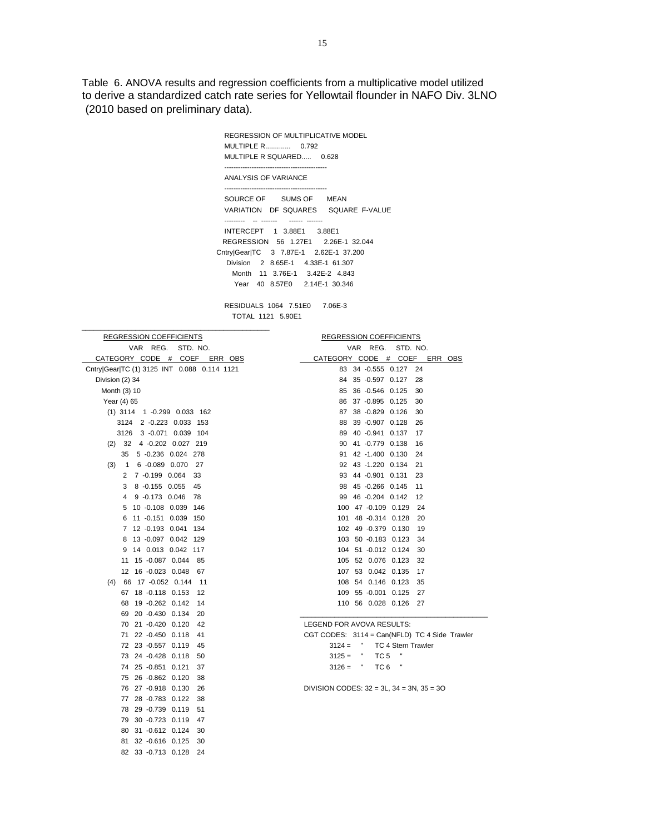Table 6. ANOVA results and regression coefficients from a multiplicative model utilized to derive a standardized catch rate series for Yellowtail flounder in NAFO Div. 3LNO (2010 based on preliminary data).

> REGRESSION OF MULTIPLICATIVE MODEL MULTIPLE R............. 0.792 MULTIPLE R SQUARED..... 0.628 --------------------------------------------- ANALYSIS OF VARIANCE --------------------------------------------- SOURCE OF SUMS OF MEAN VARIATION DF SQUARES SQUARE F-VALUE --------- -- ------- ------ ------- INTERCEPT 1 3.88E1 3.88E1 REGRESSION 56 1.27E1 2.26E-1 32.044 Cntry|Gear|TC 3 7.87E-1 2.62E-1 37.200 Division 2 8.65E-1 4.33E-1 61.307 Month 11 3.76E-1 3.42E-2 4.843 Year 40 8.57E0 2.14E-1 30.346

 RESIDUALS 1064 7.51E0 7.06E-3 TOTAL 1121 5.90E1

\_\_\_\_\_\_\_\_\_\_\_\_\_\_\_\_\_\_\_\_\_\_\_\_\_\_\_\_\_\_\_\_\_\_\_\_\_\_\_\_\_\_\_\_\_\_\_\_\_

| <b>REGRESSION COEFFICIENTS</b>                  | <b>REGRESSION COEFFICIENTS</b>                             |
|-------------------------------------------------|------------------------------------------------------------|
| VAR REG.<br>STD. NO.                            | VAR REG.<br>STD. NO.                                       |
| CATEGORY CODE # COEF ERR OBS                    | CATEGORY CODE # COEF<br>ERR OBS                            |
| Cntry Gear TC (1) 3125 INT 0.088 0.114 1121     | 83 34 -0.555 0.127<br>24                                   |
| Division (2) 34                                 | 84 35 -0.597 0.127<br>28                                   |
| Month (3) 10                                    | 36 -0.546 0.125<br>85<br>30                                |
| Year (4) 65                                     | 86 37 -0.895 0.125<br>30                                   |
| $(1)$ 3114 1 -0.299 0.033 162                   | 87 38 -0.829 0.126<br>30                                   |
| 3124 2 -0.223 0.033 153                         | 39 -0.907 0.128<br>88<br>26                                |
| 3 -0.071 0.039 104<br>3126                      | 89 40 -0.941 0.137<br>17                                   |
| (2) 32 4 -0.202 0.027 219                       | 90 41 -0.779 0.138<br>16                                   |
| 5 -0.236 0.024 278<br>35                        | 42 -1.400 0.130<br>91<br>24                                |
| 6 -0.089 0.070<br>(3)<br>$\overline{1}$<br>- 27 | 92 43 -1.220 0.134<br>21                                   |
| 2 7 -0.199 0.064<br>33                          | 93 44 -0.901 0.131<br>23                                   |
| 8 -0.155 0.055<br>45<br>3                       | 98 45 -0.266 0.145<br>11                                   |
| 9 -0.173 0.046<br>78<br>4                       | 99 46 -0.204 0.142<br>12                                   |
| 10 -0.108 0.039 146<br>5                        | 100 47 -0.109 0.129<br>24                                  |
| 11 -0.151 0.039 150<br>6                        | 101 48 -0.314 0.128<br>20                                  |
| 7 12 -0.193 0.041 134                           | 102 49 -0.379 0.130<br>19                                  |
| 13 -0.097 0.042 129<br>8                        | 103 50 -0.183 0.123<br>34                                  |
| 14 0.013 0.042 117<br>9                         | 104 51 -0.012 0.124<br>30                                  |
| 11 15 -0.087 0.044<br>85                        | 105 52 0.076 0.123<br>32                                   |
| 12 16 -0.023 0.048<br>67                        | 107 53 0.042 0.135<br>17                                   |
| $(4)$ 66 17 -0.052 0.144<br>11                  | 108 54 0.146 0.123<br>35                                   |
| 67 18 -0.118 0.153<br>12                        | 109 55 -0.001 0.125<br>27                                  |
| 68 19 -0.262 0.142<br>14                        | 110 56 0.028 0.126<br>-27                                  |
| 69 20 -0.430 0.134<br>20                        |                                                            |
| 70 21 -0.420 0.120<br>42                        | LEGEND FOR AVOVA RESULTS:                                  |
| 22 -0.450 0.118<br>71<br>41                     | CGT CODES: 3114 = Can(NFLD) TC 4 Side Trawler              |
| 72 23 -0.557 0.119<br>45                        | $\mathbf{u}$<br>$3124 =$<br><b>TC 4 Stern Trawler</b><br>× |
| 73 24 -0.428 0.118<br>50                        | TC <sub>5</sub><br>$3125 =$<br>H<br>Ľ                      |
| 74 25 -0.851 0.121<br>37                        | TC <sub>6</sub><br>$3126 =$                                |
| 75 26 -0.862 0.120<br>38                        |                                                            |
| 76 27 -0.918 0.130<br>26                        | DIVISION CODES: $32 = 3L$ , $34 = 3N$ , $35 = 3O$          |
| 77 28 -0.783 0.122<br>38                        |                                                            |
| 78 29 -0.739 0.119<br>51                        |                                                            |
| 79 30 -0.723 0.119<br>47                        |                                                            |
| 31 -0.612 0.124<br>80<br>30                     |                                                            |
| 81 32 -0.616 0.125<br>30                        |                                                            |
| 82 33 -0.713 0.128<br>24                        |                                                            |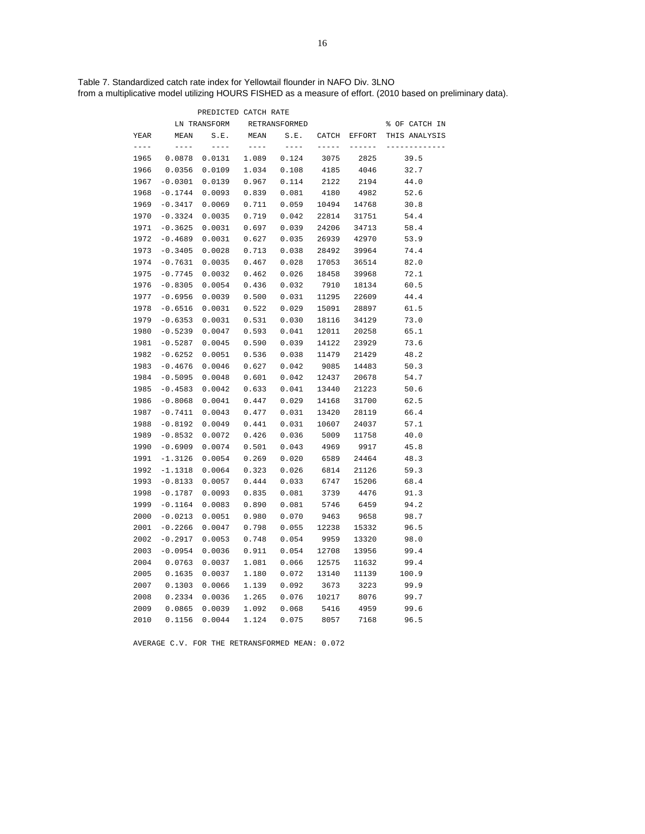Table 7. Standardized catch rate index for Yellowtail flounder in NAFO Div. 3LNO from a multiplicative model utilizing HOURS FISHED as a measure of effort. (2010 based on preliminary data).

|           |           | PREDICTED CATCH RATE |       |               |               |               |               |
|-----------|-----------|----------------------|-------|---------------|---------------|---------------|---------------|
|           |           | LN TRANSFORM         |       | RETRANSFORMED |               |               | % OF CATCH IN |
| YEAR      | MEAN      | S.E.                 | MEAN  | S.E.          | CATCH         | <b>EFFORT</b> | THIS ANALYSIS |
| $- - - -$ | $---$     | $- - - -$            | $---$ | $- - - - -$   | $- - - - - -$ | $- - - - - -$ |               |
| 1965      | 0.0878    | 0.0131               | 1.089 | 0.124         | 3075          | 2825          | 39.5          |
| 1966      | 0.0356    | 0.0109               | 1.034 | 0.108         | 4185          | 4046          | 32.7          |
| 1967      | $-0.0301$ | 0.0139               | 0.967 | 0.114         | 2122          | 2194          | 44.0          |
| 1968      | $-0.1744$ | 0.0093               | 0.839 | 0.081         | 4180          | 4982          | 52.6          |
| 1969      | $-0.3417$ | 0.0069               | 0.711 | 0.059         | 10494         | 14768         | 30.8          |
| 1970      | $-0.3324$ | 0.0035               | 0.719 | 0.042         | 22814         | 31751         | 54.4          |
| 1971      | $-0.3625$ | 0.0031               | 0.697 | 0.039         | 24206         | 34713         | 58.4          |
| 1972      | $-0.4689$ | 0.0031               | 0.627 | 0.035         | 26939         | 42970         | 53.9          |
| 1973      | $-0.3405$ | 0.0028               | 0.713 | 0.038         | 28492         | 39964         | 74.4          |
| 1974      | $-0.7631$ | 0.0035               | 0.467 | 0.028         | 17053         | 36514         | 82.0          |
| 1975      | $-0.7745$ | 0.0032               | 0.462 | 0.026         | 18458         | 39968         | 72.1          |
| 1976      | $-0.8305$ | 0.0054               | 0.436 | 0.032         | 7910          | 18134         | 60.5          |
| 1977      | $-0.6956$ | 0.0039               | 0.500 | 0.031         | 11295         | 22609         | 44.4          |
| 1978      | $-0.6516$ | 0.0031               | 0.522 | 0.029         | 15091         | 28897         | 61.5          |
| 1979      | $-0.6353$ | 0.0031               | 0.531 | 0.030         | 18116         | 34129         | 73.0          |
| 1980      | $-0.5239$ | 0.0047               | 0.593 | 0.041         | 12011         | 20258         | 65.1          |
| 1981      | $-0.5287$ | 0.0045               | 0.590 | 0.039         | 14122         | 23929         | 73.6          |
| 1982      | $-0.6252$ | 0.0051               | 0.536 | 0.038         | 11479         | 21429         | 48.2          |
| 1983      | $-0.4676$ | 0.0046               | 0.627 | 0.042         | 9085          | 14483         | 50.3          |
| 1984      | $-0.5095$ | 0.0048               | 0.601 | 0.042         | 12437         | 20678         | 54.7          |
| 1985      | $-0.4583$ | 0.0042               | 0.633 | 0.041         | 13440         | 21223         | 50.6          |
| 1986      | $-0.8068$ | 0.0041               | 0.447 | 0.029         | 14168         | 31700         | 62.5          |
| 1987      | $-0.7411$ | 0.0043               | 0.477 | 0.031         | 13420         | 28119         | 66.4          |
| 1988      | $-0.8192$ | 0.0049               | 0.441 | 0.031         | 10607         | 24037         | 57.1          |
| 1989      | $-0.8532$ | 0.0072               | 0.426 | 0.036         | 5009          | 11758         | 40.0          |
| 1990      | $-0.6909$ | 0.0074               | 0.501 | 0.043         | 4969          | 9917          | 45.8          |
| 1991      | $-1.3126$ | 0.0054               | 0.269 | 0.020         | 6589          | 24464         | 48.3          |
| 1992      | $-1.1318$ | 0.0064               | 0.323 | 0.026         | 6814          | 21126         | 59.3          |
| 1993      | $-0.8133$ | 0.0057               | 0.444 | 0.033         | 6747          | 15206         | 68.4          |
| 1998      | $-0.1787$ | 0.0093               | 0.835 | 0.081         | 3739          | 4476          | 91.3          |
| 1999      | $-0.1164$ | 0.0083               | 0.890 | 0.081         | 5746          | 6459          | 94.2          |
| 2000      | $-0.0213$ | 0.0051               | 0.980 | 0.070         | 9463          | 9658          | 98.7          |
| 2001      | $-0.2266$ | 0.0047               | 0.798 | 0.055         | 12238         | 15332         | 96.5          |
| 2002      | $-0.2917$ | 0.0053               | 0.748 | 0.054         | 9959          | 13320         | 98.0          |
| 2003      | $-0.0954$ | 0.0036               | 0.911 | 0.054         | 12708         | 13956         | 99.4          |
| 2004      | 0.0763    | 0.0037               | 1.081 | 0.066         | 12575         | 11632         | 99.4          |
| 2005      | 0.1635    | 0.0037               | 1.180 | 0.072         | 13140         | 11139         | 100.9         |
| 2007      | 0.1303    | 0.0066               | 1.139 | 0.092         | 3673          | 3223          | 99.9          |
| 2008      | 0.2334    | 0.0036               | 1.265 | 0.076         | 10217         | 8076          | 99.7          |
| 2009      | 0.0865    | 0.0039               | 1.092 | 0.068         | 5416          | 4959          | 99.6          |
| 2010      | 0.1156    | 0.0044               | 1.124 | 0.075         | 8057          | 7168          | 96.5          |

AVERAGE C.V. FOR THE RETRANSFORMED MEAN: 0.072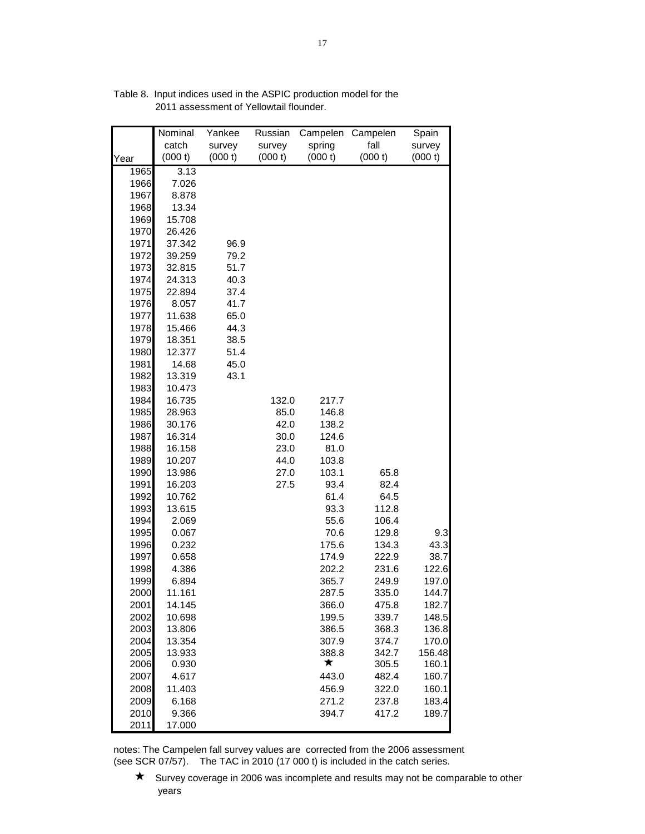| catch<br>fall<br>spring<br>survey<br>survey<br>survey<br>(000 t)<br>(000 t)<br>(000 t)<br>(000 t)<br>(000 t)<br>(000 t)<br>Year<br>3.13<br>1965<br>1966<br>7.026<br>1967<br>8.878<br>1968<br>13.34<br>1969<br>15.708<br>1970<br>26.426<br>1971<br>37.342<br>96.9<br>1972<br>39.259<br>79.2<br>51.7<br>1973<br>32.815<br>1974<br>24.313<br>40.3<br>1975<br>22.894<br>37.4<br>1976<br>8.057<br>41.7<br>1977<br>11.638<br>65.0<br>1978<br>15.466<br>44.3<br>1979<br>18.351<br>38.5<br>1980<br>12.377<br>51.4<br>1981<br>14.68<br>45.0<br>1982<br>43.1<br>13.319<br>1983<br>10.473<br>1984<br>16.735<br>132.0<br>217.7<br>1985<br>28.963<br>85.0<br>146.8<br>1986<br>30.176<br>42.0<br>138.2<br>1987<br>16.314<br>30.0<br>124.6<br>1988<br>16.158<br>23.0<br>81.0<br>1989<br>10.207<br>44.0<br>103.8<br>1990<br>13.986<br>27.0<br>103.1<br>65.8<br>1991<br>16.203<br>27.5<br>93.4<br>82.4<br>1992<br>10.762<br>61.4<br>64.5<br>1993<br>13.615<br>112.8<br>93.3<br>1994<br>55.6<br>2.069<br>106.4<br>1995<br>70.6<br>0.067<br>129.8<br>9.3<br>1996<br>43.3<br>0.232<br>175.6<br>134.3<br>1997<br>0.658<br>174.9<br>222.9<br>38.7<br>1998<br>4.386<br>231.6<br>122.6<br>202.2<br>1999<br>6.894<br>365.7<br>249.9<br>197.0<br>2000<br>11.161<br>287.5<br>335.0<br>144.7<br>2001<br>14.145<br>366.0<br>475.8<br>182.7<br>2002<br>10.698<br>199.5<br>339.7<br>148.5<br>2003<br>13.806<br>386.5<br>368.3<br>136.8<br>2004<br>13.354<br>307.9<br>374.7<br>170.0<br>2005<br>13.933<br>388.8<br>342.7<br>156.48<br>★<br>2006<br>0.930<br>305.5<br>160.1<br>2007<br>4.617<br>443.0<br>482.4<br>160.7<br>2008<br>160.1<br>11.403<br>456.9<br>322.0<br>2009<br>183.4<br>6.168<br>271.2<br>237.8<br>2010<br>9.366<br>394.7<br>417.2<br>189.7 |      | Nominal | Yankee | Russian | Campelen | Campelen | Spain |
|-----------------------------------------------------------------------------------------------------------------------------------------------------------------------------------------------------------------------------------------------------------------------------------------------------------------------------------------------------------------------------------------------------------------------------------------------------------------------------------------------------------------------------------------------------------------------------------------------------------------------------------------------------------------------------------------------------------------------------------------------------------------------------------------------------------------------------------------------------------------------------------------------------------------------------------------------------------------------------------------------------------------------------------------------------------------------------------------------------------------------------------------------------------------------------------------------------------------------------------------------------------------------------------------------------------------------------------------------------------------------------------------------------------------------------------------------------------------------------------------------------------------------------------------------------------------------------------------------------------------------------------------------------------------------------------------------------------------------------|------|---------|--------|---------|----------|----------|-------|
|                                                                                                                                                                                                                                                                                                                                                                                                                                                                                                                                                                                                                                                                                                                                                                                                                                                                                                                                                                                                                                                                                                                                                                                                                                                                                                                                                                                                                                                                                                                                                                                                                                                                                                                             |      |         |        |         |          |          |       |
|                                                                                                                                                                                                                                                                                                                                                                                                                                                                                                                                                                                                                                                                                                                                                                                                                                                                                                                                                                                                                                                                                                                                                                                                                                                                                                                                                                                                                                                                                                                                                                                                                                                                                                                             |      |         |        |         |          |          |       |
|                                                                                                                                                                                                                                                                                                                                                                                                                                                                                                                                                                                                                                                                                                                                                                                                                                                                                                                                                                                                                                                                                                                                                                                                                                                                                                                                                                                                                                                                                                                                                                                                                                                                                                                             |      |         |        |         |          |          |       |
|                                                                                                                                                                                                                                                                                                                                                                                                                                                                                                                                                                                                                                                                                                                                                                                                                                                                                                                                                                                                                                                                                                                                                                                                                                                                                                                                                                                                                                                                                                                                                                                                                                                                                                                             |      |         |        |         |          |          |       |
|                                                                                                                                                                                                                                                                                                                                                                                                                                                                                                                                                                                                                                                                                                                                                                                                                                                                                                                                                                                                                                                                                                                                                                                                                                                                                                                                                                                                                                                                                                                                                                                                                                                                                                                             |      |         |        |         |          |          |       |
|                                                                                                                                                                                                                                                                                                                                                                                                                                                                                                                                                                                                                                                                                                                                                                                                                                                                                                                                                                                                                                                                                                                                                                                                                                                                                                                                                                                                                                                                                                                                                                                                                                                                                                                             |      |         |        |         |          |          |       |
|                                                                                                                                                                                                                                                                                                                                                                                                                                                                                                                                                                                                                                                                                                                                                                                                                                                                                                                                                                                                                                                                                                                                                                                                                                                                                                                                                                                                                                                                                                                                                                                                                                                                                                                             |      |         |        |         |          |          |       |
|                                                                                                                                                                                                                                                                                                                                                                                                                                                                                                                                                                                                                                                                                                                                                                                                                                                                                                                                                                                                                                                                                                                                                                                                                                                                                                                                                                                                                                                                                                                                                                                                                                                                                                                             |      |         |        |         |          |          |       |
|                                                                                                                                                                                                                                                                                                                                                                                                                                                                                                                                                                                                                                                                                                                                                                                                                                                                                                                                                                                                                                                                                                                                                                                                                                                                                                                                                                                                                                                                                                                                                                                                                                                                                                                             |      |         |        |         |          |          |       |
|                                                                                                                                                                                                                                                                                                                                                                                                                                                                                                                                                                                                                                                                                                                                                                                                                                                                                                                                                                                                                                                                                                                                                                                                                                                                                                                                                                                                                                                                                                                                                                                                                                                                                                                             |      |         |        |         |          |          |       |
|                                                                                                                                                                                                                                                                                                                                                                                                                                                                                                                                                                                                                                                                                                                                                                                                                                                                                                                                                                                                                                                                                                                                                                                                                                                                                                                                                                                                                                                                                                                                                                                                                                                                                                                             |      |         |        |         |          |          |       |
|                                                                                                                                                                                                                                                                                                                                                                                                                                                                                                                                                                                                                                                                                                                                                                                                                                                                                                                                                                                                                                                                                                                                                                                                                                                                                                                                                                                                                                                                                                                                                                                                                                                                                                                             |      |         |        |         |          |          |       |
|                                                                                                                                                                                                                                                                                                                                                                                                                                                                                                                                                                                                                                                                                                                                                                                                                                                                                                                                                                                                                                                                                                                                                                                                                                                                                                                                                                                                                                                                                                                                                                                                                                                                                                                             |      |         |        |         |          |          |       |
|                                                                                                                                                                                                                                                                                                                                                                                                                                                                                                                                                                                                                                                                                                                                                                                                                                                                                                                                                                                                                                                                                                                                                                                                                                                                                                                                                                                                                                                                                                                                                                                                                                                                                                                             |      |         |        |         |          |          |       |
|                                                                                                                                                                                                                                                                                                                                                                                                                                                                                                                                                                                                                                                                                                                                                                                                                                                                                                                                                                                                                                                                                                                                                                                                                                                                                                                                                                                                                                                                                                                                                                                                                                                                                                                             |      |         |        |         |          |          |       |
|                                                                                                                                                                                                                                                                                                                                                                                                                                                                                                                                                                                                                                                                                                                                                                                                                                                                                                                                                                                                                                                                                                                                                                                                                                                                                                                                                                                                                                                                                                                                                                                                                                                                                                                             |      |         |        |         |          |          |       |
|                                                                                                                                                                                                                                                                                                                                                                                                                                                                                                                                                                                                                                                                                                                                                                                                                                                                                                                                                                                                                                                                                                                                                                                                                                                                                                                                                                                                                                                                                                                                                                                                                                                                                                                             |      |         |        |         |          |          |       |
|                                                                                                                                                                                                                                                                                                                                                                                                                                                                                                                                                                                                                                                                                                                                                                                                                                                                                                                                                                                                                                                                                                                                                                                                                                                                                                                                                                                                                                                                                                                                                                                                                                                                                                                             |      |         |        |         |          |          |       |
|                                                                                                                                                                                                                                                                                                                                                                                                                                                                                                                                                                                                                                                                                                                                                                                                                                                                                                                                                                                                                                                                                                                                                                                                                                                                                                                                                                                                                                                                                                                                                                                                                                                                                                                             |      |         |        |         |          |          |       |
|                                                                                                                                                                                                                                                                                                                                                                                                                                                                                                                                                                                                                                                                                                                                                                                                                                                                                                                                                                                                                                                                                                                                                                                                                                                                                                                                                                                                                                                                                                                                                                                                                                                                                                                             |      |         |        |         |          |          |       |
|                                                                                                                                                                                                                                                                                                                                                                                                                                                                                                                                                                                                                                                                                                                                                                                                                                                                                                                                                                                                                                                                                                                                                                                                                                                                                                                                                                                                                                                                                                                                                                                                                                                                                                                             |      |         |        |         |          |          |       |
|                                                                                                                                                                                                                                                                                                                                                                                                                                                                                                                                                                                                                                                                                                                                                                                                                                                                                                                                                                                                                                                                                                                                                                                                                                                                                                                                                                                                                                                                                                                                                                                                                                                                                                                             |      |         |        |         |          |          |       |
|                                                                                                                                                                                                                                                                                                                                                                                                                                                                                                                                                                                                                                                                                                                                                                                                                                                                                                                                                                                                                                                                                                                                                                                                                                                                                                                                                                                                                                                                                                                                                                                                                                                                                                                             |      |         |        |         |          |          |       |
|                                                                                                                                                                                                                                                                                                                                                                                                                                                                                                                                                                                                                                                                                                                                                                                                                                                                                                                                                                                                                                                                                                                                                                                                                                                                                                                                                                                                                                                                                                                                                                                                                                                                                                                             |      |         |        |         |          |          |       |
|                                                                                                                                                                                                                                                                                                                                                                                                                                                                                                                                                                                                                                                                                                                                                                                                                                                                                                                                                                                                                                                                                                                                                                                                                                                                                                                                                                                                                                                                                                                                                                                                                                                                                                                             |      |         |        |         |          |          |       |
|                                                                                                                                                                                                                                                                                                                                                                                                                                                                                                                                                                                                                                                                                                                                                                                                                                                                                                                                                                                                                                                                                                                                                                                                                                                                                                                                                                                                                                                                                                                                                                                                                                                                                                                             |      |         |        |         |          |          |       |
|                                                                                                                                                                                                                                                                                                                                                                                                                                                                                                                                                                                                                                                                                                                                                                                                                                                                                                                                                                                                                                                                                                                                                                                                                                                                                                                                                                                                                                                                                                                                                                                                                                                                                                                             |      |         |        |         |          |          |       |
|                                                                                                                                                                                                                                                                                                                                                                                                                                                                                                                                                                                                                                                                                                                                                                                                                                                                                                                                                                                                                                                                                                                                                                                                                                                                                                                                                                                                                                                                                                                                                                                                                                                                                                                             |      |         |        |         |          |          |       |
|                                                                                                                                                                                                                                                                                                                                                                                                                                                                                                                                                                                                                                                                                                                                                                                                                                                                                                                                                                                                                                                                                                                                                                                                                                                                                                                                                                                                                                                                                                                                                                                                                                                                                                                             |      |         |        |         |          |          |       |
|                                                                                                                                                                                                                                                                                                                                                                                                                                                                                                                                                                                                                                                                                                                                                                                                                                                                                                                                                                                                                                                                                                                                                                                                                                                                                                                                                                                                                                                                                                                                                                                                                                                                                                                             |      |         |        |         |          |          |       |
|                                                                                                                                                                                                                                                                                                                                                                                                                                                                                                                                                                                                                                                                                                                                                                                                                                                                                                                                                                                                                                                                                                                                                                                                                                                                                                                                                                                                                                                                                                                                                                                                                                                                                                                             |      |         |        |         |          |          |       |
|                                                                                                                                                                                                                                                                                                                                                                                                                                                                                                                                                                                                                                                                                                                                                                                                                                                                                                                                                                                                                                                                                                                                                                                                                                                                                                                                                                                                                                                                                                                                                                                                                                                                                                                             |      |         |        |         |          |          |       |
|                                                                                                                                                                                                                                                                                                                                                                                                                                                                                                                                                                                                                                                                                                                                                                                                                                                                                                                                                                                                                                                                                                                                                                                                                                                                                                                                                                                                                                                                                                                                                                                                                                                                                                                             |      |         |        |         |          |          |       |
|                                                                                                                                                                                                                                                                                                                                                                                                                                                                                                                                                                                                                                                                                                                                                                                                                                                                                                                                                                                                                                                                                                                                                                                                                                                                                                                                                                                                                                                                                                                                                                                                                                                                                                                             |      |         |        |         |          |          |       |
|                                                                                                                                                                                                                                                                                                                                                                                                                                                                                                                                                                                                                                                                                                                                                                                                                                                                                                                                                                                                                                                                                                                                                                                                                                                                                                                                                                                                                                                                                                                                                                                                                                                                                                                             |      |         |        |         |          |          |       |
|                                                                                                                                                                                                                                                                                                                                                                                                                                                                                                                                                                                                                                                                                                                                                                                                                                                                                                                                                                                                                                                                                                                                                                                                                                                                                                                                                                                                                                                                                                                                                                                                                                                                                                                             |      |         |        |         |          |          |       |
|                                                                                                                                                                                                                                                                                                                                                                                                                                                                                                                                                                                                                                                                                                                                                                                                                                                                                                                                                                                                                                                                                                                                                                                                                                                                                                                                                                                                                                                                                                                                                                                                                                                                                                                             |      |         |        |         |          |          |       |
|                                                                                                                                                                                                                                                                                                                                                                                                                                                                                                                                                                                                                                                                                                                                                                                                                                                                                                                                                                                                                                                                                                                                                                                                                                                                                                                                                                                                                                                                                                                                                                                                                                                                                                                             |      |         |        |         |          |          |       |
|                                                                                                                                                                                                                                                                                                                                                                                                                                                                                                                                                                                                                                                                                                                                                                                                                                                                                                                                                                                                                                                                                                                                                                                                                                                                                                                                                                                                                                                                                                                                                                                                                                                                                                                             |      |         |        |         |          |          |       |
|                                                                                                                                                                                                                                                                                                                                                                                                                                                                                                                                                                                                                                                                                                                                                                                                                                                                                                                                                                                                                                                                                                                                                                                                                                                                                                                                                                                                                                                                                                                                                                                                                                                                                                                             |      |         |        |         |          |          |       |
|                                                                                                                                                                                                                                                                                                                                                                                                                                                                                                                                                                                                                                                                                                                                                                                                                                                                                                                                                                                                                                                                                                                                                                                                                                                                                                                                                                                                                                                                                                                                                                                                                                                                                                                             |      |         |        |         |          |          |       |
|                                                                                                                                                                                                                                                                                                                                                                                                                                                                                                                                                                                                                                                                                                                                                                                                                                                                                                                                                                                                                                                                                                                                                                                                                                                                                                                                                                                                                                                                                                                                                                                                                                                                                                                             |      |         |        |         |          |          |       |
|                                                                                                                                                                                                                                                                                                                                                                                                                                                                                                                                                                                                                                                                                                                                                                                                                                                                                                                                                                                                                                                                                                                                                                                                                                                                                                                                                                                                                                                                                                                                                                                                                                                                                                                             |      |         |        |         |          |          |       |
|                                                                                                                                                                                                                                                                                                                                                                                                                                                                                                                                                                                                                                                                                                                                                                                                                                                                                                                                                                                                                                                                                                                                                                                                                                                                                                                                                                                                                                                                                                                                                                                                                                                                                                                             |      |         |        |         |          |          |       |
|                                                                                                                                                                                                                                                                                                                                                                                                                                                                                                                                                                                                                                                                                                                                                                                                                                                                                                                                                                                                                                                                                                                                                                                                                                                                                                                                                                                                                                                                                                                                                                                                                                                                                                                             |      |         |        |         |          |          |       |
|                                                                                                                                                                                                                                                                                                                                                                                                                                                                                                                                                                                                                                                                                                                                                                                                                                                                                                                                                                                                                                                                                                                                                                                                                                                                                                                                                                                                                                                                                                                                                                                                                                                                                                                             |      |         |        |         |          |          |       |
|                                                                                                                                                                                                                                                                                                                                                                                                                                                                                                                                                                                                                                                                                                                                                                                                                                                                                                                                                                                                                                                                                                                                                                                                                                                                                                                                                                                                                                                                                                                                                                                                                                                                                                                             |      |         |        |         |          |          |       |
|                                                                                                                                                                                                                                                                                                                                                                                                                                                                                                                                                                                                                                                                                                                                                                                                                                                                                                                                                                                                                                                                                                                                                                                                                                                                                                                                                                                                                                                                                                                                                                                                                                                                                                                             |      |         |        |         |          |          |       |
|                                                                                                                                                                                                                                                                                                                                                                                                                                                                                                                                                                                                                                                                                                                                                                                                                                                                                                                                                                                                                                                                                                                                                                                                                                                                                                                                                                                                                                                                                                                                                                                                                                                                                                                             | 2011 | 17.000  |        |         |          |          |       |

Table 8. Input indices used in the ASPIC production model for the 2011 assessment of Yellowtail flounder.

notes: The Campelen fall survey values are corrected from the 2006 assessment (see SCR 07/57). The TAC in 2010 (17 000 t) is included in the catch series.

 $\star$  Survey coverage in 2006 was incomplete and results may not be comparable to other years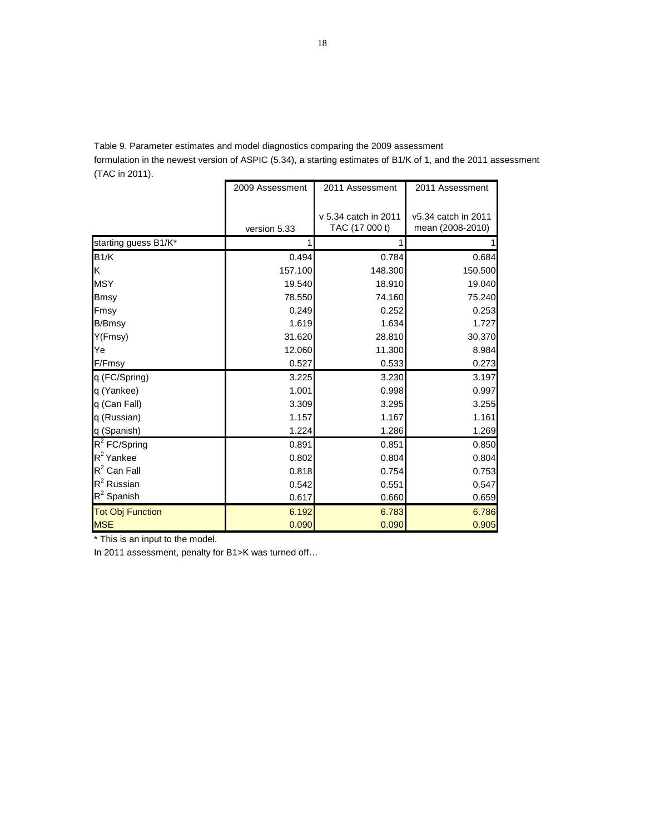Table 9. Parameter estimates and model diagnostics comparing the 2009 assessment

formulation in the newest version of ASPIC (5.34), a starting estimates of B1/K of 1, and the 2011 assessment (TAC in 2011).

|                         | 2009 Assessment | 2011 Assessment      | 2011 Assessment     |
|-------------------------|-----------------|----------------------|---------------------|
|                         |                 |                      |                     |
|                         |                 | v 5.34 catch in 2011 | v5.34 catch in 2011 |
|                         | version 5.33    | TAC (17 000 t)       | mean (2008-2010)    |
| starting guess B1/K*    | 1               |                      |                     |
| B1/K                    | 0.494           | 0.784                | 0.684               |
| Κ                       | 157.100         | 148.300              | 150.500             |
| <b>MSY</b>              | 19.540          | 18.910               | 19.040              |
| <b>Bmsy</b>             | 78.550          | 74.160               | 75.240              |
| Fmsy                    | 0.249           | 0.252                | 0.253               |
| <b>B/Bmsy</b>           | 1.619           | 1.634                | 1.727               |
| Y(Fmsy)                 | 31.620          | 28.810               | 30.370              |
| Ye                      | 12.060          | 11.300               | 8.984               |
| F/Fmsy                  | 0.527           | 0.533                | 0.273               |
| q (FC/Spring)           | 3.225           | 3.230                | 3.197               |
| q (Yankee)              | 1.001           | 0.998                | 0.997               |
| q (Can Fall)            | 3.309           | 3.295                | 3.255               |
| q (Russian)             | 1.157           | 1.167                | 1.161               |
| q (Spanish)             | 1.224           | 1.286                | 1.269               |
| $R^2$ FC/Spring         | 0.891           | 0.851                | 0.850               |
| $R^2$ Yankee            | 0.802           | 0.804                | 0.804               |
| $R^2$ Can Fall          | 0.818           | 0.754                | 0.753               |
| $R^2$ Russian           | 0.542           | 0.551                | 0.547               |
| $R^2$ Spanish           | 0.617           | 0.660                | 0.659               |
| <b>Tot Obj Function</b> | 6.192           | 6.783                | 6.786               |
| <b>MSE</b>              | 0.090           | 0.090                | 0.905               |

\* This is an input to the model.

In 2011 assessment, penalty for B1>K was turned off…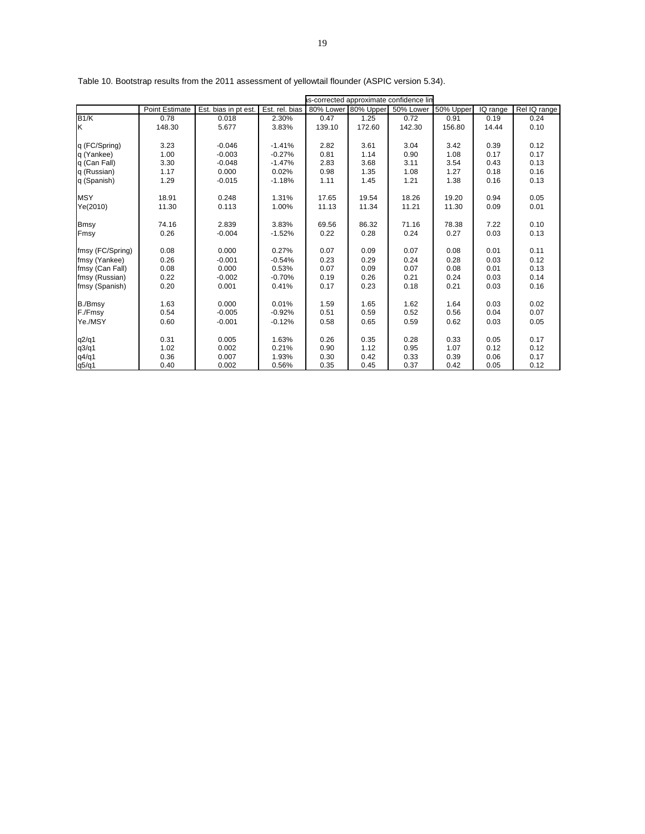|                  |                       |                      | s-corrected approximate confidence lin |                     |        |           |           |          |              |  |  |
|------------------|-----------------------|----------------------|----------------------------------------|---------------------|--------|-----------|-----------|----------|--------------|--|--|
|                  | <b>Point Estimate</b> | Est. bias in pt est. | Est. rel. bias                         | 80% Lower 80% Upper |        | 50% Lower | 50% Upper | IQ range | Rel IQ range |  |  |
| B1/K             | 0.78                  | 0.018                | 2.30%                                  | 0.47                | 1.25   | 0.72      | 0.91      | 0.19     | 0.24         |  |  |
| Κ                | 148.30                | 5.677                | 3.83%                                  | 139.10              | 172.60 | 142.30    | 156.80    | 14.44    | 0.10         |  |  |
|                  |                       |                      |                                        |                     |        |           |           |          |              |  |  |
| q (FC/Spring)    | 3.23                  | $-0.046$             | $-1.41%$                               | 2.82                | 3.61   | 3.04      | 3.42      | 0.39     | 0.12         |  |  |
| q (Yankee)       | 1.00                  | $-0.003$             | $-0.27%$                               | 0.81                | 1.14   | 0.90      | 1.08      | 0.17     | 0.17         |  |  |
| q (Can Fall)     | 3.30                  | $-0.048$             | $-1.47%$                               | 2.83                | 3.68   | 3.11      | 3.54      | 0.43     | 0.13         |  |  |
| q (Russian)      | 1.17                  | 0.000                | 0.02%                                  | 0.98                | 1.35   | 1.08      | 1.27      | 0.18     | 0.16         |  |  |
| q (Spanish)      | 1.29                  | $-0.015$             | $-1.18%$                               | 1.11                | 1.45   | 1.21      | 1.38      | 0.16     | 0.13         |  |  |
| <b>MSY</b>       | 18.91                 | 0.248                | 1.31%                                  | 17.65               | 19.54  | 18.26     | 19.20     | 0.94     | 0.05         |  |  |
| Ye(2010)         | 11.30                 | 0.113                | 1.00%                                  | 11.13               | 11.34  | 11.21     | 11.30     | 0.09     | 0.01         |  |  |
| <b>Bmsy</b>      | 74.16                 | 2.839                | 3.83%                                  | 69.56               | 86.32  | 71.16     | 78.38     | 7.22     | 0.10         |  |  |
| Fmsy             | 0.26                  | $-0.004$             | $-1.52%$                               | 0.22                | 0.28   | 0.24      | 0.27      | 0.03     | 0.13         |  |  |
| fmsy (FC/Spring) | 0.08                  | 0.000                | 0.27%                                  | 0.07                | 0.09   | 0.07      | 0.08      | 0.01     | 0.11         |  |  |
| fmsy (Yankee)    | 0.26                  | $-0.001$             | $-0.54%$                               | 0.23                | 0.29   | 0.24      | 0.28      | 0.03     | 0.12         |  |  |
| fmsy (Can Fall)  | 0.08                  | 0.000                | 0.53%                                  | 0.07                | 0.09   | 0.07      | 0.08      | 0.01     | 0.13         |  |  |
| fmsy (Russian)   | 0.22                  | $-0.002$             | $-0.70%$                               | 0.19                | 0.26   | 0.21      | 0.24      | 0.03     | 0.14         |  |  |
| fmsy (Spanish)   | 0.20                  | 0.001                | 0.41%                                  | 0.17                | 0.23   | 0.18      | 0.21      | 0.03     | 0.16         |  |  |
| B./Bmsy          | 1.63                  | 0.000                | 0.01%                                  | 1.59                | 1.65   | 1.62      | 1.64      | 0.03     | 0.02         |  |  |
|                  | 0.54                  | $-0.005$             |                                        |                     |        |           |           |          | 0.07         |  |  |
| F./Fmsy          |                       |                      | $-0.92%$                               | 0.51                | 0.59   | 0.52      | 0.56      | 0.04     |              |  |  |
| Ye./MSY          | 0.60                  | $-0.001$             | $-0.12%$                               | 0.58                | 0.65   | 0.59      | 0.62      | 0.03     | 0.05         |  |  |
| q2/q1            | 0.31                  | 0.005                | 1.63%                                  | 0.26                | 0.35   | 0.28      | 0.33      | 0.05     | 0.17         |  |  |
| q3/q1            | 1.02                  | 0.002                | 0.21%                                  | 0.90                | 1.12   | 0.95      | 1.07      | 0.12     | 0.12         |  |  |
| q4/q1            | 0.36                  | 0.007                | 1.93%                                  | 0.30                | 0.42   | 0.33      | 0.39      | 0.06     | 0.17         |  |  |
| q5/q1            | 0.40                  | 0.002                | 0.56%                                  | 0.35                | 0.45   | 0.37      | 0.42      | 0.05     | 0.12         |  |  |

Table 10. Bootstrap results from the 2011 assessment of yellowtail flounder (ASPIC version 5.34).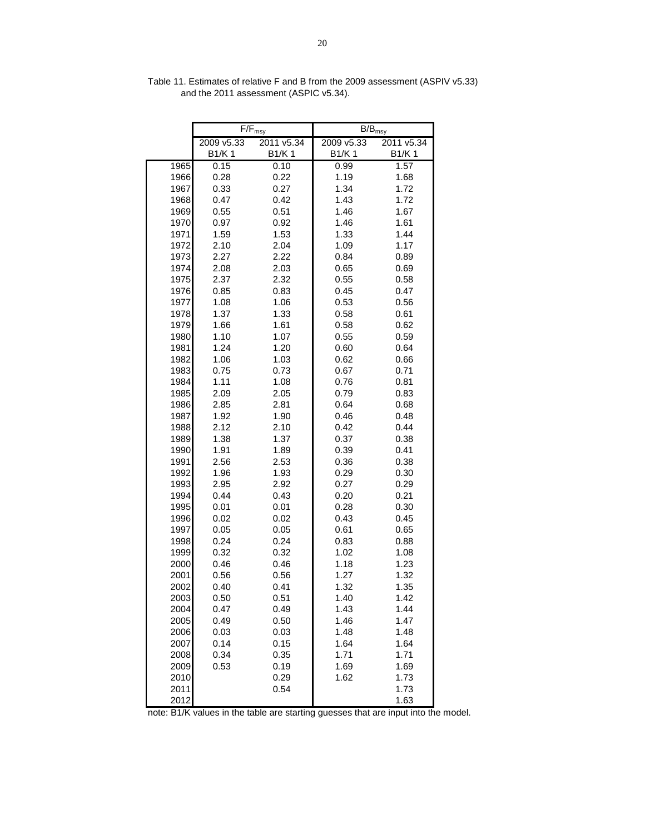|      |            | $F/F_{msy}$ | $\mathsf{B/B}_{\mathsf{msy}}$ |            |
|------|------------|-------------|-------------------------------|------------|
|      | 2009 v5.33 | 2011 v5.34  | 2009 v5.33                    | 2011 v5.34 |
|      | B1/K 1     | B1/K 1      | B1/K 1                        | B1/K 1     |
| 1965 | 0.15       | 0.10        | 0.99                          | 1.57       |
| 1966 | 0.28       | 0.22        | 1.19                          | 1.68       |
| 1967 | 0.33       | 0.27        | 1.34                          | 1.72       |
| 1968 | 0.47       | 0.42        | 1.43                          | 1.72       |
| 1969 | 0.55       | 0.51        | 1.46                          | 1.67       |
| 1970 | 0.97       | 0.92        | 1.46                          | 1.61       |
| 1971 | 1.59       | 1.53        | 1.33                          | 1.44       |
| 1972 | 2.10       | 2.04        | 1.09                          | 1.17       |
| 1973 | 2.27       | 2.22        | 0.84                          | 0.89       |
| 1974 | 2.08       | 2.03        | 0.65                          | 0.69       |
| 1975 | 2.37       | 2.32        | 0.55                          | 0.58       |
| 1976 | 0.85       | 0.83        | 0.45                          | 0.47       |
| 1977 | 1.08       | 1.06        | 0.53                          | 0.56       |
| 1978 | 1.37       | 1.33        | 0.58                          | 0.61       |
| 1979 | 1.66       | 1.61        | 0.58                          | 0.62       |
| 1980 | 1.10       | 1.07        | 0.55                          | 0.59       |
| 1981 | 1.24       | 1.20        | 0.60                          | 0.64       |
| 1982 | 1.06       | 1.03        | 0.62                          | 0.66       |
| 1983 | 0.75       | 0.73        | 0.67                          | 0.71       |
| 1984 | 1.11       | 1.08        | 0.76                          | 0.81       |
| 1985 | 2.09       | 2.05        | 0.79                          | 0.83       |
| 1986 | 2.85       | 2.81        | 0.64                          | 0.68       |
| 1987 | 1.92       | 1.90        | 0.46                          | 0.48       |
| 1988 | 2.12       | 2.10        | 0.42                          | 0.44       |
| 1989 | 1.38       | 1.37        | 0.37                          | 0.38       |
| 1990 | 1.91       | 1.89        | 0.39                          | 0.41       |
| 1991 | 2.56       | 2.53        | 0.36                          | 0.38       |
| 1992 | 1.96       | 1.93        | 0.29                          | 0.30       |
| 1993 | 2.95       | 2.92        | 0.27                          | 0.29       |
| 1994 | 0.44       | 0.43        | 0.20                          | 0.21       |
| 1995 | 0.01       | 0.01        | 0.28                          | 0.30       |
| 1996 | 0.02       | 0.02        | 0.43                          | 0.45       |
| 1997 | 0.05       | 0.05        | 0.61                          | 0.65       |
| 1998 | 0.24       | 0.24        | 0.83                          | 0.88       |
| 1999 | 0.32       | 0.32        | 1.02                          | 1.08       |
| 2000 | 0.46       | 0.46        | 1.18                          | 1.23       |
| 2001 | 0.56       | 0.56        | 1.27                          | 1.32       |
| 2002 | 0.40       | 0.41        | 1.32                          | 1.35       |
| 2003 | 0.50       | 0.51        | 1.40                          | 1.42       |
| 2004 | 0.47       | 0.49        | 1.43                          | 1.44       |
| 2005 | 0.49       | 0.50        | 1.46                          | 1.47       |
| 2006 | 0.03       | 0.03        | 1.48                          | 1.48       |
| 2007 | 0.14       | 0.15        | 1.64                          | 1.64       |
| 2008 | 0.34       | 0.35        | 1.71                          | 1.71       |
| 2009 | 0.53       | 0.19        | 1.69                          | 1.69       |
| 2010 |            | 0.29        | 1.62                          | 1.73       |
| 2011 |            | 0.54        |                               | 1.73       |
| 2012 |            |             |                               | 1.63       |

Table 11. Estimates of relative F and B from the 2009 assessment (ASPIV v5.33) and the 2011 assessment (ASPIC v5.34).

note: B1/K values in the table are starting guesses that are input into the model.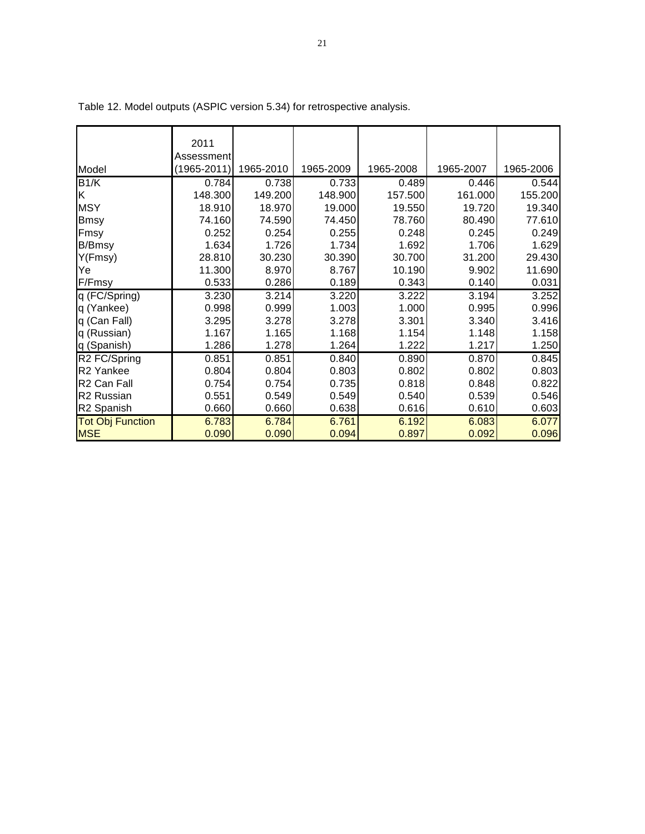|                         | 2011            |           |           |           |           |           |
|-------------------------|-----------------|-----------|-----------|-----------|-----------|-----------|
|                         |                 |           |           |           |           |           |
|                         | Assessment      |           |           |           |           |           |
| Model                   | $(1965 - 2011)$ | 1965-2010 | 1965-2009 | 1965-2008 | 1965-2007 | 1965-2006 |
| B1/K                    | 0.784           | 0.738     | 0.733     | 0.489     | 0.446     | 0.544     |
| K                       | 148.300         | 149.200   | 148.900   | 157.500   | 161.000   | 155.200   |
| <b>MSY</b>              | 18.910          | 18.970    | 19.000    | 19.550    | 19.720    | 19.340    |
| Bmsy                    | 74.160          | 74.590    | 74.450    | 78.760    | 80.490    | 77.610    |
| Fmsy                    | 0.252           | 0.254     | 0.255     | 0.248     | 0.245     | 0.249     |
| <b>B/Bmsy</b>           | 1.634           | 1.726     | 1.734     | 1.692     | 1.706     | 1.629     |
| Y(Fmsy)                 | 28.810          | 30.230    | 30.390    | 30.700    | 31.200    | 29.430    |
| Ye                      | 11.300          | 8.970     | 8.767     | 10.190    | 9.902     | 11.690    |
| F/Fmsy                  | 0.533           | 0.286     | 0.189     | 0.343     | 0.140     | 0.031     |
| q (FC/Spring)           | 3.230           | 3.214     | 3.220     | 3.222     | 3.194     | 3.252     |
| q (Yankee)              | 0.998           | 0.999     | 1.003     | 1.000     | 0.995     | 0.996     |
| q (Can Fall)            | 3.295           | 3.278     | 3.278     | 3.301     | 3.340     | 3.416     |
| q (Russian)             | 1.167           | 1.165     | 1.168     | 1.154     | 1.148     | 1.158     |
| q (Spanish)             | 1.286           | 1.278     | 1.264     | 1.222     | 1.217     | 1.250     |
| R2 FC/Spring            | 0.851           | 0.851     | 0.840     | 0.890     | 0.870     | 0.845     |
| R <sub>2</sub> Yankee   | 0.804           | 0.804     | 0.803     | 0.802     | 0.802     | 0.803     |
| R <sub>2</sub> Can Fall | 0.754           | 0.754     | 0.735     | 0.818     | 0.848     | 0.822     |
| R <sub>2</sub> Russian  | 0.551           | 0.549     | 0.549     | 0.540     | 0.539     | 0.546     |
| R <sub>2</sub> Spanish  | 0.660           | 0.660     | 0.638     | 0.616     | 0.610     | 0.603     |
| <b>Tot Obj Function</b> | 6.783           | 6.784     | 6.761     | 6.192     | 6.083     | 6.077     |
| <b>MSE</b>              | 0.090           | 0.090     | 0.094     | 0.897     | 0.092     | 0.096     |

Table 12. Model outputs (ASPIC version 5.34) for retrospective analysis.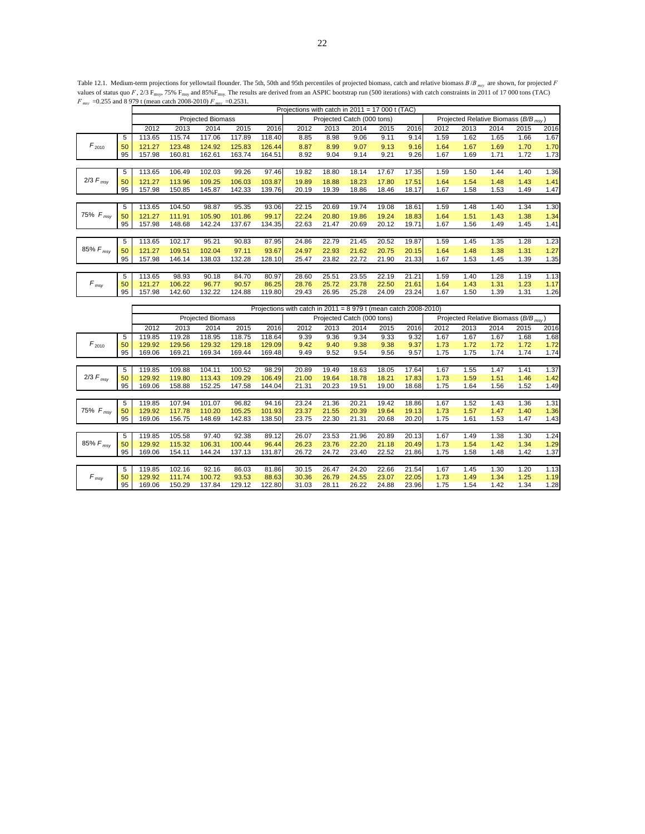Table 12.1. Medium-term projections for yellowtail flounder. The 5th, 50th and 95th percentiles of projected biomass, catch and relative biomass  $B/B_{mxy}$  are shown, for projected *F* values of status quo *F*,  $2/3$  F<sub>msy</sub>, 75% F<sub>msy</sub> and 85%F<sub>msy</sub>. The results are derived from an ASPIC bootstrap run (500 iterations) with catch constraints in 2011 of 17 000 tons (TAC) *F msy* =0.255 and 8 979 t (mean catch 2008-2010) *F msy* =0.2531.

| $\cdot$ msv   |    | $\frac{1}{2}$ and $\frac{1}{2}$ $\frac{1}{2}$ $\frac{1}{2}$ $\frac{1}{2}$ $\frac{1}{2}$ $\frac{1}{2}$ $\frac{1}{2}$ $\frac{1}{2}$ $\frac{1}{2}$ $\frac{1}{2}$ $\frac{1}{2}$ $\frac{1}{2}$ $\frac{1}{2}$ $\frac{1}{2}$ $\frac{1}{2}$ $\frac{1}{2}$ $\frac{1}{2}$ $\frac{1}{2}$ $\frac{1}{2}$ $\frac{1}{2}$ $\frac{1}{2$ |        |                          |        |        | Projections with catch in $2011 = 17000$ t (TAC) |       |                            |       |       |                                      |      |      |      |      |
|---------------|----|------------------------------------------------------------------------------------------------------------------------------------------------------------------------------------------------------------------------------------------------------------------------------------------------------------------------|--------|--------------------------|--------|--------|--------------------------------------------------|-------|----------------------------|-------|-------|--------------------------------------|------|------|------|------|
|               |    |                                                                                                                                                                                                                                                                                                                        |        | <b>Projected Biomass</b> |        |        |                                                  |       | Projected Catch (000 tons) |       |       | Projected Relative Biomass (B/B msy) |      |      |      |      |
|               |    | 2012                                                                                                                                                                                                                                                                                                                   | 2013   | 2014                     | 2015   | 2016   | 2012                                             | 2013  | 2014                       | 2015  | 2016  | 2012                                 | 2013 | 2014 | 2015 | 2016 |
|               | 5  | 113.65                                                                                                                                                                                                                                                                                                                 | 115.74 | 117.06                   | 117.89 | 118.40 | 8.85                                             | 8.98  | 9.06                       | 9.11  | 9.14  | 1.59                                 | 1.62 | 1.65 | 1.66 | 1.67 |
| $F_{2010}$    | 50 | 121.27                                                                                                                                                                                                                                                                                                                 | 123.48 | 124.92                   | 125.83 | 126.44 | 8.87                                             | 8.99  | 9.07                       | 9.13  | 9.16  | 1.64                                 | 1.67 | 1.69 | 1.70 | 1.70 |
|               | 95 | 157.98                                                                                                                                                                                                                                                                                                                 | 160.81 | 162.61                   | 163.74 | 164.51 | 8.92                                             | 9.04  | 9.14                       | 9.21  | 9.26  | 1.67                                 | 1.69 | 1.71 | 1.72 | 1.73 |
|               |    |                                                                                                                                                                                                                                                                                                                        |        |                          |        |        |                                                  |       |                            |       |       |                                      |      |      |      |      |
|               | 5  | 113.65                                                                                                                                                                                                                                                                                                                 | 106.49 | 102.03                   | 99.26  | 97.46  | 19.82                                            | 18.80 | 18.14                      | 17.67 | 17.35 | 1.59                                 | 1.50 | 1.44 | 1.40 | 1.36 |
| $2/3 F_{msy}$ | 50 | 121.27                                                                                                                                                                                                                                                                                                                 | 113.96 | 109.25                   | 106.03 | 103.87 | 19.89                                            | 18.88 | 18.23                      | 17.80 | 17.51 | 1.64                                 | 1.54 | 1.48 | 1.43 | 1.41 |
|               | 95 | 157.98                                                                                                                                                                                                                                                                                                                 | 150.85 | 145.87                   | 142.33 | 139.76 | 20.19                                            | 19.39 | 18.86                      | 18.46 | 18.17 | 1.67                                 | 1.58 | 1.53 | 1.49 | 1.47 |
|               |    |                                                                                                                                                                                                                                                                                                                        |        |                          |        |        |                                                  |       |                            |       |       |                                      |      |      |      |      |
|               | 5  | 113.65                                                                                                                                                                                                                                                                                                                 | 104.50 | 98.87                    | 95.35  | 93.06  | 22.15                                            | 20.69 | 19.74                      | 19.08 | 18.61 | 1.59                                 | 1.48 | 1.40 | 1.34 | 1.30 |
| 75% $F_{msy}$ | 50 | 121.27                                                                                                                                                                                                                                                                                                                 | 111.91 | 105.90                   | 101.86 | 99.17  | 22.24                                            | 20.80 | 19.86                      | 19.24 | 18.83 | 1.64                                 | 1.51 | 1.43 | 1.38 | 1.34 |
|               | 95 | 157.98                                                                                                                                                                                                                                                                                                                 | 148.68 | 142.24                   | 137.67 | 134.35 | 22.63                                            | 21.47 | 20.69                      | 20.12 | 19.71 | 1.67                                 | 1.56 | 1.49 | 1.45 | 1.41 |
|               |    |                                                                                                                                                                                                                                                                                                                        |        |                          |        |        |                                                  |       |                            |       |       |                                      |      |      |      |      |
|               | 5  | 113.65                                                                                                                                                                                                                                                                                                                 | 102.17 | 95.21                    | 90.83  | 87.95  | 24.86                                            | 22.79 | 21.45                      | 20.52 | 19.87 | 1.59                                 | 1.45 | 1.35 | 1.28 | 1.23 |
| 85% $F_{msy}$ | 50 | 121.27                                                                                                                                                                                                                                                                                                                 | 109.51 | 102.04                   | 97.11  | 93.67  | 24.97                                            | 22.93 | 21.62                      | 20.75 | 20.15 | 1.64                                 | 1.48 | 1.38 | 1.31 | 1.27 |
|               | 95 | 157.98                                                                                                                                                                                                                                                                                                                 | 146.14 | 138.03                   | 132.28 | 128.10 | 25.47                                            | 23.82 | 22.72                      | 21.90 | 21.33 | 1.67                                 | 1.53 | 1.45 | 1.39 | 1.35 |
|               |    |                                                                                                                                                                                                                                                                                                                        |        |                          |        |        |                                                  |       |                            |       |       |                                      |      |      |      |      |
| $F_{msv}$     | 5  | 113.65                                                                                                                                                                                                                                                                                                                 | 98.93  | 90.18                    | 84.70  | 80.97  | 28.60                                            | 25.51 | 23.55                      | 22.19 | 21.21 | 1.59                                 | 1.40 | 1.28 | 1.19 | 1.13 |
|               | 50 | 121.27                                                                                                                                                                                                                                                                                                                 | 106.22 | 96.77                    | 90.57  | 86.25  | 28.76                                            | 25.72 | 23.78                      | 22.50 | 21.61 | 1.64                                 | 1.43 | 1.31 | 1.23 | 1.17 |
|               | 95 | 157.98                                                                                                                                                                                                                                                                                                                 | 142.60 | 132.22                   | 124.88 | 119.80 | 29.43                                            | 26.95 | 25.28                      | 24.09 | 23.24 | 1.67                                 | 1.50 | 1.39 | 1.31 | 1.26 |

|                 |    |        |        |                          |        |        | Projections with catch in $2011 = 8979$ t (mean catch $2008-2010$ ) |       |                            |       |                              |      |      |                                            |      |      |
|-----------------|----|--------|--------|--------------------------|--------|--------|---------------------------------------------------------------------|-------|----------------------------|-------|------------------------------|------|------|--------------------------------------------|------|------|
|                 |    |        |        | <b>Projected Biomass</b> |        |        |                                                                     |       | Projected Catch (000 tons) |       |                              |      |      | Projected Relative Biomass ( $B/B_{msy}$ ) |      |      |
|                 |    | 2012   | 2013   | 2014                     | 2015   | 2016   | 2012                                                                | 2013  | 2014                       | 2015  | 2016<br>2012<br>2013<br>2014 |      |      |                                            | 2015 | 2016 |
|                 | 5  | 119.85 | 119.28 | 118.95                   | 118.75 | 118.64 | 9.39                                                                | 9.36  | 9.34                       | 9.33  | 9.32                         | 1.67 | 1.67 | 1.67                                       | 1.68 | 1.68 |
| $F_{2010}$      | 50 | 129.92 | 129.56 | 129.32                   | 129.18 | 129.09 | 9.42                                                                | 9.40  | 9.38                       | 9.38  | 9.37                         | 1.73 | 1.72 | 1.72                                       | 1.72 | 1.72 |
|                 | 95 | 169.06 | 169.21 | 169.34                   | 169.44 | 169.48 | 9.49                                                                | 9.52  | 9.54                       | 9.56  | 9.57                         | 1.75 | 1.75 | 1.74                                       | 1.74 | 1.74 |
|                 |    |        |        |                          |        |        |                                                                     |       |                            |       |                              |      |      |                                            |      |      |
|                 | 5  | 119.85 | 109.88 | 104.11                   | 100.52 | 98.29  | 20.89                                                               | 19.49 | 18.63                      | 18.05 | 17.64                        | 1.67 | 1.55 | 1.47                                       | 1.41 | 1.37 |
| $2/3$ $F_{msv}$ | 50 | 129.92 | 119.80 | 113.43                   | 109.29 | 106.49 | 21.00                                                               | 19.64 | 18.78                      | 18.21 | 17.83                        | 1.73 | 1.59 | 1.51                                       | 1.46 | 1.42 |
|                 | 95 | 169.06 | 158.88 | 152.25                   | 147.58 | 144.04 | 21.31                                                               | 20.23 | 19.51                      | 19.00 | 18.68                        | 1.75 | 1.64 | 1.56                                       | 1.52 | 1.49 |
|                 |    |        |        |                          |        |        |                                                                     |       |                            |       |                              |      |      |                                            |      |      |
|                 | 5  | 119.85 | 107.94 | 101.07                   | 96.82  | 94.16  | 23.24                                                               | 21.36 | 20.21                      | 19.42 | 18.86                        | 1.67 | 1.52 | 1.43                                       | 1.36 | 1.31 |
| 75% $F_{msy}$   | 50 | 129.92 | 117.78 | 110.20                   | 105.25 | 101.93 | 23.37                                                               | 21.55 | 20.39                      | 19.64 | 19.13                        | 1.73 | 1.57 | 1.47                                       | 1.40 | 1.36 |
|                 | 95 | 169.06 | 156.75 | 148.69                   | 142.83 | 138.50 | 23.75                                                               | 22.30 | 21.31                      | 20.68 | 20.20                        | 1.75 | 1.61 | 1.53                                       | 1.47 | 1.43 |
|                 |    |        |        |                          |        |        |                                                                     |       |                            |       |                              |      |      |                                            |      |      |
|                 | 5  | 119.85 | 105.58 | 97.40                    | 92.38  | 89.12  | 26.07                                                               | 23.53 | 21.96                      | 20.89 | 20.13                        | 1.67 | 1.49 | 1.38                                       | 1.30 | 1.24 |
| 85% $F_{msv}$   | 50 | 129.92 | 115.32 | 106.31                   | 100.44 | 96.44  | 26.23                                                               | 23.76 | 22.20                      | 21.18 | 20.49                        | 1.73 | 1.54 | 1.42                                       | 1.34 | 1.29 |
|                 | 95 | 169.06 | 154.11 | 144.24                   | 137.13 | 131.87 | 26.72                                                               | 24.72 | 23.40                      | 22.52 | 21.86                        | 1.75 | 1.58 | 1.48                                       | 1.42 | 1.37 |
|                 |    |        |        |                          |        |        |                                                                     |       |                            |       |                              |      |      |                                            |      |      |
| $F_{msv}$       | 5  | 119.85 | 102.16 | 92.16                    | 86.03  | 81.86  | 30.15                                                               | 26.47 | 24.20                      | 22.66 | 21.54                        | 1.67 | 1.45 | 1.30                                       | 1.20 | 1.13 |
|                 | 50 | 129.92 | 111.74 | 100.72                   | 93.53  | 88.63  | 30.36                                                               | 26.79 | 24.55                      | 23.07 | 22.05                        | 1.73 | 1.49 | 1.34                                       | 1.25 | 1.19 |
|                 | 95 | 169.06 | 150.29 | 137.84                   | 129.12 | 122.80 | 31.03                                                               | 28.11 | 26.22                      | 24.88 | 23.96                        | 1.75 | 1.54 | 1.42                                       | 1.34 | 1.28 |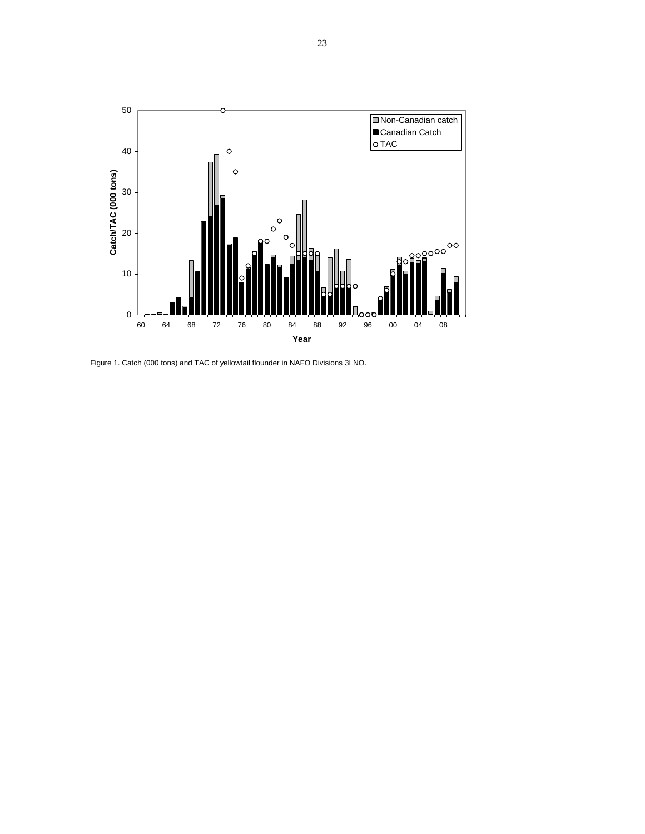

Figure 1. Catch (000 tons) and TAC of yellowtail flounder in NAFO Divisions 3LNO.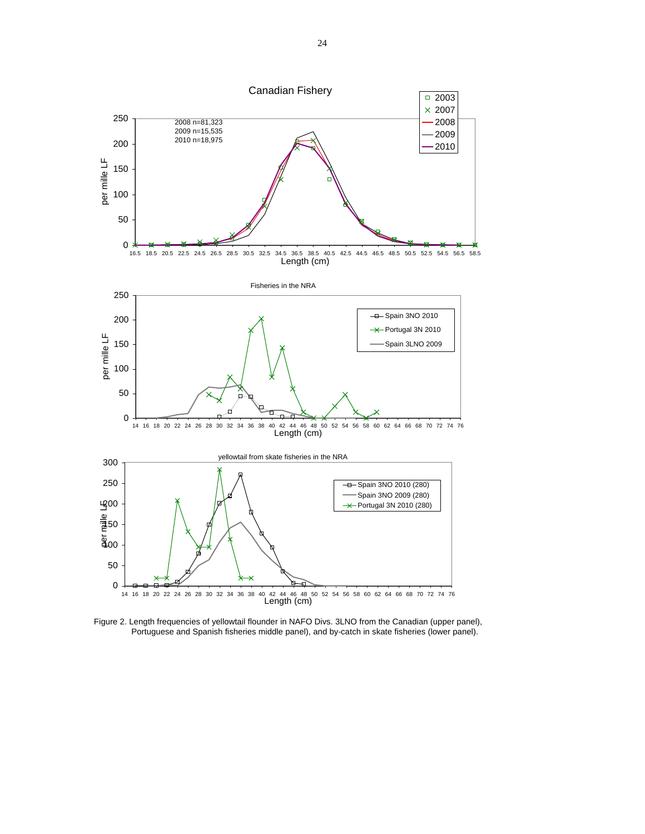

Figure 2. Length frequencies of yellowtail flounder in NAFO Divs. 3LNO from the Canadian (upper panel), Portuguese and Spanish fisheries middle panel), and by-catch in skate fisheries (lower panel).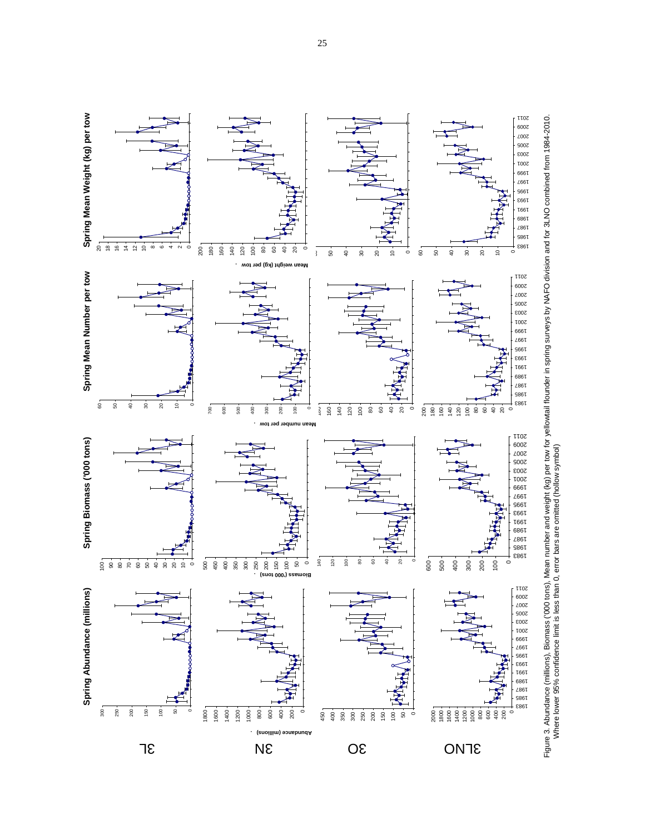

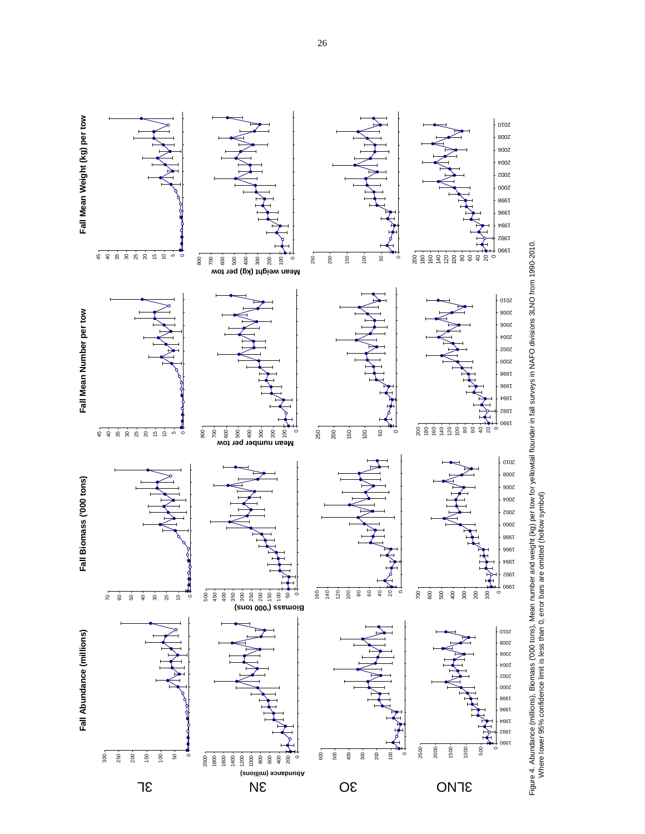

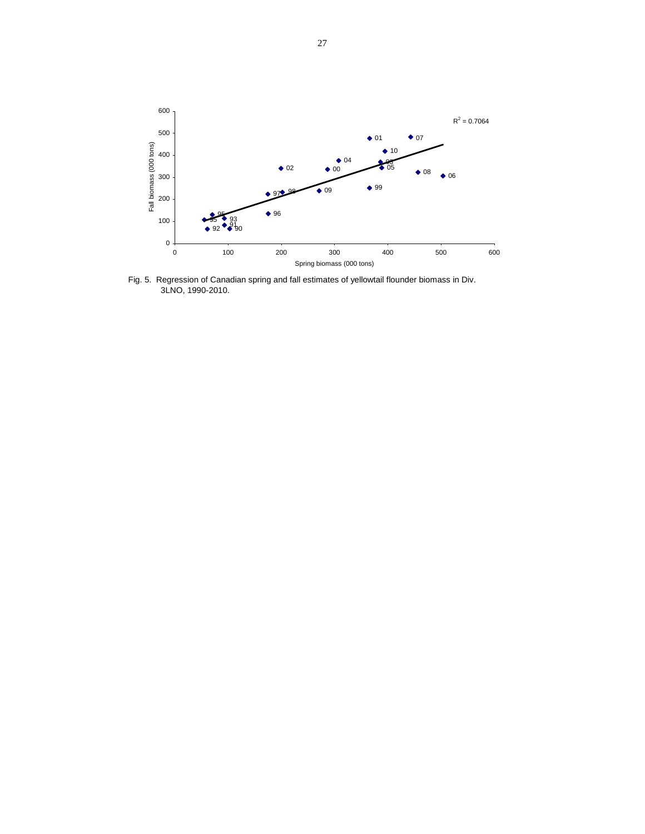

Fig. 5. Regression of Canadian spring and fall estimates of yellowtail flounder biomass in Div. 3LNO, 1990-2010.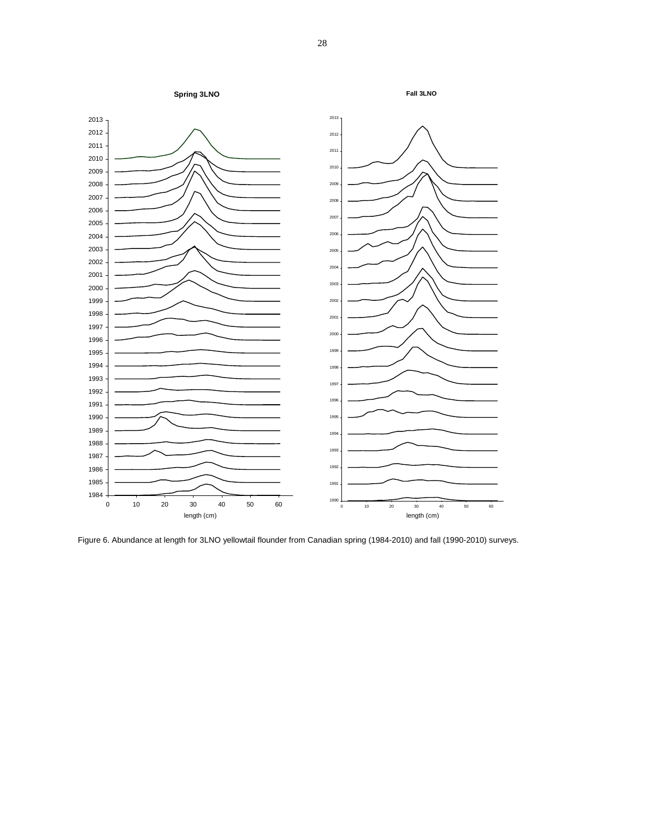

Figure 6. Abundance at length for 3LNO yellowtail flounder from Canadian spring (1984-2010) and fall (1990-2010) surveys.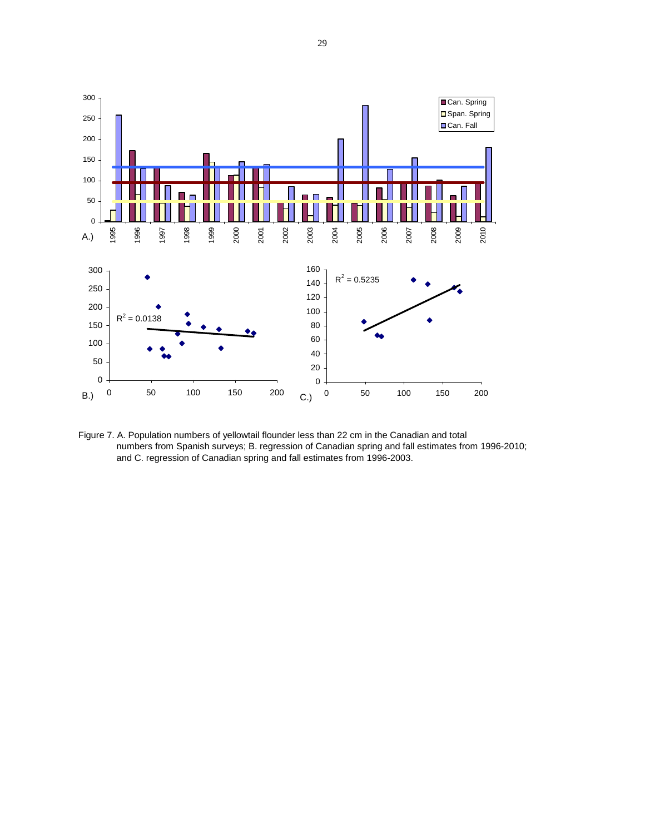

Figure 7. A. Population numbers of yellowtail flounder less than 22 cm in the Canadian and total numbers from Spanish surveys; B. regression of Canadian spring and fall estimates from 1996-2010; and C. regression of Canadian spring and fall estimates from 1996-2003.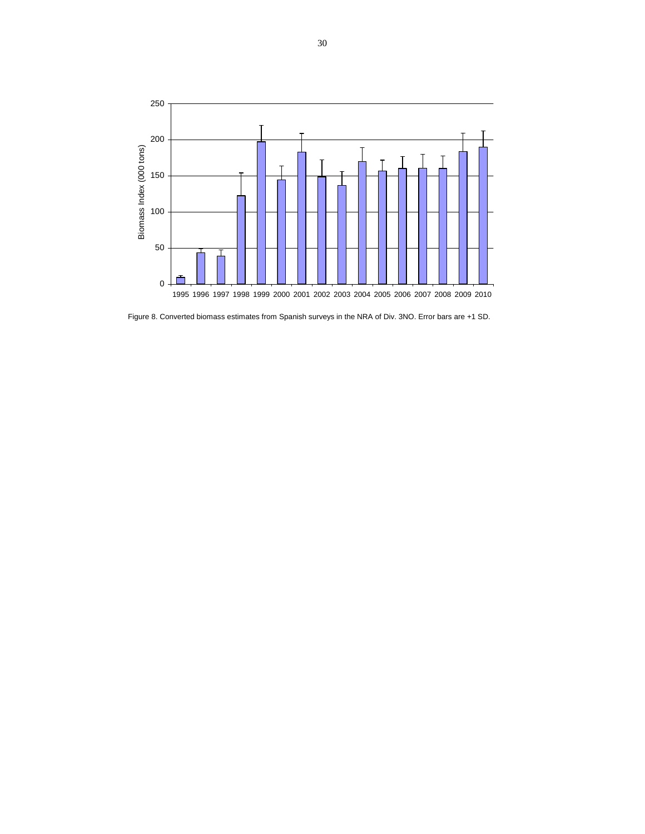

Figure 8. Converted biomass estimates from Spanish surveys in the NRA of Div. 3NO. Error bars are +1 SD.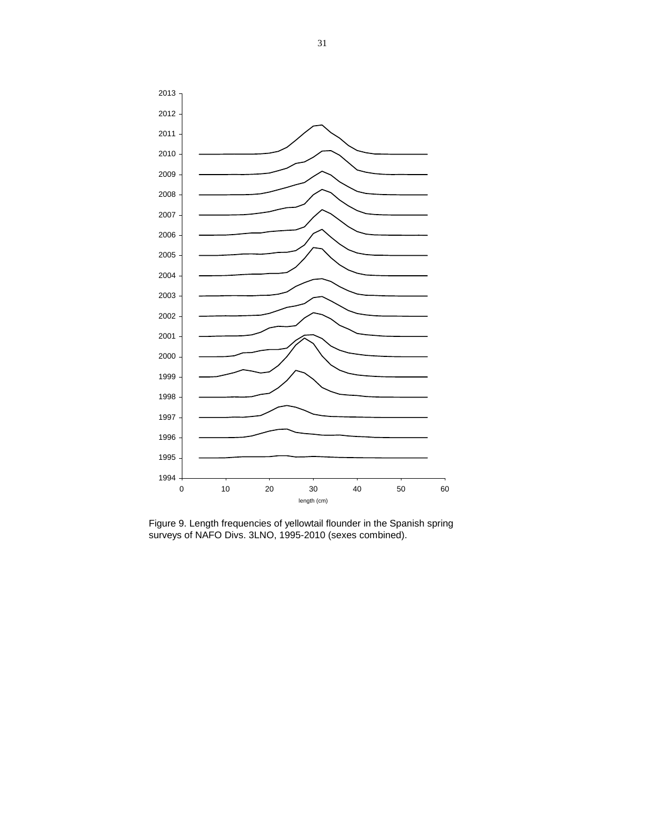

Figure 9. Length frequencies of yellowtail flounder in the Spanish spring surveys of NAFO Divs. 3LNO, 1995-2010 (sexes combined).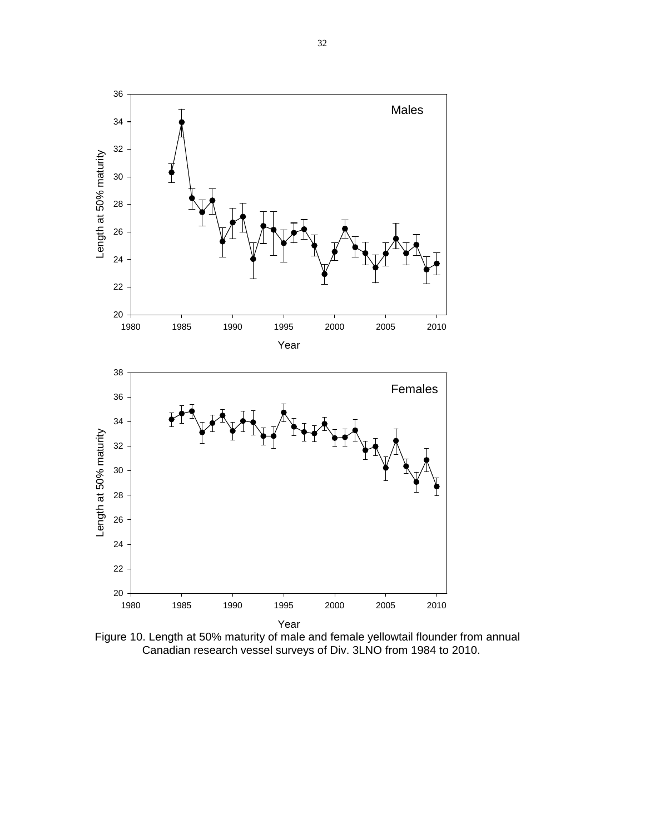

Figure 10. Length at 50% maturity of male and female yellowtail flounder from annual Canadian research vessel surveys of Div. 3LNO from 1984 to 2010.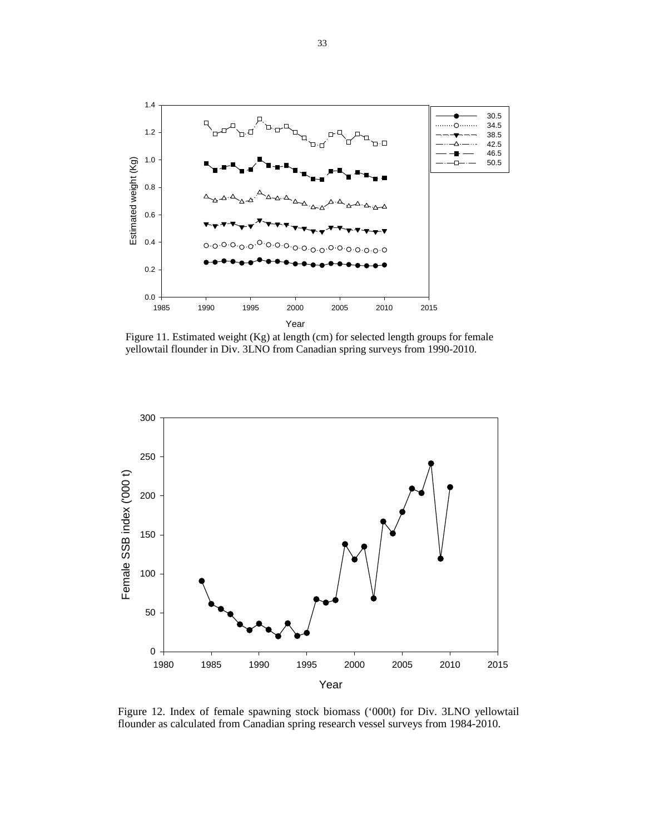

Figure 11. Estimated weight (Kg) at length (cm) for selected length groups for female yellowtail flounder in Div. 3LNO from Canadian spring surveys from 1990-2010.



Figure 12. Index of female spawning stock biomass ('000t) for Div. 3LNO yellowtail flounder as calculated from Canadian spring research vessel surveys from 1984-2010.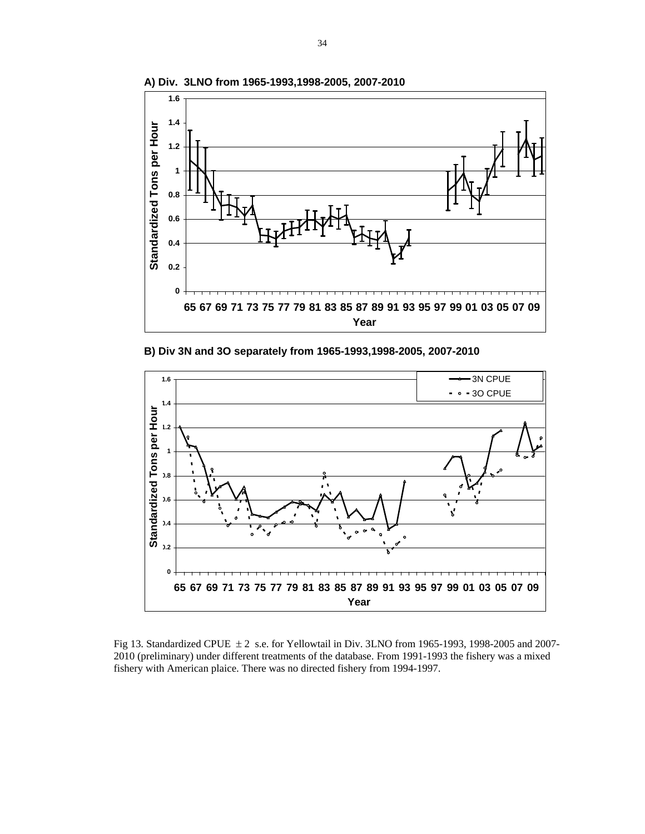

**A) Div. 3LNO from 1965-1993,1998-2005, 2007-2010**

**B) Div 3N and 3O separately from 1965-1993,1998-2005, 2007-2010**



Fig 13. Standardized CPUE  $\pm 2$  s.e. for Yellowtail in Div. 3LNO from 1965-1993, 1998-2005 and 2007-2010 (preliminary) under different treatments of the database. From 1991-1993 the fishery was a mixed fishery with American plaice. There was no directed fishery from 1994-1997.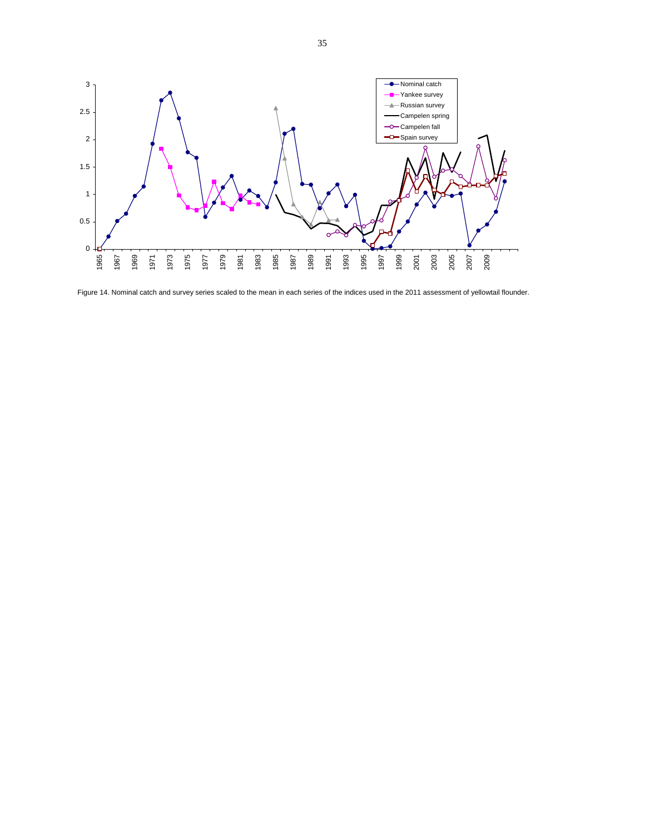

Figure 14. Nominal catch and survey series scaled to the mean in each series of the indices used in the 2011 assessment of yellowtail flounder.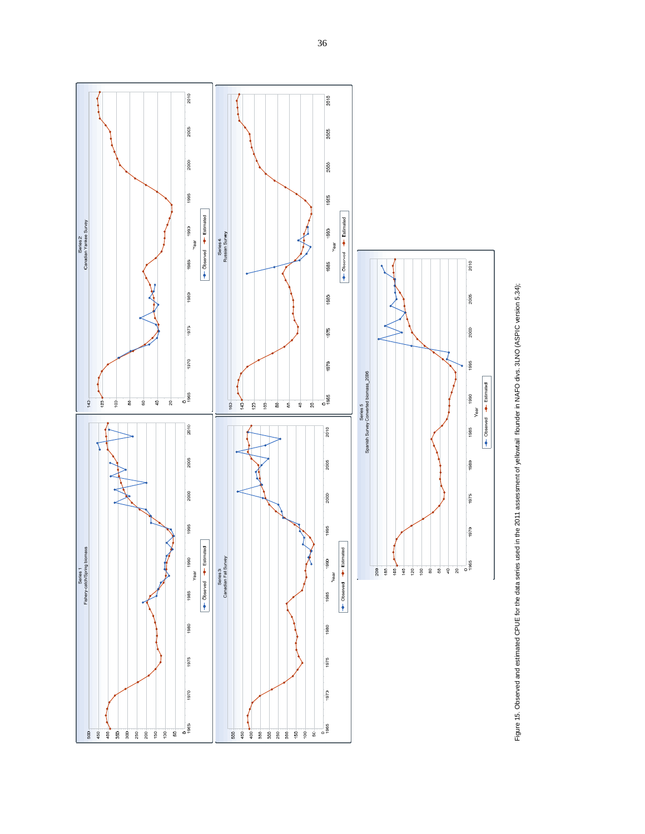

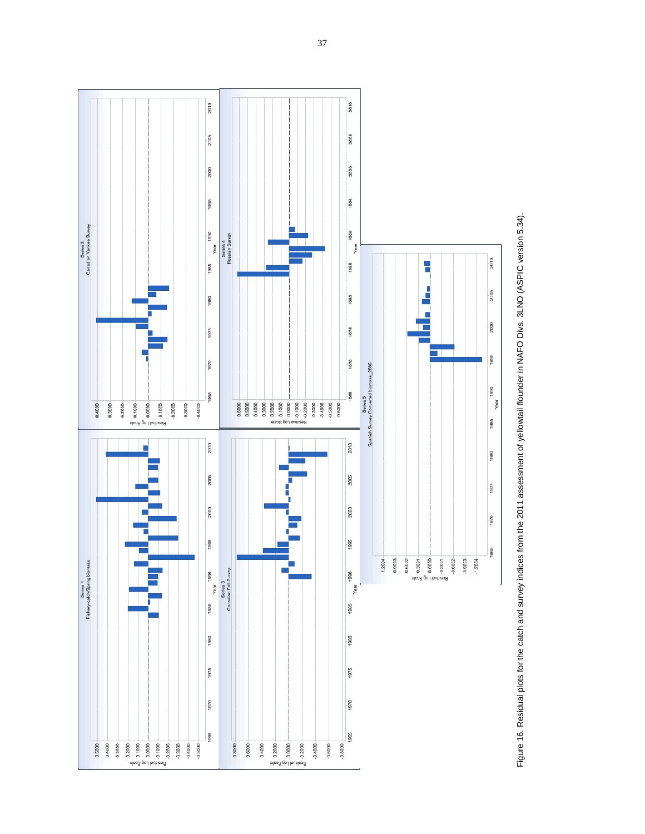

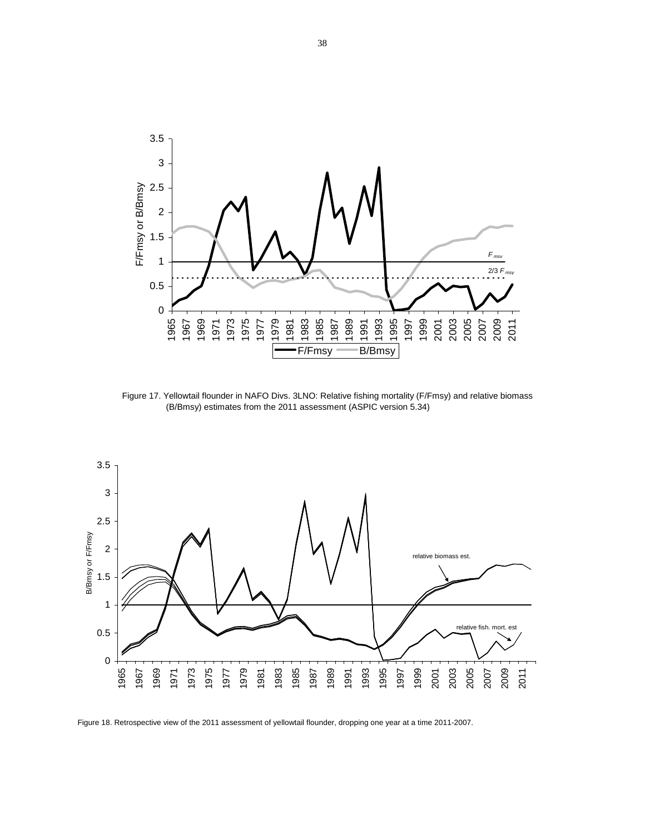

Figure 17. Yellowtail flounder in NAFO Divs. 3LNO: Relative fishing mortality (F/Fmsy) and relative biomass (B/Bmsy) estimates from the 2011 assessment (ASPIC version 5.34)



Figure 18. Retrospective view of the 2011 assessment of yellowtail flounder, dropping one year at a time 2011-2007.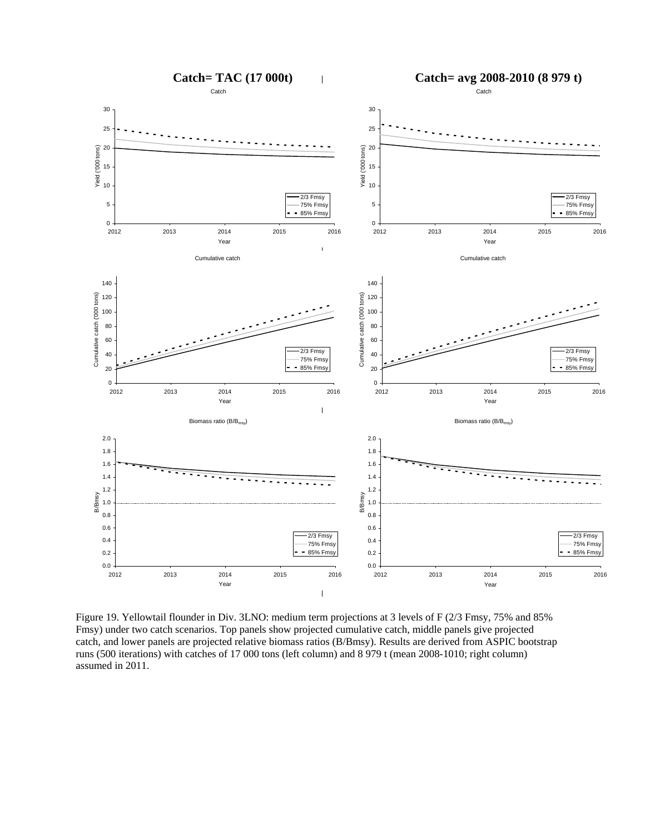

Figure 19. Yellowtail flounder in Div. 3LNO: medium term projections at 3 levels of F (2/3 Fmsy, 75% and 85% Fmsy) under two catch scenarios. Top panels show projected cumulative catch, middle panels give projected catch, and lower panels are projected relative biomass ratios (B/Bmsy). Results are derived from ASPIC bootstrap runs (500 iterations) with catches of 17 000 tons (left column) and 8 979 t (mean 2008-1010; right column) assumed in 2011.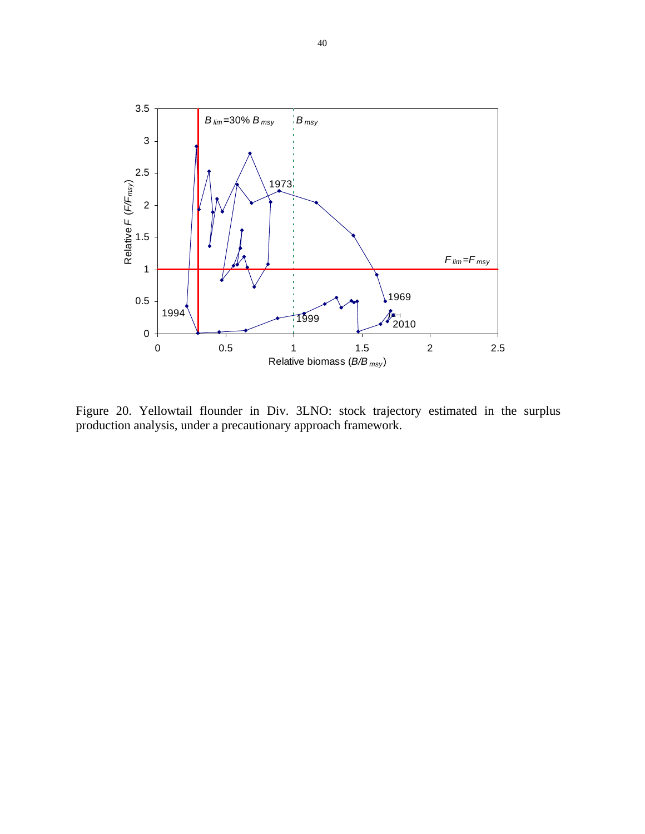

Figure 20. Yellowtail flounder in Div. 3LNO: stock trajectory estimated in the surplus production analysis, under a precautionary approach framework.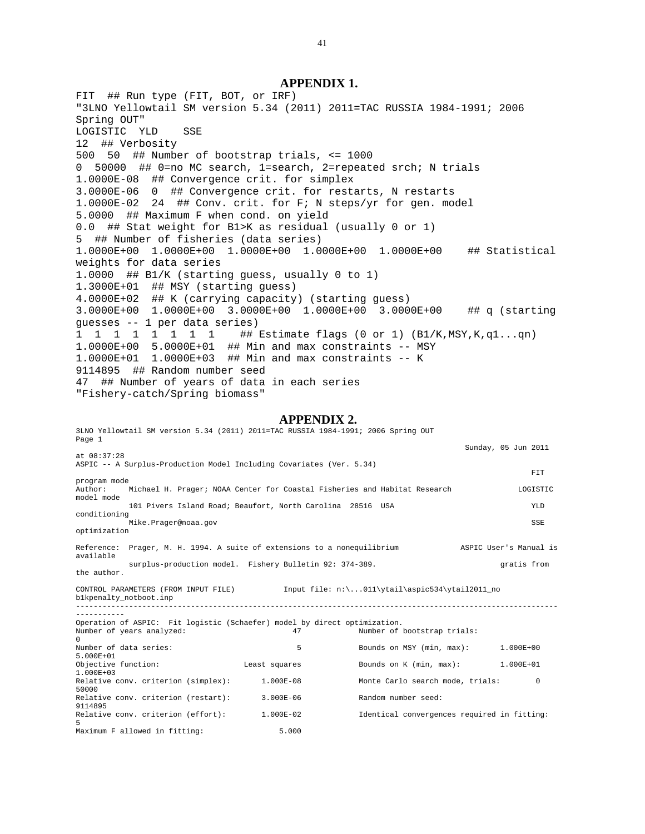# **APPENDIX 1.**

FIT ## Run type (FIT, BOT, or IRF) "3LNO Yellowtail SM version 5.34 (2011) 2011=TAC RUSSIA 1984-1991; 2006 Spring OUT" LOGISTIC YLD SSE 12 ## Verbosity 500 50 ## Number of bootstrap trials, <= 1000 0 50000 ## 0=no MC search, 1=search, 2=repeated srch; N trials 1.0000E-08 ## Convergence crit. for simplex 3.0000E-06 0 ## Convergence crit. for restarts, N restarts 1.0000E-02 24 ## Conv. crit. for F; N steps/yr for gen. model 5.0000 ## Maximum F when cond. on yield 0.0 ## Stat weight for B1>K as residual (usually 0 or 1) 5 ## Number of fisheries (data series) 1.0000E+00 1.0000E+00 1.0000E+00 1.0000E+00 1.0000E+00 ## Statistical weights for data series 1.0000 ## B1/K (starting guess, usually 0 to 1) 1.3000E+01 ## MSY (starting guess) 4.0000E+02 ## K (carrying capacity) (starting guess) 3.0000E+00 1.0000E+00 3.0000E+00 1.0000E+00 3.0000E+00 ## q (starting guesses -- 1 per data series) 1 1 1 1 1 1 1 1 ## Estimate flags (0 or 1) (B1/K, MSY, K, q1...qn) 1.0000E+00 5.0000E+01 ## Min and max constraints -- MSY 1.0000E+01 1.0000E+03 ## Min and max constraints -- K 9114895 ## Random number seed 47 ## Number of years of data in each series "Fishery-catch/Spring biomass"

# **APPENDIX 2.**

| Page 1                                | 3LNO Yellowtail SM version 5.34 (2011) 2011=TAC RUSSIA 1984-1991; 2006 Spring OUT |               |                                                                                     |                        |
|---------------------------------------|-----------------------------------------------------------------------------------|---------------|-------------------------------------------------------------------------------------|------------------------|
|                                       |                                                                                   |               |                                                                                     | Sunday, 05 Jun 2011    |
| at $08:37:28$                         |                                                                                   |               |                                                                                     |                        |
|                                       | ASPIC -- A Surplus-Production Model Including Covariates (Ver. 5.34)              |               |                                                                                     | <b>FTT</b>             |
| program mode                          |                                                                                   |               |                                                                                     |                        |
| Author:<br>model mode                 |                                                                                   |               | Michael H. Prager; NOAA Center for Coastal Fisheries and Habitat Research           | LOGISTIC               |
| conditioning                          | 101 Pivers Island Road; Beaufort, North Carolina 28516 USA                        |               |                                                                                     | YLD                    |
|                                       | Mike.Prager@noaa.gov                                                              |               |                                                                                     | SSE                    |
| optimization                          |                                                                                   |               |                                                                                     |                        |
| available                             | Reference: Prager, M. H. 1994. A suite of extensions to a nonequilibrium          |               |                                                                                     | ASPIC User's Manual is |
|                                       | surplus-production model. Fishery Bulletin 92: 374-389.                           |               |                                                                                     | gratis from            |
| the author.                           |                                                                                   |               |                                                                                     |                        |
|                                       | blkpenalty notboot.inp                                                            |               | CONTROL PARAMETERS (FROM INPUT FILE) [nput file: n:\011\ytail\aspic534\ytail2011 no |                        |
| -----------                           |                                                                                   |               |                                                                                     |                        |
|                                       | Operation of ASPIC: Fit logistic (Schaefer) model by direct optimization.         |               |                                                                                     |                        |
| <sup>o</sup>                          | Number of years analyzed:                                                         | 47            | Number of bootstrap trials:                                                         |                        |
| $5.000E + 01$                         | Number of data series:                                                            | 5             | Bounds on MSY $(min, max): 1,000E+00$                                               |                        |
| Objective function:<br>$1.000E + 0.3$ |                                                                                   | Least squares | Bounds on K $(min, max): 1.000E+01$                                                 |                        |
| 50000                                 | Relative conv. criterion (simplex):                                               | $1.000E-08$   | Monte Carlo search mode, trials:                                                    | $\Omega$               |
| 9114895                               | Relative conv. criterion (restart):                                               | $3.000E - 06$ | Random number seed:                                                                 |                        |
| 5.                                    | Relative conv. criterion (effort):                                                | 1.000E-02     | Identical convergences required in fitting:                                         |                        |
|                                       | Maximum F allowed in fitting:                                                     | 5.000         |                                                                                     |                        |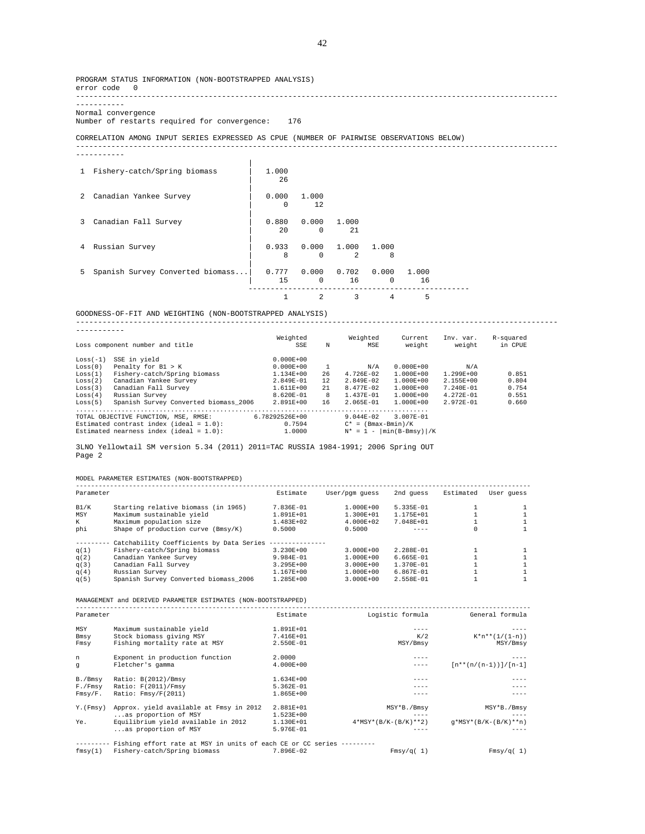PROGRAM STATUS INFORMATION (NON-BOOTSTRAPPED ANALYSIS) error code 0 -------------------------------------------------------------------------------------------------------------

----------- Normal convergence

Number of restarts required for convergence: 176

CORRELATION AMONG INPUT SERIES EXPRESSED AS CPUE (NUMBER OF PAIRWISE OBSERVATIONS BELOW)

-----------

| $\mathbf{1}$ | Fishery-catch/Spring biomass     | 1,000<br>2.6      |                                       |                                           |          |             |  |
|--------------|----------------------------------|-------------------|---------------------------------------|-------------------------------------------|----------|-------------|--|
| 2            | Canadian Yankee Survey           | 0.000<br>$\Omega$ | 1.000<br>12                           |                                           |          |             |  |
| 3            | Canadian Fall Survey             | 0.880<br>$20 -$   | 0.000<br>$\Omega$                     | 1.000<br>2.1                              |          |             |  |
| 4            | Russian Survey                   | 0.933<br>8        | $\Omega$                              | $0.000$ $1.000$ $1.000$<br>$\mathfrak{D}$ | 8        |             |  |
| 5.           | Spanish Survey Converted biomass | $15 -$            | $0.777$ 0.000 0.702 0.000<br>$\Omega$ | 16                                        | $\Omega$ | 1.000<br>16 |  |
|              |                                  |                   | $\mathcal{L}$                         | 3                                         | 4        | 5           |  |

GOODNESS-OF-FIT AND WEIGHTING (NON-BOOTSTRAPPED ANALYSIS) ------------------------------------------------------------------------------------------------------------- ----------- Weighted Weighted Current Inv. var. R-squared Loss component number and title SSE N MSE weight weight in CPUE Loss(-1) SSE in yield 0.000E+00 Loss(0) Penalty for B1 > K 0.000E+00 1 N/A 0.000E+00 N/A Loss(1) Fishery-catch/Spring biomass 1.134E+00 26 4.726E-02 1.000E+00 1.299E+00 0.851 Loss(2) Canadian Yankee Survey 2.849E-01 12 2.849E-02 1.000E+00 2.155E+00 0.804 Loss(3) Canadian Fall Survey 1.611E+00 21 8.477E-02 1.000E+00 7.240E-01 0.754 Loss(4) Russian Survey 8.620E-01 8 1.437E-01 1.000E+00 4.272E-01 0.551 Loss(5) Spanish Survey Converted biomass\_2006 2.891E+00 16 2.065E-01 1.000E+00 2.972E-01 0.660

3LNO Yellowtail SM version 5.34 (2011) 2011=TAC RUSSIA 1984-1991; 2006 Spring OUT Page 2

............................................................................................. TOTAL OBJECTIVE FUNCTION, MSE, RMSE: 6.78292526E+00 9.044E-02 3.007E-01 Estimated contrast index (ideal = 1.0): 0.7594 C\* = (Bmax-Bmin)/K Estimated nearness index (ideal = 1.0): 1.0000 N\* = 1 - |min(B-Bmsy)|/K

MODEL PARAMETER ESTIMATES (NON-BOOTSTRAPPED)

| Parameter |                                          | Estimate        | User/pqm quess | 2nd quess     | Estimated | User quess |
|-----------|------------------------------------------|-----------------|----------------|---------------|-----------|------------|
| B1/K      | Starting relative biomass (in 1965)      | 7.836E-01       | $1.000E + 00$  | $5.335E - 01$ |           |            |
| MSY       | Maximum sustainable yield                | $1.891E + 01$   | $1.300E + 01$  | $1.175E + 01$ |           |            |
| K         | Maximum population size                  | $1.483E + 02$   | $4.000E + 02$  | 7.048E+01     |           |            |
| phi       | Shape of production curve (Bmsy/K)       | 0.5000          | 0.5000         | ----          | 0         |            |
|           | Catchability Coefficients by Data Series | --------------- |                |               |           |            |
| q(1)      | Fishery-catch/Spring biomass             | $3.230E + 00$   | $3.000E + 00$  | $2.288E - 01$ |           |            |
| q(2)      | Canadian Yankee Survey                   | $9.984E - 01$   | $1.000E + 00$  | $6.665E - 01$ |           |            |
| q(3)      | Canadian Fall Survey                     | $3.295E + 00$   | $3.000E + 00$  | $1.370E - 01$ |           |            |
| q(4)      | Russian Survey                           | 1.167E+00       | $1.000E + 00$  | $6.867E - 01$ |           |            |
| q(5)      | Spanish Survey Converted biomass 2006    | $1.285E + 00$   | $3.000E + 00$  | $2.558E - 01$ |           |            |

MANAGEMENT and DERIVED PARAMETER ESTIMATES (NON-BOOTSTRAPPED)

| Parameter |                                                                      | Estimate      | Logistic formula       | General formula          |
|-----------|----------------------------------------------------------------------|---------------|------------------------|--------------------------|
| MSY       | Maximum sustainable yield                                            | 1.891E+01     |                        |                          |
| Bmsy      | Stock biomass giving MSY                                             | 7.416E+01     | K/2                    | $K^*n^{**}(1/(1-n))$     |
| Fmsy      | Fishing mortality rate at MSY                                        | 2.550E-01     | MSY/Bmsy               | MSY/Bmsy                 |
| n         | Exponent in production function                                      | 2,0000        | ----                   |                          |
| q         | Fletcher's gamma                                                     | $4.000E + 00$ |                        | $[n**(n/(n-1))] / [n-1]$ |
| B./Bmsy   | Ratio: B(2012)/Bmsy                                                  | 1.634E+00     |                        |                          |
| F./Fmsy   | Ratio: F(2011)/Fmsy                                                  | 5.362E-01     |                        |                          |
| Fmsy/F.   | Ratio: Fmsy/F(2011)                                                  | $1.865E+00$   |                        |                          |
| Y. (Fmsy) | Approx. yield available at Fmsy in 2012                              | 2.881E+01     | MSY*B./Bmsy            | MSY*B./Bmsy              |
|           | as proportion of MSY                                                 | 1.523E+00     |                        |                          |
| Ye.       | Equilibrium yield available in 2012                                  | 1.130E+01     | $4*MSY*(B/K-(B/K)**2)$ | $q*MSY*(B/K-(B/K)**n)$   |
|           | as proportion of MSY                                                 | 5.976E-01     |                        |                          |
|           | Fishing effort rate at MSY in units of each CE or CC series -------- |               |                        |                          |
| fmsy(1)   | Fishery-catch/Spring biomass                                         | 7.896E-02     | Fmsy/q(1)              | Fmsy/q(1)                |

-------------------------------------------------------------------------------------------------------------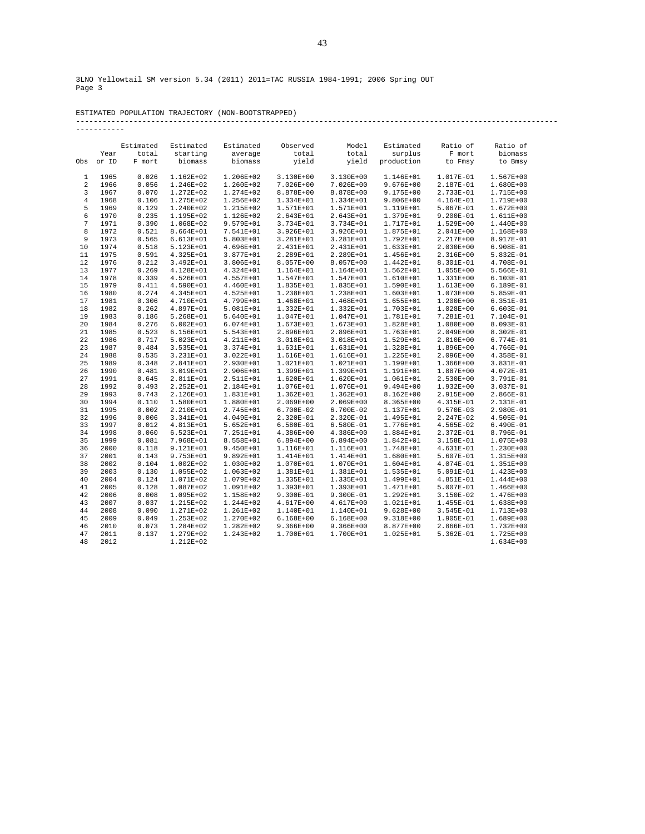|  | ESTIMATED POPULATION TRAJECTORY (NON-BOOTSTRAPPED) |
|--|----------------------------------------------------|

# ESTIMATED POPULATION TRAJECTORY (NON-BOOTSTRAPPED) ------------------------------------------------------------------------------------------------------------- -----------

|     |       | Estimated | Estimated     | Estimated     | Observed      | Model         | Estimated     | Ratio of      | Ratio of      |
|-----|-------|-----------|---------------|---------------|---------------|---------------|---------------|---------------|---------------|
|     | Year  | total     | starting      | average       | total         | total         | surplus       | F mort        | biomass       |
| Obs | or ID | F mort    | biomass       | biomass       | yield         | yield         | production    | to Fmsy       | to Bmsy       |
| 1   | 1965  | 0.026     | 1.162E+02     | 1.206E+02     | 3.130E+00     | 3.130E+00     | 1.146E+01     | 1.017E-01     | $1.567E + 00$ |
| 2   | 1966  | 0.056     | 1.246E+02     | 1.260E+02     | 7.026E+00     | 7.026E+00     | $9.676E + 00$ | 2.187E-01     | $1.680E+00$   |
| 3   | 1967  | 0.070     | 1.272E+02     | 1.274E+02     | 8.878E+00     | 8.878E+00     | $9.175E + 00$ | 2.733E-01     | 1.715E+00     |
| 4   | 1968  | 0.106     | 1.275E+02     | 1.256E+02     | 1.334E+01     | 1.334E+01     | $9.806E + 00$ | 4.164E-01     | 1.719E+00     |
| 5   | 1969  | 0.129     | 1.240E+02     | 1.215E+02     | 1.571E+01     | 1.571E+01     | 1.119E+01     | 5.067E-01     | $1.672E + 00$ |
| 6   | 1970  | 0.235     | 1.195E+02     | 1.126E+02     | 2.643E+01     | 2.643E+01     | 1.379E+01     | 9.200E-01     | 1.611E+00     |
| 7   | 1971  | 0.390     | 1.068E+02     | 9.579E+01     | 3.734E+01     | 3.734E+01     | 1.717E+01     | 1.529E+00     | 1.440E+00     |
| 8   | 1972  | 0.521     | 8.664E+01     | 7.541E+01     | $3.926E + 01$ | 3.926E+01     | 1.875E+01     | $2.041E+00$   | 1.168E+00     |
| 9   | 1973  | 0.565     | $6.613E+01$   | 5.803E+01     | 3.281E+01     | 3.281E+01     | 1.792E+01     | 2.217E+00     | 8.917E-01     |
| 10  | 1974  | 0.518     | 5.123E+01     | 4.696E+01     | 2.431E+01     | 2.431E+01     | 1.633E+01     | $2.030E+00$   | 6.908E-01     |
| 11  | 1975  | 0.591     | 4.325E+01     | 3.877E+01     | 2.289E+01     | 2.289E+01     | 1.456E+01     | 2.316E+00     | 5.832E-01     |
| 12  | 1976  | 0.212     | 3.492E+01     | 3.806E+01     | 8.057E+00     | 8.057E+00     | 1.442E+01     | 8.301E-01     | 4.708E-01     |
| 13  | 1977  | 0.269     | 4.128E+01     | 4.324E+01     | 1.164E+01     | 1.164E+01     | $1.562E + 01$ | 1.055E+00     | 5.566E-01     |
| 14  | 1978  | 0.339     | 4.526E+01     | 4.557E+01     | $1.547E + 01$ | 1.547E+01     | $1.610E+01$   | 1.331E+00     | $6.103E-01$   |
| 15  | 1979  | 0.411     | 4.590E+01     | 4.460E+01     | 1.835E+01     | 1.835E+01     | 1.590E+01     | 1.613E+00     | 6.189E-01     |
| 16  | 1980  | 0.274     | 4.345E+01     | 4.525E+01     | 1.238E+01     | 1.238E+01     | 1.603E+01     | 1.073E+00     | 5.859E-01     |
| 17  | 1981  | 0.306     | 4.710E+01     | 4.799E+01     | 1.468E+01     | 1.468E+01     | 1.655E+01     | 1.200E+00     | $6.351E-01$   |
| 18  | 1982  | 0.262     | 4.897E+01     | 5.081E+01     | 1.332E+01     | 1.332E+01     | 1.703E+01     | 1.028E+00     | $6.603E-01$   |
| 19  | 1983  | 0.186     | 5.268E+01     | 5.640E+01     | 1.047E+01     | 1.047E+01     | 1.781E+01     | 7.281E-01     | 7.104E-01     |
| 20  | 1984  | 0.276     | $6.002E + 01$ | 6.074E+01     | 1.673E+01     | 1.673E+01     | 1.828E+01     | 1.080E+00     | 8.093E-01     |
| 21  | 1985  | 0.523     | $6.156E + 01$ | 5.543E+01     | 2.896E+01     | 2.896E+01     | 1.763E+01     | 2.049E+00     | 8.302E-01     |
| 22  | 1986  | 0.717     | 5.023E+01     | 4.211E+01     | 3.018E+01     | 3.018E+01     | 1.529E+01     | 2.810E+00     | 6.774E-01     |
| 23  | 1987  | 0.484     | 3.535E+01     | 3.374E+01     | 1.631E+01     | 1.631E+01     | 1.328E+01     | 1.896E+00     | 4.766E-01     |
| 24  | 1988  | 0.535     | 3.231E+01     | 3.022E+01     | 1.616E+01     | 1.616E+01     | 1.225E+01     | $2.096E + 00$ | 4.358E-01     |
| 25  | 1989  | 0.348     | 2.841E+01     | 2.930E+01     | 1.021E+01     | 1.021E+01     | 1.199E+01     | 1.366E+00     | 3.831E-01     |
| 26  | 1990  | 0.481     | 3.019E+01     | 2.906E+01     | 1.399E+01     | 1.399E+01     | 1.191E+01     | 1.887E+00     | 4.072E-01     |
| 27  | 1991  | 0.645     | 2.811E+01     | 2.511E+01     | 1.620E+01     | 1.620E+01     | 1.061E+01     | 2.530E+00     | 3.791E-01     |
| 28  | 1992  | 0.493     | 2.252E+01     | 2.184E+01     | 1.076E+01     | 1.076E+01     | $9.494E + 00$ | 1.932E+00     | 3.037E-01     |
| 29  | 1993  | 0.743     | 2.126E+01     | 1.831E+01     | $1.362E + 01$ | 1.362E+01     | 8.162E+00     | 2.915E+00     | 2.866E-01     |
| 30  | 1994  | 0.110     | 1.580E+01     | 1.880E+01     | 2.069E+00     | 2.069E+00     | 8.365E+00     | 4.315E-01     | 2.131E-01     |
| 31  | 1995  | 0.002     | 2.210E+01     | 2.745E+01     | 6.700E-02     | 6.700E-02     | 1.137E+01     | $9.570E-03$   | 2.980E-01     |
| 32  | 1996  | 0.006     | 3.341E+01     | 4.049E+01     | 2.320E-01     | 2.320E-01     | 1.495E+01     | 2.247E-02     | 4.505E-01     |
| 33  | 1997  | 0.012     | 4.813E+01     | $5.652E + 01$ | 6.580E-01     | 6.580E-01     | 1.776E+01     | 4.565E-02     | $6.490E-01$   |
| 34  | 1998  | 0.060     | 6.523E+01     | 7.251E+01     | $4.386E+00$   | 4.386E+00     | 1.884E+01     | 2.372E-01     | 8.796E-01     |
| 35  | 1999  | 0.081     | 7.968E+01     | 8.558E+01     | $6.894E+00$   | $6.894E+00$   | 1.842E+01     | 3.158E-01     | 1.075E+00     |
| 36  | 2000  | 0.118     | 9.121E+01     | 9.450E+01     | 1.116E+01     | 1.116E+01     | 1.748E+01     | 4.631E-01     | $1.230E+00$   |
| 37  | 2001  | 0.143     | 9.753E+01     | 9.892E+01     | 1.414E+01     | 1.414E+01     | 1.680E+01     | 5.607E-01     | 1.315E+00     |
| 38  | 2002  | 0.104     | $1.002E + 02$ | 1.030E+02     | 1.070E+01     | 1.070E+01     | $1.604E + 01$ | 4.074E-01     | $1.351E+00$   |
| 39  | 2003  | 0.130     | 1.055E+02     | 1.063E+02     | 1.381E+01     | 1.381E+01     | 1.535E+01     | 5.091E-01     | $1.423E + 00$ |
| 40  | 2004  | 0.124     | 1.071E+02     | 1.079E+02     | 1.335E+01     | 1.335E+01     | 1.499E+01     | 4.851E-01     | $1.444E + 00$ |
| 41  | 2005  | 0.128     | 1.087E+02     | 1.091E+02     | 1.393E+01     | 1.393E+01     | 1.471E+01     | 5.007E-01     | $1.466E+00$   |
| 42  | 2006  | 0.008     | 1.095E+02     | 1.158E+02     | $9.300E - 01$ | 9.300E-01     | $1.292E + 01$ | 3.150E-02     | $1.476E+00$   |
| 43  | 2007  | 0.037     | 1.215E+02     | 1.244E+02     | 4.617E+00     | 4.617E+00     | 1.021E+01     | 1.455E-01     | 1.638E+00     |
| 44  | 2008  | 0.090     | 1.271E+02     | 1.261E+02     | 1.140E+01     | 1.140E+01     | $9.628E + 00$ | 3.545E-01     | $1.713E+00$   |
| 45  | 2009  | 0.049     | 1.253E+02     | 1.270E+02     | $6.168E + 00$ | $6.168E + 00$ | $9.318E+00$   | 1.905E-01     | 1.689E+00     |
| 46  | 2010  | 0.073     | 1.284E+02     | 1.282E+02     | $9.366E + 00$ | $9.366E + 00$ | 8.877E+00     | 2.866E-01     | 1.732E+00     |
| 47  | 2011  | 0.137     | 1.279E+02     | 1.243E+02     | 1.700E+01     | 1.700E+01     | 1.025E+01     | 5.362E-01     | $1.725E + 00$ |
| 48  | 2012  |           | 1.212E+02     |               |               |               |               |               | $1.634E + 00$ |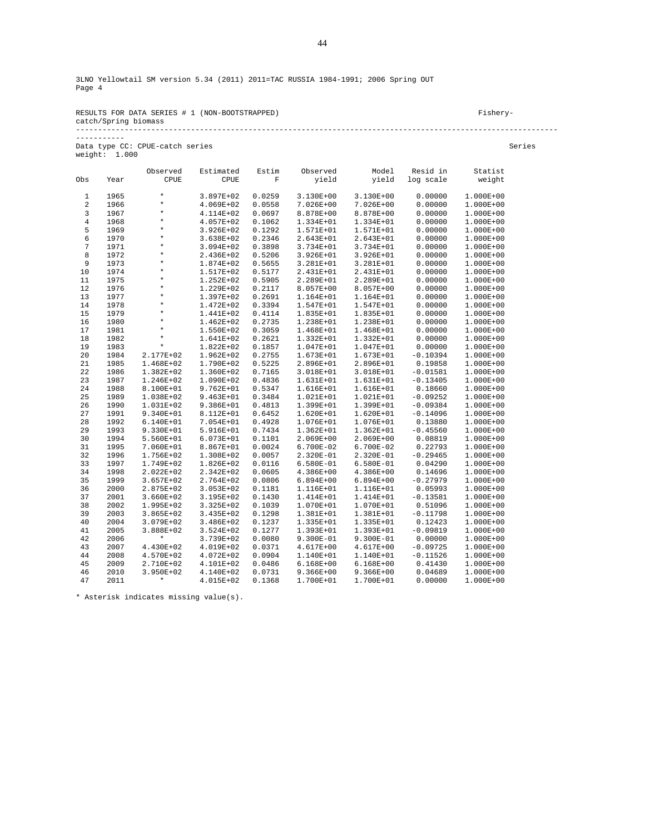| RESULTS FOR DATA SERIES # 1 (NON-BOOTSTRAPPED) | Fishery- |
|------------------------------------------------|----------|
| catch/Spring biomass                           |          |
|                                                |          |

Data type CC: CPUE-catch series Series weight: 1.000

-----------

|            |              | Observed      | Estimated              | Estim            | Observed               | Model                  | Resid in   | Statist                |
|------------|--------------|---------------|------------------------|------------------|------------------------|------------------------|------------|------------------------|
| Obs        | Year         | CPUE          | CPUE                   | F                | yield                  | yield                  | log scale  | weight                 |
| 1          | 1965         | $\star$       | 3.897E+02              | 0.0259           | 3.130E+00              | 3.130E+00              | 0.00000    | 1.000E+00              |
| $\sqrt{2}$ | 1966         | $\star$       | 4.069E+02              | 0.0558           | 7.026E+00              | $7.026E + 00$          | 0.00000    | $1.000E + 00$          |
| 3          | 1967         | $\star$       | 4.114E+02              | 0.0697           | 8.878E+00              | 8.878E+00              | 0.00000    | 1.000E+00              |
| $\,4$      | 1968         | $\star$       | 4.057E+02              | 0.1062           | 1.334E+01              | 1.334E+01              | 0.00000    | 1.000E+00              |
| 5          | 1969         | $\star$       | 3.926E+02              | 0.1292           | 1.571E+01              | 1.571E+01              | 0.00000    | 1.000E+00              |
| 6          | 1970         | $\star$       | 3.638E+02              | 0.2346           | 2.643E+01              | 2.643E+01              | 0.00000    | 1.000E+00              |
| 7          | 1971         | $\star$       | 3.094E+02              | 0.3898           | 3.734E+01              | 3.734E+01              | 0.00000    | 1.000E+00              |
| 8          | 1972         | $\star$       |                        | 0.5206           |                        |                        | 0.00000    |                        |
| 9          | 1973         | $\star$       | 2.436E+02<br>1.874E+02 | 0.5655           | 3.926E+01<br>3.281E+01 | 3.926E+01<br>3.281E+01 | 0.00000    | 1.000E+00<br>1.000E+00 |
| 10         | 1974         | $\star$       | 1.517E+02              | 0.5177           | 2.431E+01              | 2.431E+01              | 0.00000    | 1.000E+00              |
|            | 1975         | $\star$       |                        | 0.5905           |                        |                        | 0.00000    |                        |
| 11<br>12   | 1976         | $\star$       | 1.252E+02              | 0.2117           | 2.289E+01              | 2.289E+01<br>8.057E+00 | 0.00000    | 1.000E+00<br>1.000E+00 |
| 13         | 1977         | $\star$       | 1.229E+02<br>1.397E+02 | 0.2691           | 8.057E+00<br>1.164E+01 | 1.164E+01              | 0.00000    | 1.000E+00              |
|            |              | $\star$       |                        | 0.3394           |                        |                        | 0.00000    |                        |
| 14<br>15   | 1978<br>1979 | $\star$       | 1.472E+02              |                  | 1.547E+01              | 1.547E+01              | 0.00000    | 1.000E+00              |
| 16         | 1980         | $\star$       | 1.441E+02              | 0.4114<br>0.2735 | 1.835E+01              | 1.835E+01              | 0.00000    | 1.000E+00              |
| 17         |              | $\star$       | $1.462E + 02$          | 0.3059           | 1.238E+01              | 1.238E+01              | 0.00000    | 1.000E+00              |
|            | 1981         | $\star$       | 1.550E+02              | 0.2621           | 1.468E+01              | 1.468E+01              |            | 1.000E+00              |
| 18         | 1982         | $\star$       | 1.641E+02              |                  | 1.332E+01              | 1.332E+01              | 0.00000    | 1.000E+00              |
| 19         | 1983         |               | 1.822E+02              | 0.1857           | 1.047E+01              | 1.047E+01              | 0.00000    | 1.000E+00              |
| 20         | 1984         | 2.177E+02     | $1.962E + 02$          | 0.2755           | 1.673E+01              | 1.673E+01              | $-0.10394$ | 1.000E+00              |
| 21         | 1985         | 1.468E+02     | 1.790E+02              | 0.5225           | 2.896E+01              | 2.896E+01              | 0.19858    | 1.000E+00              |
| 22         | 1986         | $1.382E+02$   | 1.360E+02              | 0.7165           | 3.018E+01              | 3.018E+01              | $-0.01581$ | 1.000E+00              |
| 23         | 1987         | 1.246E+02     | 1.090E+02              | 0.4836           | 1.631E+01              | 1.631E+01              | $-0.13405$ | 1.000E+00              |
| 24         | 1988         | 8.100E+01     | $9.762E + 01$          | 0.5347           | 1.616E+01              | 1.616E+01              | 0.18660    | 1.000E+00              |
| 25         | 1989         | 1.038E+02     | $9.463E + 01$          | 0.3484           | 1.021E+01              | 1.021E+01              | $-0.09252$ | 1.000E+00              |
| 26         | 1990         | 1.031E+02     | 9.386E+01              | 0.4813           | 1.399E+01              | 1.399E+01              | $-0.09384$ | 1.000E+00              |
| 27         | 1991         | $9.340E + 01$ | 8.112E+01              | 0.6452           | 1.620E+01              | 1.620E+01              | $-0.14096$ | 1.000E+00              |
| 28         | 1992         | 6.140E+01     | 7.054E+01              | 0.4928           | 1.076E+01              | 1.076E+01              | 0.13880    | 1.000E+00              |
| 29         | 1993         | 9.330E+01     | 5.916E+01              | 0.7434           | $1.362E + 01$          | 1.362E+01              | $-0.45560$ | 1.000E+00              |
| 30         | 1994         | 5.560E+01     | 6.073E+01              | 0.1101           | 2.069E+00              | $2.069E + 00$          | 0.08819    | 1.000E+00              |
| 31         | 1995         | 7.060E+01     | 8.867E+01              | 0.0024           | 6.700E-02              | 6.700E-02              | 0.22793    | 1.000E+00              |
| 32         | 1996         | 1.756E+02     | 1.308E+02              | 0.0057           | 2.320E-01              | 2.320E-01              | $-0.29465$ | 1.000E+00              |
| 33         | 1997         | 1.749E+02     | 1.826E+02              | 0.0116           | 6.580E-01              | 6.580E-01              | 0.04290    | 1.000E+00              |
| 34         | 1998         | $2.022E+02$   | 2.342E+02              | 0.0605           | 4.386E+00              | $4.386E + 00$          | 0.14696    | 1.000E+00              |
| 35         | 1999         | $3.657E + 02$ | 2.764E+02              | 0.0806           | $6.894E+00$            | $6.894E + 00$          | $-0.27979$ | 1.000E+00              |
| 36         | 2000         | 2.875E+02     | $3.053E + 02$          | 0.1181           | 1.116E+01              | 1.116E+01              | 0.05993    | 1.000E+00              |
| 37         | 2001         | $3.660E + 02$ | 3.195E+02              | 0.1430           | 1.414E+01              | 1.414E+01              | $-0.13581$ | 1.000E+00              |
| 38         | 2002         | 1.995E+02     | 3.325E+02              | 0.1039           | 1.070E+01              | 1.070E+01              | 0.51096    | 1.000E+00              |
| 39         | 2003         | $3.865E + 02$ | 3.435E+02              | 0.1298           | 1.381E+01              | 1.381E+01              | $-0.11798$ | 1.000E+00              |
| 40         | 2004         | 3.079E+02     | $3.486E + 02$          | 0.1237           | 1.335E+01              | 1.335E+01              | 0.12423    | 1.000E+00              |
| 41         | 2005         | 3.888E+02     | 3.524E+02              | 0.1277           | 1.393E+01              | 1.393E+01              | $-0.09819$ | 1.000E+00              |
| 42         | 2006         | $\star$       | 3.739E+02              | 0.0080           | 9.300E-01              | 9.300E-01              | 0.00000    | 1.000E+00              |
| 43         | 2007         | 4.430E+02     | 4.019E+02              | 0.0371           | 4.617E+00              | 4.617E+00              | $-0.09725$ | 1.000E+00              |
| 44         | 2008         | 4.570E+02     | 4.072E+02              | 0.0904           | 1.140E+01              | 1.140E+01              | $-0.11526$ | 1.000E+00              |
| 45         | 2009         | 2.710E+02     | 4.101E+02              | 0.0486           | 6.168E+00              | 6.168E+00              | 0.41430    | 1.000E+00              |
| 46         | 2010         | 3.950E+02     | 4.140E+02              | 0.0731           | $9.366E + 00$          | $9.366E + 00$          | 0.04689    | 1.000E+00              |
| 47         | 2011         | $\star$       | 4.015E+02              | 0.1368           | 1.700E+01              | 1.700E+01              | 0.00000    | 1.000E+00              |

\* Asterisk indicates missing value(s).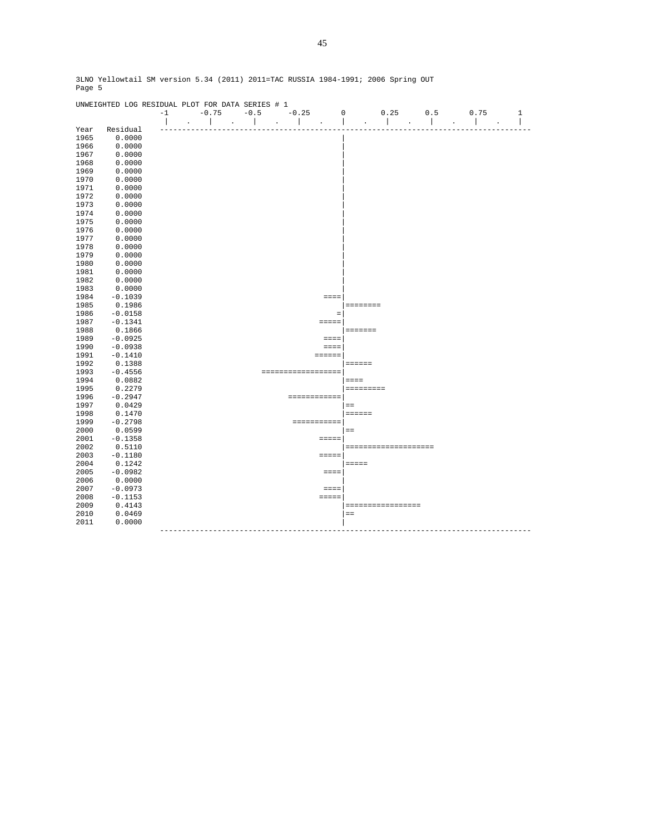|      | UNWEIGHTED LOG RESIDUAL PLOT FOR DATA SERIES # 1 |      |                      |                         |         |         |                     |                 |                      |     |      |              |
|------|--------------------------------------------------|------|----------------------|-------------------------|---------|---------|---------------------|-----------------|----------------------|-----|------|--------------|
|      |                                                  | $-1$ | $-0.75$              | $-0.5$                  |         | $-0.25$ |                     | $\mathbf 0$     | 0.25                 | 0.5 | 0.75 | $\mathbf{1}$ |
|      |                                                  |      | $\ddot{\phantom{a}}$ |                         | $\cdot$ |         |                     |                 |                      |     |      | I            |
| Year | Residual                                         |      |                      |                         |         |         |                     |                 |                      |     |      |              |
| 1965 | 0.0000                                           |      |                      |                         |         |         |                     |                 |                      |     |      |              |
| 1966 | 0.0000                                           |      |                      |                         |         |         |                     |                 |                      |     |      |              |
| 1967 | 0.0000                                           |      |                      |                         |         |         |                     |                 |                      |     |      |              |
| 1968 | 0.0000                                           |      |                      |                         |         |         |                     |                 |                      |     |      |              |
| 1969 | 0.0000                                           |      |                      |                         |         |         |                     |                 |                      |     |      |              |
| 1970 | 0.0000                                           |      |                      |                         |         |         |                     |                 |                      |     |      |              |
| 1971 | 0.0000                                           |      |                      |                         |         |         |                     |                 |                      |     |      |              |
| 1972 | 0.0000                                           |      |                      |                         |         |         |                     |                 |                      |     |      |              |
| 1973 | 0.0000                                           |      |                      |                         |         |         |                     |                 |                      |     |      |              |
| 1974 | 0.0000                                           |      |                      |                         |         |         |                     |                 |                      |     |      |              |
| 1975 | 0.0000                                           |      |                      |                         |         |         |                     |                 |                      |     |      |              |
| 1976 | 0.0000                                           |      |                      |                         |         |         |                     |                 |                      |     |      |              |
| 1977 | 0.0000                                           |      |                      |                         |         |         |                     |                 |                      |     |      |              |
| 1978 | 0.0000                                           |      |                      |                         |         |         |                     |                 |                      |     |      |              |
| 1979 | 0.0000                                           |      |                      |                         |         |         |                     |                 |                      |     |      |              |
| 1980 | 0.0000                                           |      |                      |                         |         |         |                     |                 |                      |     |      |              |
| 1981 | 0.0000                                           |      |                      |                         |         |         |                     |                 |                      |     |      |              |
| 1982 | 0.0000                                           |      |                      |                         |         |         |                     |                 |                      |     |      |              |
| 1983 | 0.0000                                           |      |                      |                         |         |         |                     |                 |                      |     |      |              |
| 1984 | $-0.1039$                                        |      |                      |                         |         |         | $=$ $=$ $=$ $=$     |                 |                      |     |      |              |
| 1985 | 0.1986                                           |      |                      |                         |         |         |                     | ========        |                      |     |      |              |
| 1986 | $-0.0158$                                        |      |                      |                         |         |         | $\equiv$            |                 |                      |     |      |              |
| 1987 | $-0.1341$                                        |      |                      |                         |         |         | $=$ $=$ $=$ $=$ $=$ |                 |                      |     |      |              |
| 1988 | 0.1866                                           |      |                      |                         |         |         |                     | =======         |                      |     |      |              |
| 1989 | $-0.0925$                                        |      |                      |                         |         |         | $===$               |                 |                      |     |      |              |
| 1990 | $-0.0938$                                        |      |                      |                         |         |         | $= = = =$           |                 |                      |     |      |              |
| 1991 | $-0.1410$                                        |      |                      |                         |         |         | $=$ = = = = =       |                 |                      |     |      |              |
| 1992 | 0.1388                                           |      |                      |                         |         |         |                     | $= 12222222$    |                      |     |      |              |
| 1993 | $-0.4556$                                        |      |                      |                         |         |         | ==================  |                 |                      |     |      |              |
| 1994 | 0.0882                                           |      |                      |                         |         |         |                     | $=$ $=$ $=$ $=$ |                      |     |      |              |
| 1995 | 0.2279                                           |      |                      |                         |         |         |                     | =========       |                      |     |      |              |
| 1996 | $-0.2947$                                        |      |                      |                         |         |         | ============        |                 |                      |     |      |              |
| 1997 | 0.0429                                           |      |                      |                         |         |         |                     | $=$ $=$         |                      |     |      |              |
| 1998 | 0.1470                                           |      |                      |                         |         |         |                     | $=$ = = = = =   |                      |     |      |              |
| 1999 | $-0.2798$                                        |      |                      |                         |         |         |                     |                 |                      |     |      |              |
| 2000 | 0.0599                                           |      |                      |                         |         |         |                     | $=$             |                      |     |      |              |
| 2001 | $-0.1358$                                        |      |                      |                         |         |         | $=$ = = = =         |                 |                      |     |      |              |
| 2002 | 0.5110                                           |      |                      |                         |         |         |                     |                 | ==================== |     |      |              |
| 2003 | $-0.1180$                                        |      |                      |                         |         |         | $=$                 |                 |                      |     |      |              |
| 2004 | 0.1242                                           |      |                      |                         |         |         |                     | $=$             |                      |     |      |              |
| 2005 | $-0.0982$                                        |      |                      |                         |         |         | $=$ $=$ $=$ $=$     |                 |                      |     |      |              |
| 2006 | 0.0000                                           |      |                      |                         |         |         |                     |                 |                      |     |      |              |
| 2007 | $-0.0973$                                        |      |                      |                         |         |         | $= = = =$           |                 |                      |     |      |              |
| 2008 | $-0.1153$                                        |      |                      |                         |         |         | $=$ = = = =         |                 |                      |     |      |              |
| 2009 | 0.4143                                           |      |                      |                         |         |         |                     |                 | =================    |     |      |              |
| 2010 | 0.0469                                           |      |                      |                         |         |         |                     | $=$             |                      |     |      |              |
| 2011 | 0.0000                                           |      |                      |                         |         |         |                     |                 |                      |     |      |              |
|      |                                                  |      |                      | ----------------------- |         |         |                     |                 |                      |     |      |              |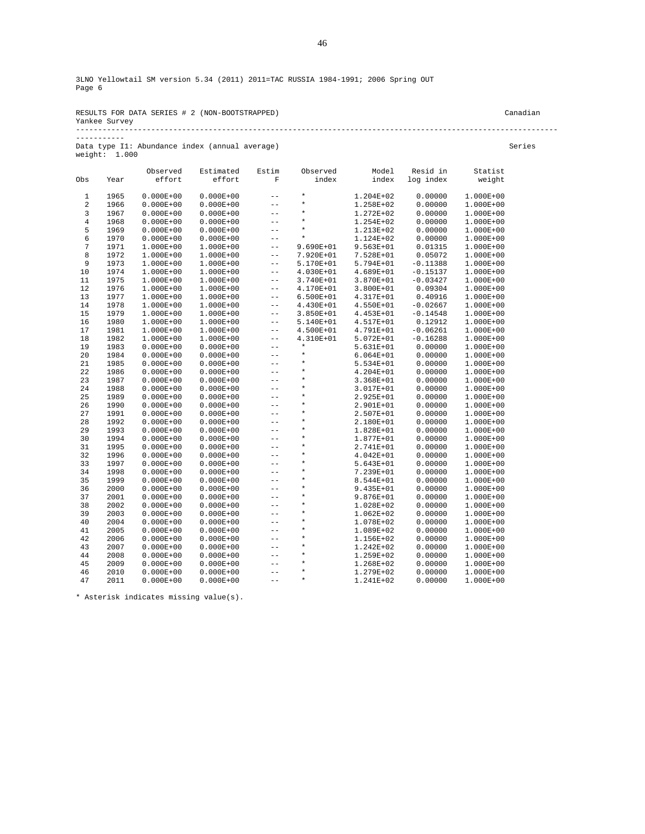RESULTS FOR DATA SERIES # 2 (NON-BOOTSTRAPPED) Canadian Yankee Survey -------------------------------------------------------------------------------------------------------------

-----------

Data type I1: Abundance index (annual average) Series weight: 1.000

|            |      | Observed      | Estimated     | Estim             | Observed  | Model         | Resid in   | Statist   |
|------------|------|---------------|---------------|-------------------|-----------|---------------|------------|-----------|
| Obs        | Year | effort        | effort        | $\mathbf F$       | index     | index         | log index  | weight    |
| 1          | 1965 | $0.000E + 00$ | $0.000E + 00$ | $-$               | $\star$   | 1.204E+02     | 0.00000    | 1.000E+00 |
| $\sqrt{2}$ | 1966 | $0.000E + 00$ | $0.000E + 00$ | $- -$             | $\star$   | 1.258E+02     | 0.00000    | 1.000E+00 |
| 3          | 1967 | $0.000E + 00$ | $0.000E + 00$ | $- -$             | $\star$   | 1.272E+02     | 0.00000    | 1.000E+00 |
| $\,4$      | 1968 | $0.000E + 00$ | $0.000E + 00$ | $-$               | $\star$   | 1.254E+02     | 0.00000    | 1.000E+00 |
| 5          | 1969 | $0.000E + 00$ | $0.000E + 00$ | $-$               | $\star$   | 1.213E+02     | 0.00000    | 1.000E+00 |
| 6          | 1970 | $0.000E + 00$ | $0.000E + 00$ | $-$               | $\star$   | 1.124E+02     | 0.00000    | 1.000E+00 |
| 7          | 1971 | $1.000E + 00$ | 1.000E+00     | $-$               | 9.690E+01 | 9.563E+01     | 0.01315    | 1.000E+00 |
| 8          | 1972 | $1.000E + 00$ | 1.000E+00     | $- -$             | 7.920E+01 | 7.528E+01     | 0.05072    | 1.000E+00 |
| 9          | 1973 | $1.000E + 00$ | 1.000E+00     | $\qquad \qquad -$ | 5.170E+01 | 5.794E+01     | $-0.11388$ | 1.000E+00 |
| 10         | 1974 | $1.000E + 00$ | 1.000E+00     | $- -$             | 4.030E+01 | 4.689E+01     | $-0.15137$ | 1.000E+00 |
| 11         | 1975 | $1.000E + 00$ | 1.000E+00     | $- -$             | 3.740E+01 | 3.870E+01     | $-0.03427$ | 1.000E+00 |
| 12         | 1976 | $1.000E + 00$ | $1.000E + 00$ | $- -$             | 4.170E+01 | 3.800E+01     | 0.09304    | 1.000E+00 |
| 13         | 1977 | $1.000E + 00$ | 1.000E+00     | $- -$             | 6.500E+01 | 4.317E+01     | 0.40916    | 1.000E+00 |
| 14         | 1978 | 1.000E+00     | $1.000E + 00$ | $- -$             | 4.430E+01 | 4.550E+01     | $-0.02667$ | 1.000E+00 |
| 15         | 1979 | $1.000E + 00$ | $1.000E + 00$ | $- -$             | 3.850E+01 | 4.453E+01     | $-0.14548$ | 1.000E+00 |
| 16         | 1980 | $1.000E + 00$ | $1.000E + 00$ | $- -$             | 5.140E+01 | 4.517E+01     | 0.12912    | 1.000E+00 |
| 17         | 1981 | $1.000E + 00$ | 1.000E+00     | $\qquad \qquad -$ | 4.500E+01 | 4.791E+01     | $-0.06261$ | 1.000E+00 |
| 18         | 1982 | $1.000E + 00$ | 1.000E+00     | $- -$             | 4.310E+01 | 5.072E+01     | $-0.16288$ | 1.000E+00 |
| 19         | 1983 | $0.000E + 00$ | $0.000E + 00$ | $- -$             | $\star$   | 5.631E+01     | 0.00000    | 1.000E+00 |
| 20         | 1984 | $0.000E + 00$ | $0.000E + 00$ | $- -$             | $\star$   | $6.064E + 01$ | 0.00000    | 1.000E+00 |
| 21         | 1985 | $0.000E + 00$ | $0.000E + 00$ | $-$               | $\star$   | 5.534E+01     | 0.00000    | 1.000E+00 |
| 22         | 1986 | $0.000E + 00$ | $0.000E + 00$ | $-$               | $\star$   | 4.204E+01     | 0.00000    | 1.000E+00 |
| 23         | 1987 | $0.000E + 00$ | $0.000E + 00$ | $- -$             | $\star$   | 3.368E+01     | 0.00000    | 1.000E+00 |
| 24         | 1988 | $0.000E + 00$ | $0.000E + 00$ | $- -$             | $\star$   | 3.017E+01     | 0.00000    | 1.000E+00 |
| 25         | 1989 | $0.000E + 00$ | $0.000E + 00$ | $-$               | $\star$   | 2.925E+01     | 0.00000    | 1.000E+00 |
| 26         | 1990 | $0.000E + 00$ | $0.000E + 00$ | $- -$             | $\star$   | 2.901E+01     | 0.00000    | 1.000E+00 |
| 27         | 1991 | $0.000E + 00$ | $0.000E + 00$ | $- -$             | $\star$   | 2.507E+01     | 0.00000    | 1.000E+00 |
| 28         | 1992 | $0.000E + 00$ | $0.000E + 00$ | $-$               | $\star$   | 2.180E+01     | 0.00000    | 1.000E+00 |
| 29         | 1993 | $0.000E + 00$ | $0.000E + 00$ | $-$               | $\star$   | 1.828E+01     | 0.00000    | 1.000E+00 |
| 30         | 1994 | $0.000E + 00$ | $0.000E + 00$ | $- -$             | $\star$   | 1.877E+01     | 0.00000    | 1.000E+00 |
| 31         | 1995 | $0.000E + 00$ | $0.000E + 00$ | $-$               | $\star$   | 2.741E+01     | 0.00000    | 1.000E+00 |
| 32         | 1996 | $0.000E + 00$ | $0.000E + 00$ | $- -$             | $\star$   | 4.042E+01     | 0.00000    | 1.000E+00 |
| 33         | 1997 | $0.000E + 00$ | $0.000E + 00$ | $- -$             | $\star$   | 5.643E+01     | 0.00000    | 1.000E+00 |
| 34         | 1998 | $0.000E + 00$ | $0.000E + 00$ | $- -$             | $\star$   | 7.239E+01     | 0.00000    | 1.000E+00 |
| 35         | 1999 | $0.000E + 00$ | $0.000E + 00$ | $- -$             | $\star$   | 8.544E+01     | 0.00000    | 1.000E+00 |
| 36         | 2000 | $0.000E + 00$ | $0.000E + 00$ | $- -$             | $\star$   | 9.435E+01     | 0.00000    | 1.000E+00 |
| 37         | 2001 | $0.000E + 00$ | $0.000E + 00$ | $- -$             | $\star$   | 9.876E+01     | 0.00000    | 1.000E+00 |
| 38         | 2002 | $0.000E + 00$ | $0.000E + 00$ | $- -$             | $\star$   | 1.028E+02     | 0.00000    | 1.000E+00 |
| 39         | 2003 | $0.000E + 00$ | $0.000E + 00$ | $-$               | $\star$   | 1.062E+02     | 0.00000    | 1.000E+00 |
| 40         | 2004 | $0.000E + 00$ | $0.000E + 00$ | $-$               | $^\star$  | 1.078E+02     | 0.00000    | 1.000E+00 |
| 41         | 2005 | $0.000E + 00$ | $0.000E + 00$ | $- -$             | $\star$   | 1.089E+02     | 0.00000    | 1.000E+00 |
| 42         | 2006 | $0.000E + 00$ | $0.000E + 00$ | $- -$             | $\star$   | 1.156E+02     | 0.00000    | 1.000E+00 |
| 43         | 2007 | $0.000E + 00$ | $0.000E + 00$ | $- -$             | $\star$   | 1.242E+02     | 0.00000    | 1.000E+00 |
| 44         | 2008 | $0.000E + 00$ | $0.000E + 00$ | $- -$             | $\star$   | 1.259E+02     | 0.00000    | 1.000E+00 |
| 45         | 2009 | $0.000E + 00$ | $0.000E + 00$ | $- -$             | $\star$   | 1.268E+02     | 0.00000    | 1.000E+00 |
| 46         | 2010 | $0.000E + 00$ | $0.000E + 00$ | $- -$             | $\star$   | 1.279E+02     | 0.00000    | 1.000E+00 |
| 47         | 2011 | $0.000E + 00$ | $0.000E + 00$ | $- -$             | $\star$   | 1.241E+02     | 0.00000    | 1.000E+00 |
|            |      |               |               |                   |           |               |            |           |

\* Asterisk indicates missing value(s).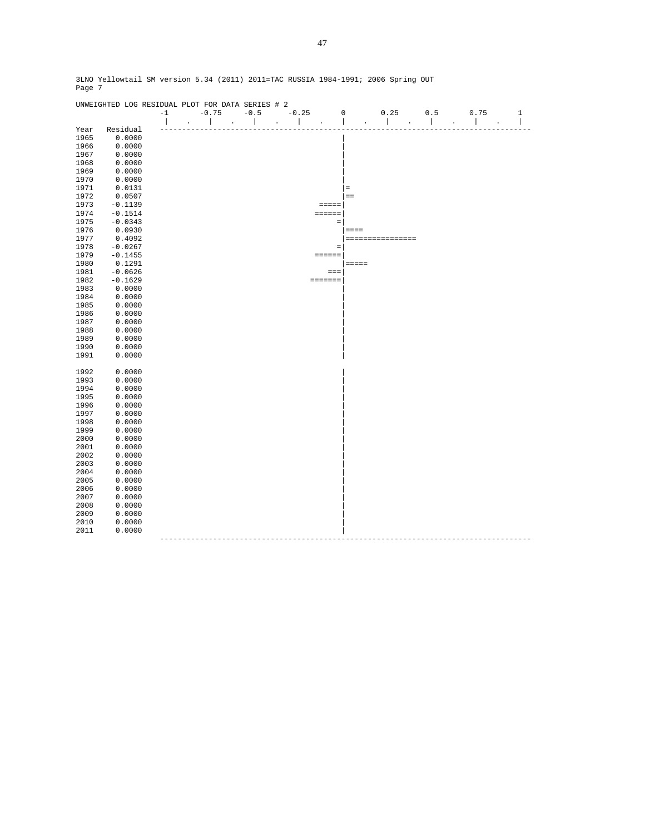|              | UNWEIGHTED LOG RESIDUAL PLOT FOR DATA SERIES # 2 |      |  |                 |  |        |  |         |  |                 |             |       |                  |     |      |       |
|--------------|--------------------------------------------------|------|--|-----------------|--|--------|--|---------|--|-----------------|-------------|-------|------------------|-----|------|-------|
|              |                                                  | $-1$ |  | $-0.75$         |  | $-0.5$ |  | $-0.25$ |  |                 | $\mathbf 0$ |       | 0.25             | 0.5 | 0.75 | $1\,$ |
|              |                                                  |      |  |                 |  |        |  |         |  |                 |             |       |                  |     |      | I     |
| Year         | Residual                                         |      |  |                 |  |        |  |         |  |                 |             |       |                  |     |      |       |
| 1965         | 0.0000                                           |      |  |                 |  |        |  |         |  |                 |             |       |                  |     |      |       |
| 1966         | 0.0000                                           |      |  |                 |  |        |  |         |  |                 |             |       |                  |     |      |       |
| 1967         | 0.0000                                           |      |  |                 |  |        |  |         |  |                 |             |       |                  |     |      |       |
| 1968         | 0.0000                                           |      |  |                 |  |        |  |         |  |                 |             |       |                  |     |      |       |
| 1969         | 0.0000                                           |      |  |                 |  |        |  |         |  |                 |             |       |                  |     |      |       |
| 1970         | 0.0000                                           |      |  |                 |  |        |  |         |  |                 |             |       |                  |     |      |       |
| 1971         | 0.0131                                           |      |  |                 |  |        |  |         |  |                 | $\equiv$    |       |                  |     |      |       |
| 1972         | 0.0507                                           |      |  |                 |  |        |  |         |  |                 | $=$         |       |                  |     |      |       |
| 1973         | $-0.1139$                                        |      |  |                 |  |        |  |         |  | $=$ $=$ $=$ $=$ |             |       |                  |     |      |       |
| 1974         | $-0.1514$                                        |      |  |                 |  |        |  |         |  | $=$ = = = = =   |             |       |                  |     |      |       |
| 1975         | $-0.0343$                                        |      |  |                 |  |        |  |         |  | $\equiv$        |             |       |                  |     |      |       |
| 1976         | 0.0930                                           |      |  |                 |  |        |  |         |  |                 |             | ====  |                  |     |      |       |
| 1977         | 0.4092                                           |      |  |                 |  |        |  |         |  |                 |             |       | ================ |     |      |       |
| 1978         | $-0.0267$                                        |      |  |                 |  |        |  |         |  | $\quad =$       |             |       |                  |     |      |       |
| 1979         | $-0.1455$                                        |      |  |                 |  |        |  |         |  | $= 2222222$     |             |       |                  |     |      |       |
| 1980         | 0.1291                                           |      |  |                 |  |        |  |         |  |                 |             | ===== |                  |     |      |       |
| 1981         | $-0.0626$                                        |      |  |                 |  |        |  |         |  | $=$ $=$ $=$     |             |       |                  |     |      |       |
| 1982         | $-0.1629$                                        |      |  |                 |  |        |  |         |  | =======         |             |       |                  |     |      |       |
| 1983         | 0.0000                                           |      |  |                 |  |        |  |         |  |                 |             |       |                  |     |      |       |
| 1984         | 0.0000                                           |      |  |                 |  |        |  |         |  |                 |             |       |                  |     |      |       |
| 1985         | 0.0000                                           |      |  |                 |  |        |  |         |  |                 |             |       |                  |     |      |       |
| 1986         | 0.0000                                           |      |  |                 |  |        |  |         |  |                 |             |       |                  |     |      |       |
| 1987         | 0.0000                                           |      |  |                 |  |        |  |         |  |                 |             |       |                  |     |      |       |
| 1988         | 0.0000                                           |      |  |                 |  |        |  |         |  |                 |             |       |                  |     |      |       |
|              |                                                  |      |  |                 |  |        |  |         |  |                 |             |       |                  |     |      |       |
| 1989         | 0.0000                                           |      |  |                 |  |        |  |         |  |                 |             |       |                  |     |      |       |
| 1990         | 0.0000                                           |      |  |                 |  |        |  |         |  |                 |             |       |                  |     |      |       |
| 1991         | 0.0000                                           |      |  |                 |  |        |  |         |  |                 |             |       |                  |     |      |       |
| 1992         | 0.0000                                           |      |  |                 |  |        |  |         |  |                 |             |       |                  |     |      |       |
|              |                                                  |      |  |                 |  |        |  |         |  |                 |             |       |                  |     |      |       |
| 1993<br>1994 | 0.0000<br>0.0000                                 |      |  |                 |  |        |  |         |  |                 |             |       |                  |     |      |       |
|              |                                                  |      |  |                 |  |        |  |         |  |                 |             |       |                  |     |      |       |
| 1995         | 0.0000                                           |      |  |                 |  |        |  |         |  |                 |             |       |                  |     |      |       |
| 1996         | 0.0000                                           |      |  |                 |  |        |  |         |  |                 |             |       |                  |     |      |       |
| 1997         | 0.0000                                           |      |  |                 |  |        |  |         |  |                 |             |       |                  |     |      |       |
| 1998         | 0.0000                                           |      |  |                 |  |        |  |         |  |                 |             |       |                  |     |      |       |
| 1999         | 0.0000                                           |      |  |                 |  |        |  |         |  |                 |             |       |                  |     |      |       |
| 2000         | 0.0000                                           |      |  |                 |  |        |  |         |  |                 |             |       |                  |     |      |       |
| 2001         | 0.0000                                           |      |  |                 |  |        |  |         |  |                 |             |       |                  |     |      |       |
| 2002         | 0.0000                                           |      |  |                 |  |        |  |         |  |                 |             |       |                  |     |      |       |
| 2003         | 0.0000                                           |      |  |                 |  |        |  |         |  |                 |             |       |                  |     |      |       |
| 2004         | 0.0000                                           |      |  |                 |  |        |  |         |  |                 |             |       |                  |     |      |       |
| 2005         | 0.0000                                           |      |  |                 |  |        |  |         |  |                 |             |       |                  |     |      |       |
| 2006         | 0.0000                                           |      |  |                 |  |        |  |         |  |                 |             |       |                  |     |      |       |
| 2007         | 0.0000                                           |      |  |                 |  |        |  |         |  |                 |             |       |                  |     |      |       |
| 2008         | 0.0000                                           |      |  |                 |  |        |  |         |  |                 |             |       |                  |     |      |       |
| 2009         | 0.0000                                           |      |  |                 |  |        |  |         |  |                 |             |       |                  |     |      |       |
| 2010         | 0.0000                                           |      |  |                 |  |        |  |         |  |                 |             |       |                  |     |      |       |
| 2011         | 0.0000                                           |      |  |                 |  |        |  |         |  |                 |             |       |                  |     |      |       |
|              |                                                  |      |  | --------------- |  |        |  |         |  |                 |             |       |                  |     |      |       |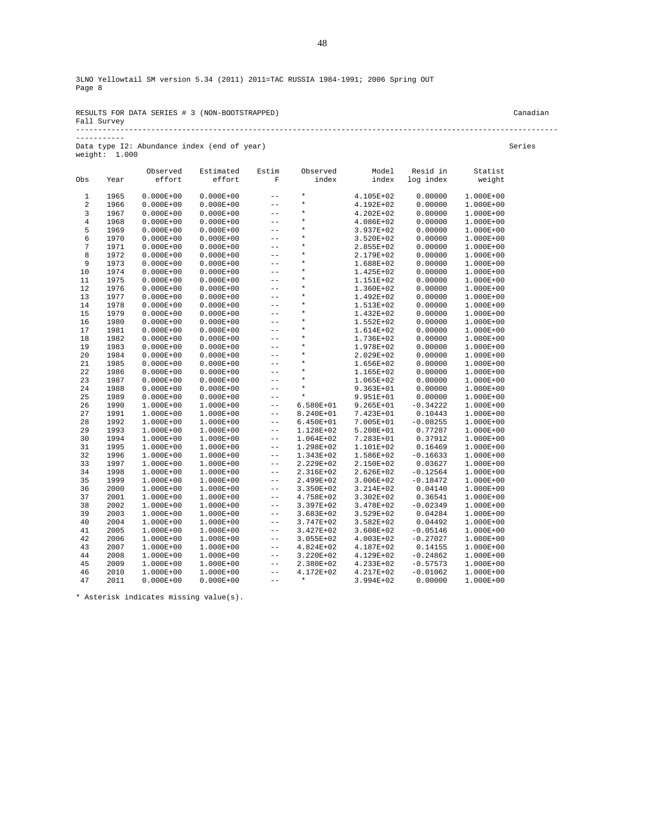|             | RESULTS FOR DATA SERIES # 3 (NON-BOOTSTRAPPED) | Canadian |
|-------------|------------------------------------------------|----------|
| Fall Survey |                                                |          |
|             |                                                |          |

|                 | Data type I2: Abundance index (end of year) |  |  | Series |
|-----------------|---------------------------------------------|--|--|--------|
| weight: $1.000$ |                                             |  |  |        |

-----------

|                         |      | Observed      | Estimated     | Estim                   | Observed             | Model         | Resid in   | Statist   |
|-------------------------|------|---------------|---------------|-------------------------|----------------------|---------------|------------|-----------|
| Obs                     | Year | effort        | effort        | $\overline{\mathrm{F}}$ | index                | index         | log index  | weight    |
| $\mathbf 1$             | 1965 | $0.000E + 00$ | $0.000E + 00$ | $-$                     | $\star$              | 4.105E+02     | 0.00000    | 1.000E+00 |
| $\overline{\mathbf{c}}$ | 1966 | $0.000E + 00$ | $0.000E + 00$ | $-$                     | $\star$              | 4.192E+02     | 0.00000    | 1.000E+00 |
| 3                       | 1967 | $0.000E + 00$ | $0.000E + 00$ | $- -$                   | $\star$              | $4.202E + 02$ | 0.00000    | 1.000E+00 |
| $\overline{4}$          | 1968 | $0.000E + 00$ | $0.000E + 00$ | $- -$                   | $\star$              | 4.086E+02     | 0.00000    | 1.000E+00 |
| 5                       | 1969 | $0.000E + 00$ | $0.000E + 00$ | $- -$                   | $\star$              | 3.937E+02     | 0.00000    | 1.000E+00 |
| 6                       | 1970 | $0.000E + 00$ | $0.000E + 00$ | $- -$                   | $\star$              | 3.520E+02     | 0.00000    | 1.000E+00 |
| $\overline{7}$          | 1971 | $0.000E + 00$ | $0.000E + 00$ | $- -$                   | $\star$              | 2.855E+02     | 0.00000    | 1.000E+00 |
| 8                       | 1972 | $0.000E + 00$ | $0.000E + 00$ | $- -$                   | $\star$              | 2.179E+02     | 0.00000    | 1.000E+00 |
| 9                       | 1973 | $0.000E + 00$ | $0.000E + 00$ | $-$                     | $\star$              | 1.688E+02     | 0.00000    | 1.000E+00 |
| 10                      | 1974 | $0.000E + 00$ | $0.000E + 00$ | $- -$                   | $\star$              | 1.425E+02     | 0.00000    | 1.000E+00 |
| 11                      | 1975 | $0.000E + 00$ | $0.000E + 00$ | $-$                     | $\star$              | 1.151E+02     | 0.00000    | 1.000E+00 |
| 12                      | 1976 | $0.000E + 00$ | $0.000E + 00$ | $- -$                   | $\star$              | 1.360E+02     | 0.00000    | 1.000E+00 |
| 13                      | 1977 | $0.000E + 00$ | $0.000E + 00$ | $- -$                   | $\star$              | 1.492E+02     | 0.00000    | 1.000E+00 |
| 14                      | 1978 | $0.000E + 00$ | $0.000E + 00$ | $- -$                   | $\star$              | 1.513E+02     | 0.00000    | 1.000E+00 |
| 15                      | 1979 | $0.000E + 00$ | $0.000E + 00$ | $- -$                   | $\star$              | 1.432E+02     | 0.00000    | 1.000E+00 |
| 16                      | 1980 | $0.000E + 00$ | $0.000E + 00$ | $- -$                   | $\star$              | 1.552E+02     | 0.00000    | 1.000E+00 |
| 17                      | 1981 | $0.000E + 00$ | $0.000E + 00$ | $- -$                   | $\star$              | 1.614E+02     | 0.00000    | 1.000E+00 |
| 18                      | 1982 | $0.000E + 00$ | $0.000E + 00$ | $- -$                   | $\star$              | 1.736E+02     | 0.00000    | 1.000E+00 |
| 19                      | 1983 | $0.000E + 00$ | $0.000E + 00$ | $- -$                   | $\star$              | 1.978E+02     | 0.00000    | 1.000E+00 |
| 20                      | 1984 | $0.000E + 00$ | $0.000E + 00$ | $- -$                   | $\star$              | 2.029E+02     | 0.00000    | 1.000E+00 |
| 21                      | 1985 | $0.000E + 00$ | $0.000E + 00$ | $-$                     | $\star$              | 1.656E+02     | 0.00000    | 1.000E+00 |
| 22                      | 1986 | $0.000E + 00$ | $0.000E + 00$ | $- -$                   | $\star$              | 1.165E+02     | 0.00000    | 1.000E+00 |
| 23                      | 1987 | $0.000E + 00$ | $0.000E + 00$ | $- -$                   | $\star$              | 1.065E+02     | 0.00000    | 1.000E+00 |
| 24                      | 1988 | $0.000E + 00$ | $0.000E + 00$ | $- -$                   | $\star$              | $9.363E + 01$ | 0.00000    | 1.000E+00 |
| 25                      | 1989 | $0.000E + 00$ | $0.000E + 00$ | $- -$                   | $\star$              | 9.951E+01     | 0.00000    | 1.000E+00 |
| 26                      | 1990 | $1.000E + 00$ | 1.000E+00     | $- -$                   | $6.580E + 01$        | $9.265E + 01$ | $-0.34222$ | 1.000E+00 |
| 27                      | 1991 | $1.000E + 00$ | 1.000E+00     | $- -$                   | 8.240E+01            | 7.423E+01     | 0.10443    | 1.000E+00 |
| 28                      | 1992 | $1.000E + 00$ | 1.000E+00     | $- -$                   | $6.450E + 01$        | 7.005E+01     | $-0.08255$ | 1.000E+00 |
| 29                      | 1993 | $1.000E + 00$ | 1.000E+00     | $- -$                   | 1.128E+02            | 5.208E+01     | 0.77287    | 1.000E+00 |
| 30                      | 1994 | $1.000E + 00$ | 1.000E+00     | $- -$                   | 1.064E+02            | 7.283E+01     | 0.37912    | 1.000E+00 |
| 31                      | 1995 | $1.000E + 00$ | $1.000E + 00$ | $- -$                   | 1.298E+02            | 1.101E+02     | 0.16469    | 1.000E+00 |
| 32                      | 1996 | $1.000E + 00$ | 1.000E+00     | $- -$                   | 1.343E+02            | 1.586E+02     | $-0.16633$ | 1.000E+00 |
| 33                      | 1997 | $1.000E + 00$ | $1.000E + 00$ | $- -$                   | 2.229E+02            | 2.150E+02     | 0.03627    | 1.000E+00 |
| 34                      | 1998 | $1.000E + 00$ | 1.000E+00     | $- -$                   | 2.316E+02            | 2.626E+02     | $-0.12564$ | 1.000E+00 |
| 35                      | 1999 | $1.000E + 00$ | 1.000E+00     | $- -$                   | 2.499E+02            | 3.006E+02     | $-0.18472$ | 1.000E+00 |
| 36                      | 2000 | $1.000E + 00$ | 1.000E+00     | $- -$                   | 3.350E+02            | 3.214E+02     | 0.04140    | 1.000E+00 |
| 37                      | 2001 | $1.000E + 00$ | 1.000E+00     | $- -$                   | 4.758E+02            | 3.302E+02     | 0.36541    | 1.000E+00 |
| 38                      | 2002 | $1.000E + 00$ | 1.000E+00     | $- -$                   | 3.397E+02            | 3.478E+02     | $-0.02349$ | 1.000E+00 |
| 39                      | 2003 | $1.000E + 00$ | 1.000E+00     | $- -$                   | $3.683E+02$          | 3.529E+02     | 0.04284    | 1.000E+00 |
| 40                      | 2004 | $1.000E + 00$ | 1.000E+00     | $- -$                   | 3.747E+02            | 3.582E+02     | 0.04492    | 1.000E+00 |
| 41                      | 2005 | $1.000E + 00$ | 1.000E+00     | $- -$                   | 3.427E+02            | 3.608E+02     | $-0.05146$ | 1.000E+00 |
| 42                      | 2006 | $1.000E + 00$ | 1.000E+00     | $- -$                   | 3.055E+02            | 4.003E+02     | $-0.27027$ | 1.000E+00 |
| 43                      | 2007 | $1.000E + 00$ | 1.000E+00     | $- -$                   | 4.824E+02            | 4.187E+02     | 0.14155    | 1.000E+00 |
| 44                      | 2008 | $1.000E + 00$ | 1.000E+00     | $- -$                   | 3.220E+02            | 4.129E+02     | $-0.24862$ | 1.000E+00 |
| 45                      | 2009 | $1.000E + 00$ | 1.000E+00     | $- -$                   | 2.380E+02            | 4.233E+02     | $-0.57573$ | 1.000E+00 |
| 46<br>47                | 2010 | $1.000E + 00$ | 1.000E+00     | $- -$                   | 4.172E+02<br>$\star$ | 4.217E+02     | $-0.01062$ | 1.000E+00 |
|                         | 2011 | $0.000E + 00$ | $0.000E + 00$ | $\qquad \qquad -$       |                      | 3.994E+02     | 0.00000    | 1.000E+00 |

\* Asterisk indicates missing value(s).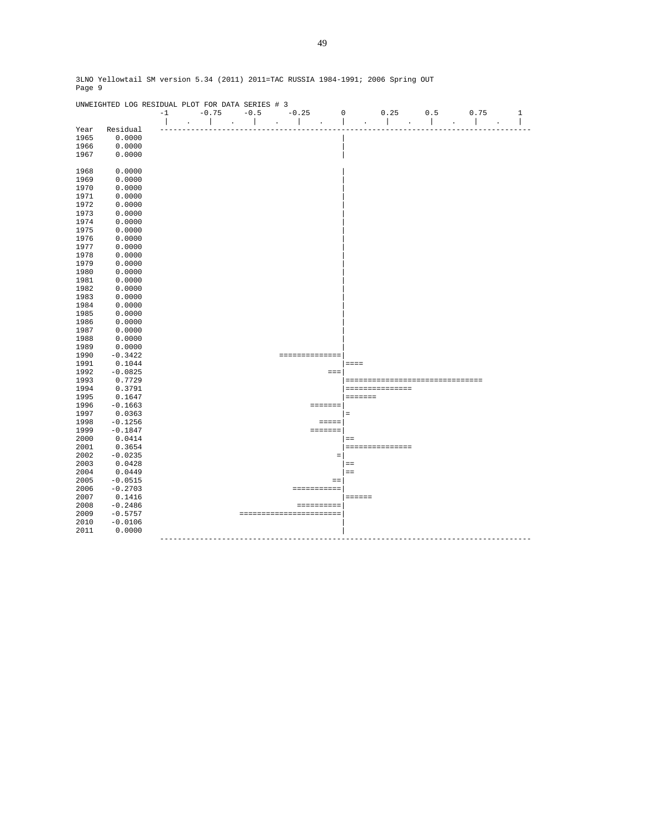|      | UNWEIGHTED LOG RESIDUAL PLOT FOR DATA SERIES # 3 |                          |                   |                             |                                      |                         |                          |                                                        |     |              |                          |
|------|--------------------------------------------------|--------------------------|-------------------|-----------------------------|--------------------------------------|-------------------------|--------------------------|--------------------------------------------------------|-----|--------------|--------------------------|
|      |                                                  | $-1$                     | $-0.75$           | $-0.5$                      | $-0.25$                              |                         | $\mathbf 0$              | 0.25                                                   | 0.5 | 0.75         | $1\,$                    |
|      |                                                  | $\overline{\phantom{a}}$ | $\mathbf{I}$      | $\sim$ $\sim$ $\sim$ $\sim$ | $\sim$<br>$\mathcal{L}^{\text{max}}$ | $\sim$ .                | $\overline{\phantom{a}}$ | $\mathbf{L}$<br>$\mathbb{Z}^2$<br>$\ddot{\phantom{a}}$ |     | $\mathbf{I}$ | $\overline{\phantom{a}}$ |
| Year | Residual                                         |                          |                   |                             |                                      |                         |                          |                                                        |     |              |                          |
| 1965 | 0.0000                                           |                          |                   |                             |                                      |                         |                          |                                                        |     |              |                          |
| 1966 | 0.0000                                           |                          |                   |                             |                                      |                         |                          |                                                        |     |              |                          |
| 1967 | 0.0000                                           |                          |                   |                             |                                      |                         |                          |                                                        |     |              |                          |
|      |                                                  |                          |                   |                             |                                      |                         |                          |                                                        |     |              |                          |
| 1968 | 0.0000                                           |                          |                   |                             |                                      |                         |                          |                                                        |     |              |                          |
| 1969 | 0.0000                                           |                          |                   |                             |                                      |                         |                          |                                                        |     |              |                          |
| 1970 | 0.0000                                           |                          |                   |                             |                                      |                         |                          |                                                        |     |              |                          |
| 1971 | 0.0000                                           |                          |                   |                             |                                      |                         |                          |                                                        |     |              |                          |
| 1972 | 0.0000                                           |                          |                   |                             |                                      |                         |                          |                                                        |     |              |                          |
| 1973 | 0.0000                                           |                          |                   |                             |                                      |                         |                          |                                                        |     |              |                          |
| 1974 | 0.0000                                           |                          |                   |                             |                                      |                         |                          |                                                        |     |              |                          |
| 1975 | 0.0000                                           |                          |                   |                             |                                      |                         |                          |                                                        |     |              |                          |
| 1976 | 0.0000                                           |                          |                   |                             |                                      |                         |                          |                                                        |     |              |                          |
| 1977 | 0.0000                                           |                          |                   |                             |                                      |                         |                          |                                                        |     |              |                          |
| 1978 | 0.0000                                           |                          |                   |                             |                                      |                         |                          |                                                        |     |              |                          |
| 1979 | 0.0000                                           |                          |                   |                             |                                      |                         |                          |                                                        |     |              |                          |
| 1980 | 0.0000                                           |                          |                   |                             |                                      |                         |                          |                                                        |     |              |                          |
| 1981 | 0.0000                                           |                          |                   |                             |                                      |                         |                          |                                                        |     |              |                          |
| 1982 | 0.0000                                           |                          |                   |                             |                                      |                         |                          |                                                        |     |              |                          |
| 1983 | 0.0000                                           |                          |                   |                             |                                      |                         |                          |                                                        |     |              |                          |
| 1984 | 0.0000                                           |                          |                   |                             |                                      |                         |                          |                                                        |     |              |                          |
| 1985 | 0.0000                                           |                          |                   |                             |                                      |                         |                          |                                                        |     |              |                          |
| 1986 | 0.0000                                           |                          |                   |                             |                                      |                         |                          |                                                        |     |              |                          |
| 1987 | 0.0000                                           |                          |                   |                             |                                      |                         |                          |                                                        |     |              |                          |
| 1988 | 0.0000                                           |                          |                   |                             |                                      |                         |                          |                                                        |     |              |                          |
| 1989 | 0.0000                                           |                          |                   |                             |                                      |                         |                          |                                                        |     |              |                          |
| 1990 | $-0.3422$                                        |                          |                   |                             |                                      | ==============          |                          |                                                        |     |              |                          |
| 1991 | 0.1044                                           |                          |                   |                             |                                      |                         |                          | $= = = =$                                              |     |              |                          |
| 1992 | $-0.0825$                                        |                          |                   |                             |                                      | $= = =$                 |                          |                                                        |     |              |                          |
| 1993 | 0.7729                                           |                          |                   |                             |                                      |                         |                          | =================================                      |     |              |                          |
| 1994 | 0.3791                                           |                          |                   |                             |                                      |                         |                          | ===============                                        |     |              |                          |
| 1995 | 0.1647                                           |                          |                   |                             |                                      |                         |                          | =======                                                |     |              |                          |
| 1996 | $-0.1663$                                        |                          |                   |                             |                                      | =======                 |                          |                                                        |     |              |                          |
| 1997 | 0.0363                                           |                          |                   |                             |                                      |                         | $=$                      |                                                        |     |              |                          |
| 1998 | $-0.1256$                                        |                          |                   |                             |                                      | $=$                     |                          |                                                        |     |              |                          |
| 1999 | $-0.1847$                                        |                          |                   |                             |                                      | =======                 |                          |                                                        |     |              |                          |
| 2000 | 0.0414                                           |                          |                   |                             |                                      |                         | $=$                      |                                                        |     |              |                          |
| 2001 | 0.3654                                           |                          |                   |                             |                                      |                         |                          | ===============                                        |     |              |                          |
| 2002 | $-0.0235$                                        |                          |                   |                             |                                      | $\qquad \qquad =$       |                          |                                                        |     |              |                          |
| 2003 | 0.0428                                           |                          |                   |                             |                                      |                         | $=$                      |                                                        |     |              |                          |
| 2004 | 0.0449                                           |                          |                   |                             |                                      |                         | $=$ $=$                  |                                                        |     |              |                          |
| 2005 | $-0.0515$                                        |                          |                   |                             |                                      | $=$ $=$                 |                          |                                                        |     |              |                          |
| 2006 | $-0.2703$                                        |                          |                   |                             |                                      | ===========             |                          |                                                        |     |              |                          |
| 2007 | 0.1416                                           |                          |                   |                             |                                      |                         |                          | ======                                                 |     |              |                          |
| 2008 | $-0.2486$                                        |                          |                   |                             |                                      | ==========              |                          |                                                        |     |              |                          |
| 2009 | $-0.5757$                                        |                          |                   |                             |                                      | ======================= |                          |                                                        |     |              |                          |
| 2010 | $-0.0106$                                        |                          |                   |                             |                                      |                         |                          |                                                        |     |              |                          |
| 2011 | 0.0000                                           |                          |                   |                             |                                      |                         |                          |                                                        |     |              |                          |
|      |                                                  |                          | ----------------- |                             |                                      |                         |                          |                                                        |     |              |                          |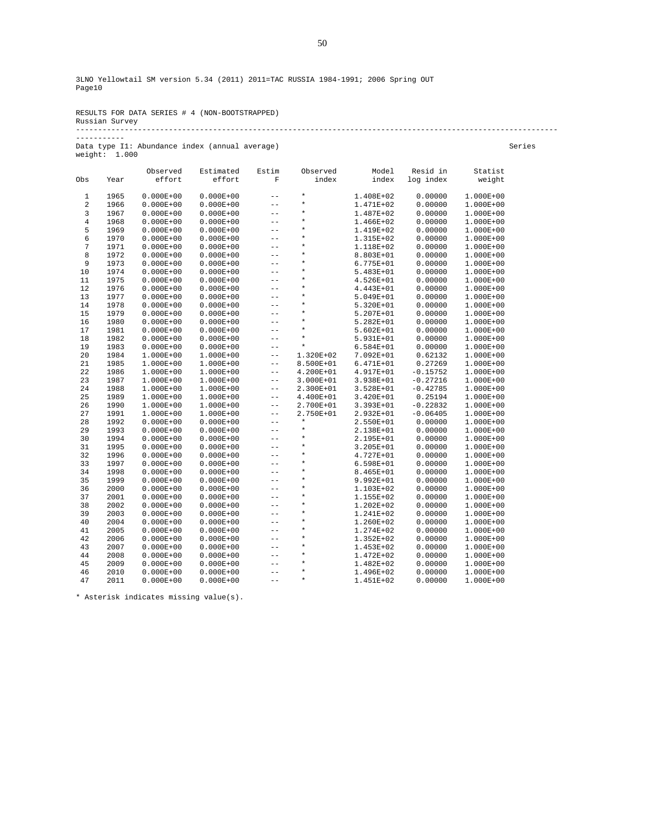# RESULTS FOR DATA SERIES # 4 (NON-BOOTSTRAPPED) Russian Survey ------------------------------------------------------------------------------------------------------------- -----------

Data type I1: Abundance index (annual average) Series weight: 1.000

|              |      | Observed      | Estimated     | Estim             | Observed           | Model         | Resid in   | Statist   |
|--------------|------|---------------|---------------|-------------------|--------------------|---------------|------------|-----------|
| Obs          | Year | effort        | effort        | $\mathbf F$       | index              | index         | log index  | weight    |
|              |      |               |               |                   | $\star$            |               |            |           |
| $\mathbf{1}$ | 1965 | $0.000E + 00$ | $0.000E + 00$ | $- -$<br>$- -$    | $\star$            | 1.408E+02     | 0.00000    | 1.000E+00 |
| $\sqrt{2}$   | 1966 | $0.000E + 00$ | $0.000E + 00$ | $- -$             | $\star$            | 1.471E+02     | 0.00000    | 1.000E+00 |
| 3            | 1967 | $0.000E + 00$ | $0.000E + 00$ |                   | $\star$            | 1.487E+02     | 0.00000    | 1.000E+00 |
| $\,4$        | 1968 | $0.000E + 00$ | $0.000E + 00$ | $- -$             |                    | 1.466E+02     | 0.00000    | 1.000E+00 |
| 5            | 1969 | $0.000E + 00$ | $0.000E + 00$ | $- -$             | $\star$<br>$\star$ | 1.419E+02     | 0.00000    | 1.000E+00 |
| 6            | 1970 | $0.000E + 00$ | $0.000E + 00$ | $- -$             | $\star$            | 1.315E+02     | 0.00000    | 1.000E+00 |
| 7            | 1971 | $0.000E + 00$ | $0.000E + 00$ | $-$               | $\star$            | 1.118E+02     | 0.00000    | 1.000E+00 |
| 8            | 1972 | $0.000E + 00$ | $0.000E + 00$ | $- -$             |                    | 8.803E+01     | 0.00000    | 1.000E+00 |
| 9            | 1973 | $0.000E + 00$ | $0.000E + 00$ | $- -$             | $\star$<br>$\star$ | 6.775E+01     | 0.00000    | 1.000E+00 |
| 10           | 1974 | $0.000E + 00$ | $0.000E + 00$ | $- -$             |                    | 5.483E+01     | 0.00000    | 1.000E+00 |
| 11           | 1975 | $0.000E + 00$ | $0.000E + 00$ | $- -$             | $\star$            | 4.526E+01     | 0.00000    | 1.000E+00 |
| 12           | 1976 | $0.000E + 00$ | $0.000E + 00$ | $- -$             | $\star$            | 4.443E+01     | 0.00000    | 1.000E+00 |
| 13           | 1977 | $0.000E + 00$ | $0.000E + 00$ | $- -$             | $\star$            | 5.049E+01     | 0.00000    | 1.000E+00 |
| 14           | 1978 | $0.000E + 00$ | $0.000E + 00$ | $- -$             | $\star$            | 5.320E+01     | 0.00000    | 1.000E+00 |
| 15           | 1979 | $0.000E + 00$ | $0.000E + 00$ | $- -$             | $\star$            | 5.207E+01     | 0.00000    | 1.000E+00 |
| 16           | 1980 | $0.000E + 00$ | $0.000E + 00$ | $- -$             | $\star$            | 5.282E+01     | 0.00000    | 1.000E+00 |
| 17           | 1981 | $0.000E + 00$ | $0.000E + 00$ | $- -$             | $\star$            | $5.602E + 01$ | 0.00000    | 1.000E+00 |
| 18           | 1982 | $0.000E + 00$ | $0.000E + 00$ | $- -$             | $\star$            | 5.931E+01     | 0.00000    | 1.000E+00 |
| 19           | 1983 | $0.000E + 00$ | $0.000E + 00$ | $- -$             | $\star$            | 6.584E+01     | 0.00000    | 1.000E+00 |
| 20           | 1984 | $1.000E + 00$ | 1.000E+00     | $- -$             | 1.320E+02          | 7.092E+01     | 0.62132    | 1.000E+00 |
| 21           | 1985 | $1.000E + 00$ | 1.000E+00     | $- -$             | 8.500E+01          | 6.471E+01     | 0.27269    | 1.000E+00 |
| 22           | 1986 | $1.000E + 00$ | 1.000E+00     | $- -$             | 4.200E+01          | 4.917E+01     | $-0.15752$ | 1.000E+00 |
| 23           | 1987 | $1.000E + 00$ | 1.000E+00     | $\qquad \qquad -$ | 3.000E+01          | 3.938E+01     | $-0.27216$ | 1.000E+00 |
| 24           | 1988 | $1.000E + 00$ | 1.000E+00     | $ -$              | 2.300E+01          | 3.528E+01     | $-0.42785$ | 1.000E+00 |
| 25           | 1989 | $1.000E + 00$ | 1.000E+00     | $- -$             | 4.400E+01          | 3.420E+01     | 0.25194    | 1.000E+00 |
| 26           | 1990 | $1.000E + 00$ | 1.000E+00     | $- -$             | 2.700E+01          | 3.393E+01     | $-0.22832$ | 1.000E+00 |
| 27           | 1991 | $1.000E + 00$ | 1.000E+00     | $- -$             | 2.750E+01          | 2.932E+01     | $-0.06405$ | 1.000E+00 |
| 28           | 1992 | $0.000E + 00$ | $0.000E + 00$ | $- -$             | $\star$            | 2.550E+01     | 0.00000    | 1.000E+00 |
| 29           | 1993 | $0.000E + 00$ | $0.000E + 00$ | $- -$             | $\star$            | 2.138E+01     | 0.00000    | 1.000E+00 |
| 30           | 1994 | $0.000E + 00$ | $0.000E + 00$ | $- -$             | $\star$            | 2.195E+01     | 0.00000    | 1.000E+00 |
| 31           | 1995 | $0.000E + 00$ | $0.000E + 00$ | $- -$             | $\star$            | 3.205E+01     | 0.00000    | 1.000E+00 |
| 32           | 1996 | $0.000E + 00$ | $0.000E + 00$ | $- -$             | $\star$            | 4.727E+01     | 0.00000    | 1.000E+00 |
| 33           | 1997 | $0.000E + 00$ | $0.000E + 00$ | $- -$             | $\star$            | 6.598E+01     | 0.00000    | 1.000E+00 |
| 34           | 1998 | $0.000E + 00$ | $0.000E + 00$ | $- -$             | $\star$            | 8.465E+01     | 0.00000    | 1.000E+00 |
| 35           | 1999 | $0.000E + 00$ | $0.000E + 00$ | $- -$             | $\star$            | 9.992E+01     | 0.00000    | 1.000E+00 |
| 36           | 2000 | $0.000E + 00$ | $0.000E + 00$ | $- -$             | $\star$            | 1.103E+02     | 0.00000    | 1.000E+00 |
| 37           | 2001 | $0.000E + 00$ | $0.000E + 00$ | $- -$             | $\star$            | 1.155E+02     | 0.00000    | 1.000E+00 |
| 38           | 2002 | $0.000E + 00$ | $0.000E + 00$ | $- -$             | $\star$            | 1.202E+02     | 0.00000    | 1.000E+00 |
| 39           | 2003 | $0.000E + 00$ | $0.000E + 00$ | $- -$             | $\star$            | 1.241E+02     | 0.00000    | 1.000E+00 |
| 40           | 2004 | $0.000E + 00$ | $0.000E + 00$ | $- -$             | $\star$            | 1.260E+02     | 0.00000    | 1.000E+00 |
| 41           | 2005 | $0.000E + 00$ | $0.000E + 00$ | $- -$             | $\star$            | 1.274E+02     | 0.00000    | 1.000E+00 |
| 42           | 2006 | $0.000E + 00$ | $0.000E + 00$ | $- -$             | $\star$            | 1.352E+02     | 0.00000    | 1.000E+00 |
| 43           | 2007 | $0.000E + 00$ | $0.000E + 00$ | $- -$             | $\star$            | 1.453E+02     | 0.00000    | 1.000E+00 |
| 44           | 2008 | $0.000E + 00$ | $0.000E + 00$ | $- -$             | $\star$            | 1.472E+02     | 0.00000    | 1.000E+00 |
| 45           | 2009 | $0.000E + 00$ | $0.000E + 00$ | $- -$             | $\star$            | 1.482E+02     | 0.00000    | 1.000E+00 |
| 46           | 2010 | $0.000E + 00$ | $0.000E + 00$ | $- -$             | $\star$            | 1.496E+02     | 0.00000    | 1.000E+00 |
| 47           | 2011 | $0.000E + 00$ | $0.000E + 00$ | $\qquad \qquad -$ | $\star$            | 1.451E+02     | 0.00000    | 1.000E+00 |

\* Asterisk indicates missing value(s).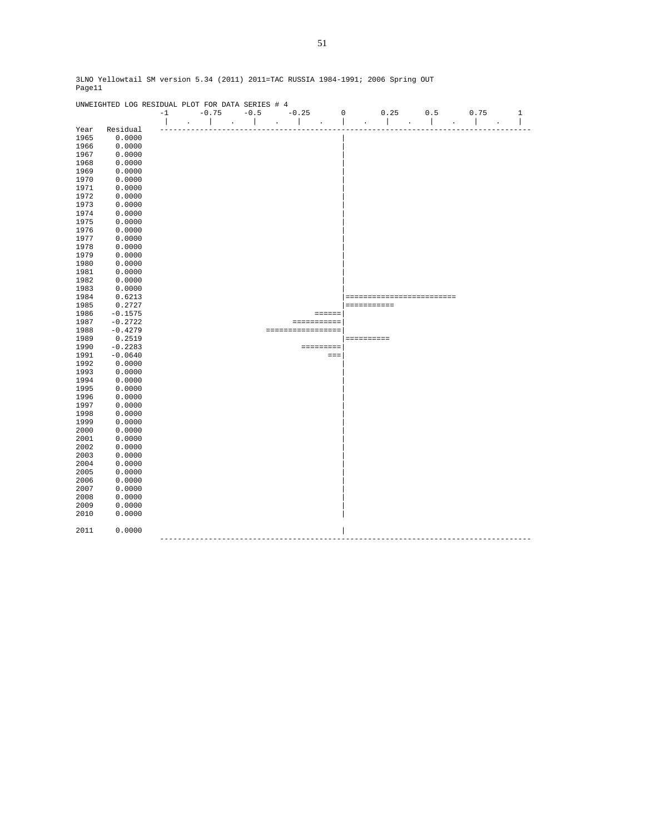|      | UNWEIGHTED LOG RESIDUAL PLOT FOR DATA SERIES # 4 |      |                     |              |         |                   |                 |             |             |                           |     |      |       |
|------|--------------------------------------------------|------|---------------------|--------------|---------|-------------------|-----------------|-------------|-------------|---------------------------|-----|------|-------|
|      |                                                  | $-1$ | $-0.75$             | $-0.5$       | $-0.25$ |                   |                 | $\mathbf 0$ |             | 0.25                      | 0.5 | 0.75 | $1\,$ |
|      |                                                  |      |                     | $\mathbf{I}$ |         |                   |                 |             |             |                           |     |      | I     |
| Year | Residual                                         |      |                     |              |         |                   |                 |             |             |                           |     |      |       |
| 1965 | 0.0000                                           |      |                     |              |         |                   |                 |             |             |                           |     |      |       |
| 1966 | 0.0000                                           |      |                     |              |         |                   |                 |             |             |                           |     |      |       |
| 1967 | 0.0000                                           |      |                     |              |         |                   |                 |             |             |                           |     |      |       |
| 1968 | 0.0000                                           |      |                     |              |         |                   |                 |             |             |                           |     |      |       |
| 1969 | 0.0000                                           |      |                     |              |         |                   |                 |             |             |                           |     |      |       |
| 1970 | 0.0000                                           |      |                     |              |         |                   |                 |             |             |                           |     |      |       |
| 1971 | 0.0000                                           |      |                     |              |         |                   |                 |             |             |                           |     |      |       |
| 1972 | 0.0000                                           |      |                     |              |         |                   |                 |             |             |                           |     |      |       |
| 1973 | 0.0000                                           |      |                     |              |         |                   |                 |             |             |                           |     |      |       |
| 1974 | 0.0000                                           |      |                     |              |         |                   |                 |             |             |                           |     |      |       |
| 1975 | 0.0000                                           |      |                     |              |         |                   |                 |             |             |                           |     |      |       |
|      |                                                  |      |                     |              |         |                   |                 |             |             |                           |     |      |       |
| 1976 | 0.0000                                           |      |                     |              |         |                   |                 |             |             |                           |     |      |       |
| 1977 | 0.0000                                           |      |                     |              |         |                   |                 |             |             |                           |     |      |       |
| 1978 | 0.0000                                           |      |                     |              |         |                   |                 |             |             |                           |     |      |       |
| 1979 | 0.0000                                           |      |                     |              |         |                   |                 |             |             |                           |     |      |       |
| 1980 | 0.0000                                           |      |                     |              |         |                   |                 |             |             |                           |     |      |       |
| 1981 | 0.0000                                           |      |                     |              |         |                   |                 |             |             |                           |     |      |       |
| 1982 | 0.0000                                           |      |                     |              |         |                   |                 |             |             |                           |     |      |       |
| 1983 | 0.0000                                           |      |                     |              |         |                   |                 |             |             |                           |     |      |       |
| 1984 | 0.6213                                           |      |                     |              |         |                   |                 |             |             | ========================= |     |      |       |
| 1985 | 0.2727                                           |      |                     |              |         |                   |                 |             | =========== |                           |     |      |       |
| 1986 | $-0.1575$                                        |      |                     |              |         |                   | $= = = = = = =$ |             |             |                           |     |      |       |
| 1987 | $-0.2722$                                        |      |                     |              |         | ===========       |                 |             |             |                           |     |      |       |
| 1988 | $-0.4279$                                        |      |                     |              |         | ================= |                 |             |             |                           |     |      |       |
| 1989 | 0.2519                                           |      |                     |              |         |                   |                 |             | ==========  |                           |     |      |       |
| 1990 | $-0.2283$                                        |      |                     |              |         |                   |                 |             |             |                           |     |      |       |
| 1991 | $-0.0640$                                        |      |                     |              |         | =========         |                 |             |             |                           |     |      |       |
|      |                                                  |      |                     |              |         |                   | $=$             |             |             |                           |     |      |       |
| 1992 | 0.0000                                           |      |                     |              |         |                   |                 |             |             |                           |     |      |       |
| 1993 | 0.0000                                           |      |                     |              |         |                   |                 |             |             |                           |     |      |       |
| 1994 | 0.0000                                           |      |                     |              |         |                   |                 |             |             |                           |     |      |       |
| 1995 | 0.0000                                           |      |                     |              |         |                   |                 |             |             |                           |     |      |       |
| 1996 | 0.0000                                           |      |                     |              |         |                   |                 |             |             |                           |     |      |       |
| 1997 | 0.0000                                           |      |                     |              |         |                   |                 |             |             |                           |     |      |       |
| 1998 | 0.0000                                           |      |                     |              |         |                   |                 |             |             |                           |     |      |       |
| 1999 | 0.0000                                           |      |                     |              |         |                   |                 |             |             |                           |     |      |       |
| 2000 | 0.0000                                           |      |                     |              |         |                   |                 |             |             |                           |     |      |       |
| 2001 | 0.0000                                           |      |                     |              |         |                   |                 |             |             |                           |     |      |       |
| 2002 | 0.0000                                           |      |                     |              |         |                   |                 |             |             |                           |     |      |       |
| 2003 | 0.0000                                           |      |                     |              |         |                   |                 |             |             |                           |     |      |       |
| 2004 | 0.0000                                           |      |                     |              |         |                   |                 |             |             |                           |     |      |       |
| 2005 | 0.0000                                           |      |                     |              |         |                   |                 |             |             |                           |     |      |       |
| 2006 | 0.0000                                           |      |                     |              |         |                   |                 |             |             |                           |     |      |       |
| 2007 | 0.0000                                           |      |                     |              |         |                   |                 |             |             |                           |     |      |       |
| 2008 | 0.0000                                           |      |                     |              |         |                   |                 |             |             |                           |     |      |       |
| 2009 | 0.0000                                           |      |                     |              |         |                   |                 |             |             |                           |     |      |       |
|      |                                                  |      |                     |              |         |                   |                 |             |             |                           |     |      |       |
| 2010 | 0.0000                                           |      |                     |              |         |                   |                 |             |             |                           |     |      |       |
|      |                                                  |      |                     |              |         |                   |                 |             |             |                           |     |      |       |
| 2011 | 0.0000                                           |      |                     |              |         |                   |                 |             |             |                           |     |      |       |
|      |                                                  |      | ------------------- |              |         |                   |                 |             |             |                           |     |      |       |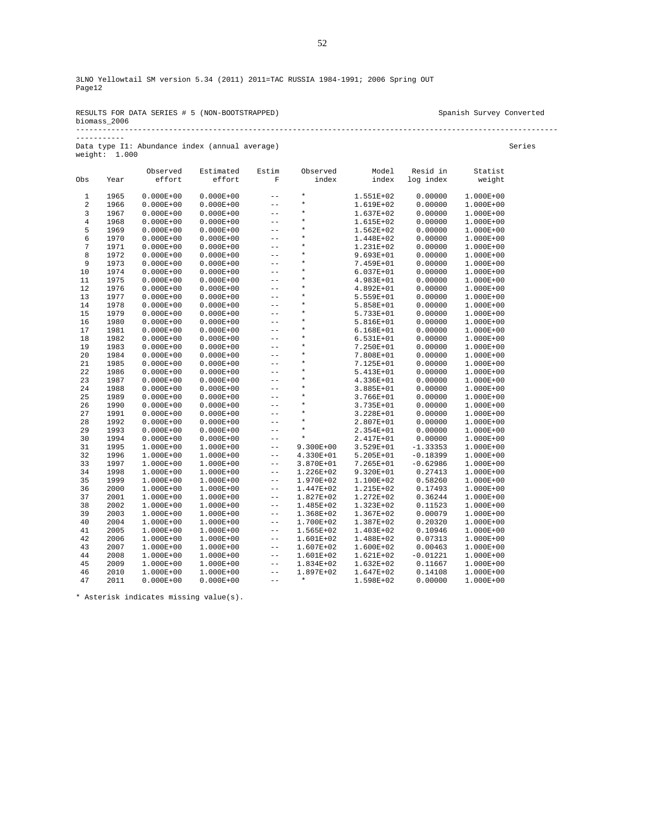| RESULTS FOR DATA SERIES # 5 (NON-BOOTSTRAPPED) | Spanish Survey Converted |
|------------------------------------------------|--------------------------|
| biomass 2006                                   |                          |
|                                                |                          |

-----------

Data type I1: Abundance index (annual average) Series Series Series Series Series Series Series Series Series Series Series Series Series Series Series Series Series Series Series Series Series Series Series Series Series weight: 1.000 Observed Estimated Estim Observed Model Resid in Statist Obs Year effort effort F index index log index weight  $\begin{array}{cccccccc} 1 & 1965 & 0.000E+00 & 0.000E+00 & -- & * & 1.551E+02 & 0.00000 & 1.000E+00 \\ 2 & 1966 & 0.000E+00 & 0.000E+00 & -- & * & 1.619E+02 & 0.00000 & 1.000E+00 \\ 3 & 1967 & 0.000E+00 & 0.000E+00 & -- & * & 1.637E+02 & 0.00000 & 1.000E+00 \\ 4 & 1968 & 0.00$ 

| 6  | 1970 | $0.000E + 00$ | $0.000E + 00$ |       | $\star$       | 1.448E+02     | 0.00000    | $1.000E + 00$ |
|----|------|---------------|---------------|-------|---------------|---------------|------------|---------------|
| 7  | 1971 | $0.000E + 00$ | $0.000E + 00$ | $-$   | $\star$       | 1.231E+02     | 0.00000    | $1.000E+00$   |
| 8  | 1972 | $0.000E + 00$ | $0.000E + 00$ | $-$   | $\star$       | 9.693E+01     | 0.00000    | 1.000E+00     |
| 9  | 1973 | $0.000E + 00$ | $0.000E + 00$ | $-$   | $^\star$      | 7.459E+01     | 0.00000    | 1.000E+00     |
| 10 | 1974 | $0.000E + 00$ | $0.000E + 00$ | $-$   | $\star$       | 6.037E+01     | 0.00000    | 1.000E+00     |
| 11 | 1975 | $0.000E + 00$ | $0.000E + 00$ | $-$   | $\star$       | 4.983E+01     | 0.00000    | 1.000E+00     |
| 12 | 1976 | $0.000E + 00$ | $0.000E + 00$ | $-$   | $\star$       | 4.892E+01     | 0.00000    | 1.000E+00     |
| 13 | 1977 | $0.000E + 00$ | $0.000E + 00$ | $-$   | $\star$       | 5.559E+01     | 0.00000    | 1.000E+00     |
| 14 | 1978 | $0.000E + 00$ | $0.000E + 00$ | $-$   | $^\star$      | 5.858E+01     | 0.00000    | 1.000E+00     |
| 15 | 1979 | $0.000E + 00$ | $0.000E + 00$ | $-$   | $\star$       | 5.733E+01     | 0.00000    | 1.000E+00     |
| 16 | 1980 | $0.000E + 00$ | $0.000E + 00$ | $-$   | $\star$       | 5.816E+01     | 0.00000    | $1.000E + 00$ |
| 17 | 1981 | $0.000E + 00$ | $0.000E + 00$ | $-$   | $\star$       | $6.168E + 01$ | 0.00000    | 1.000E+00     |
| 18 | 1982 | $0.000E + 00$ | $0.000E + 00$ | $-$   | $^\star$      | 6.531E+01     | 0.00000    | 1.000E+00     |
| 19 | 1983 | $0.000E + 00$ | $0.000E + 00$ | $-$   | $\star$       | 7.250E+01     | 0.00000    | 1.000E+00     |
| 20 | 1984 | $0.000E + 00$ | $0.000E + 00$ | $-$   | $\star$       | 7.808E+01     | 0.00000    | 1.000E+00     |
| 21 | 1985 | $0.000E + 00$ | $0.000E + 00$ | $-$   | $\star$       | 7.125E+01     | 0.00000    | 1.000E+00     |
| 22 | 1986 | $0.000E + 00$ | $0.000E + 00$ | $-$   | $\star$       | 5.413E+01     | 0.00000    | 1.000E+00     |
| 23 | 1987 | $0.000E + 00$ | $0.000E + 00$ | $-$   | $\star$       | 4.336E+01     | 0.00000    | 1.000E+00     |
| 24 | 1988 | $0.000E + 00$ | $0.000E + 00$ | $-$   | $\star$       | 3.885E+01     | 0.00000    | 1.000E+00     |
| 25 | 1989 | $0.000E + 00$ | $0.000E + 00$ | $-$   | $\star$       | 3.766E+01     | 0.00000    | $1.000E + 00$ |
| 26 | 1990 | $0.000E + 00$ | $0.000E + 00$ | $-$   | $\star$       | 3.735E+01     | 0.00000    | $1.000E + 00$ |
| 27 | 1991 | $0.000E + 00$ | $0.000E + 00$ | $-$   | $\star$       | 3.228E+01     | 0.00000    | 1.000E+00     |
| 28 | 1992 | $0.000E + 00$ | $0.000E + 00$ | $-$   | $\star$       | 2.807E+01     | 0.00000    | 1.000E+00     |
| 29 | 1993 | $0.000E + 00$ | $0.000E + 00$ | $-$   | $\star$       | 2.354E+01     | 0.00000    | 1.000E+00     |
| 30 | 1994 | $0.000E + 00$ | $0.000E + 00$ | $-$   | $\star$       | 2.417E+01     | 0.00000    | 1.000E+00     |
| 31 | 1995 | $1.000E + 00$ | 1.000E+00     | $-$   | $9.300E + 00$ | 3.529E+01     | $-1.33353$ | 1.000E+00     |
| 32 | 1996 | $1.000E + 00$ | 1.000E+00     | $-$   | 4.330E+01     | 5.205E+01     | $-0.18399$ | $1.000E + 00$ |
| 33 | 1997 | $1.000E + 00$ | 1.000E+00     | $-$   | 3.870E+01     | 7.265E+01     | $-0.62986$ | 1.000E+00     |
| 34 | 1998 | $1.000E + 00$ | 1.000E+00     | $-$   | 1.226E+02     | 9.320E+01     | 0.27413    | 1.000E+00     |
| 35 | 1999 | $1.000E + 00$ | 1.000E+00     | $-$   | 1.970E+02     | 1.100E+02     | 0.58260    | $1.000E + 00$ |
| 36 | 2000 | $1.000E + 00$ | 1.000E+00     | $- -$ | 1.447E+02     | 1.215E+02     | 0.17493    | 1.000E+00     |
| 37 | 2001 | $1.000E + 00$ | 1.000E+00     | $- -$ | 1.827E+02     | 1.272E+02     | 0.36244    | 1.000E+00     |
| 38 | 2002 | $1.000E + 00$ | 1.000E+00     | $- -$ | 1.485E+02     | 1.323E+02     | 0.11523    | 1.000E+00     |
| 39 | 2003 | $1.000E + 00$ | 1.000E+00     | $- -$ | 1.368E+02     | 1.367E+02     | 0.00079    | 1.000E+00     |
| 40 | 2004 | $1.000E + 00$ | 1.000E+00     | $- -$ | 1.700E+02     | 1.387E+02     | 0.20320    | 1.000E+00     |
| 41 | 2005 | $1.000E + 00$ | 1.000E+00     | $- -$ | 1.565E+02     | 1.403E+02     | 0.10946    | $1.000E + 00$ |
| 42 | 2006 | $1.000E + 00$ | 1.000E+00     | $- -$ | 1.601E+02     | 1.488E+02     | 0.07313    | 1.000E+00     |
| 43 | 2007 | $1.000E + 00$ | 1.000E+00     | $- -$ | 1.607E+02     | 1.600E+02     | 0.00463    | 1.000E+00     |
| 44 | 2008 | $1.000E + 00$ | 1.000E+00     | $- -$ | 1.601E+02     | 1.621E+02     | $-0.01221$ | 1.000E+00     |
| 45 | 2009 | $1.000E + 00$ | 1.000E+00     | $- -$ | 1.834E+02     | $1.632E + 02$ | 0.11667    | 1.000E+00     |
| 46 | 2010 | $1.000E + 00$ | 1.000E+00     | $- -$ | 1.897E+02     | 1.647E+02     | 0.14108    | 1.000E+00     |
| 47 | 2011 | $0.000E + 00$ | $0.000E + 00$ | $- -$ | $\star$       | 1.598E+02     | 0.00000    | 1.000E+00     |

\* Asterisk indicates missing value(s).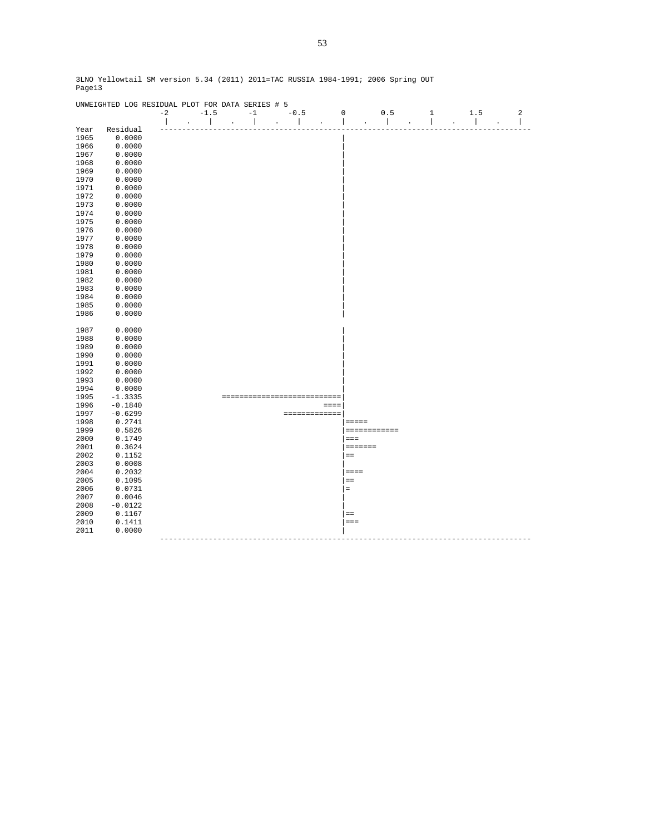|      | UNWEIGHTED LOG RESIDUAL PLOT FOR DATA SERIES # 5 |              |        |                      |                          |                      |        |                      |                          |                                                  |                          |                |              |                |  |
|------|--------------------------------------------------|--------------|--------|----------------------|--------------------------|----------------------|--------|----------------------|--------------------------|--------------------------------------------------|--------------------------|----------------|--------------|----------------|--|
|      |                                                  | $-2$         | $-1.5$ |                      | $-1$                     |                      | $-0.5$ |                      | $\mathbf 0$              | 0.5                                              | 1                        |                | 1.5          | $\overline{a}$ |  |
|      |                                                  | $\mathbf{I}$ |        | $\ddot{\phantom{a}}$ | $\overline{\phantom{a}}$ | $\ddot{\phantom{a}}$ |        | $\ddot{\phantom{a}}$ | $\overline{\phantom{a}}$ | $\overline{\phantom{a}}$<br>$\ddot{\phantom{a}}$ | $\overline{\phantom{a}}$ | $\overline{a}$ | $\mathbf{I}$ | ı<br>÷.        |  |
| Year | Residual                                         |              |        |                      |                          |                      |        |                      |                          |                                                  |                          |                |              |                |  |
| 1965 | 0.0000                                           |              |        |                      |                          |                      |        |                      |                          |                                                  |                          |                |              |                |  |
| 1966 | 0.0000                                           |              |        |                      |                          |                      |        |                      |                          |                                                  |                          |                |              |                |  |
| 1967 | 0.0000                                           |              |        |                      |                          |                      |        |                      |                          |                                                  |                          |                |              |                |  |
| 1968 | 0.0000                                           |              |        |                      |                          |                      |        |                      |                          |                                                  |                          |                |              |                |  |
| 1969 | 0.0000                                           |              |        |                      |                          |                      |        |                      |                          |                                                  |                          |                |              |                |  |
| 1970 | 0.0000                                           |              |        |                      |                          |                      |        |                      |                          |                                                  |                          |                |              |                |  |
| 1971 | 0.0000                                           |              |        |                      |                          |                      |        |                      |                          |                                                  |                          |                |              |                |  |
| 1972 | 0.0000                                           |              |        |                      |                          |                      |        |                      |                          |                                                  |                          |                |              |                |  |
| 1973 | 0.0000                                           |              |        |                      |                          |                      |        |                      |                          |                                                  |                          |                |              |                |  |
| 1974 | 0.0000                                           |              |        |                      |                          |                      |        |                      |                          |                                                  |                          |                |              |                |  |
| 1975 | 0.0000                                           |              |        |                      |                          |                      |        |                      |                          |                                                  |                          |                |              |                |  |
|      |                                                  |              |        |                      |                          |                      |        |                      |                          |                                                  |                          |                |              |                |  |
| 1976 | 0.0000                                           |              |        |                      |                          |                      |        |                      |                          |                                                  |                          |                |              |                |  |
| 1977 | 0.0000                                           |              |        |                      |                          |                      |        |                      |                          |                                                  |                          |                |              |                |  |
| 1978 | 0.0000                                           |              |        |                      |                          |                      |        |                      |                          |                                                  |                          |                |              |                |  |
| 1979 | 0.0000                                           |              |        |                      |                          |                      |        |                      |                          |                                                  |                          |                |              |                |  |
| 1980 | 0.0000                                           |              |        |                      |                          |                      |        |                      |                          |                                                  |                          |                |              |                |  |
| 1981 | 0.0000                                           |              |        |                      |                          |                      |        |                      |                          |                                                  |                          |                |              |                |  |
| 1982 | 0.0000                                           |              |        |                      |                          |                      |        |                      |                          |                                                  |                          |                |              |                |  |
| 1983 | 0.0000                                           |              |        |                      |                          |                      |        |                      |                          |                                                  |                          |                |              |                |  |
| 1984 | 0.0000                                           |              |        |                      |                          |                      |        |                      |                          |                                                  |                          |                |              |                |  |
| 1985 | 0.0000                                           |              |        |                      |                          |                      |        |                      |                          |                                                  |                          |                |              |                |  |
| 1986 | 0.0000                                           |              |        |                      |                          |                      |        |                      |                          |                                                  |                          |                |              |                |  |
|      |                                                  |              |        |                      |                          |                      |        |                      |                          |                                                  |                          |                |              |                |  |
| 1987 | 0.0000                                           |              |        |                      |                          |                      |        |                      |                          |                                                  |                          |                |              |                |  |
| 1988 | 0.0000                                           |              |        |                      |                          |                      |        |                      |                          |                                                  |                          |                |              |                |  |
| 1989 | 0.0000                                           |              |        |                      |                          |                      |        |                      |                          |                                                  |                          |                |              |                |  |
| 1990 | 0.0000                                           |              |        |                      |                          |                      |        |                      |                          |                                                  |                          |                |              |                |  |
| 1991 | 0.0000                                           |              |        |                      |                          |                      |        |                      |                          |                                                  |                          |                |              |                |  |
| 1992 | 0.0000                                           |              |        |                      |                          |                      |        |                      |                          |                                                  |                          |                |              |                |  |
| 1993 | 0.0000                                           |              |        |                      |                          |                      |        |                      |                          |                                                  |                          |                |              |                |  |
| 1994 | 0.0000                                           |              |        |                      |                          |                      |        |                      |                          |                                                  |                          |                |              |                |  |
| 1995 | $-1.3335$                                        |              |        |                      | ==============           |                      |        | =======              |                          |                                                  |                          |                |              |                |  |
| 1996 | $-0.1840$                                        |              |        |                      |                          |                      |        | $= = = =$            |                          |                                                  |                          |                |              |                |  |
| 1997 | $-0.6299$                                        |              |        |                      |                          |                      |        | =============        |                          |                                                  |                          |                |              |                |  |
| 1998 | 0.2741                                           |              |        |                      |                          |                      |        |                      |                          |                                                  |                          |                |              |                |  |
|      |                                                  |              |        |                      |                          |                      |        |                      |                          | =====                                            |                          |                |              |                |  |
| 1999 | 0.5826                                           |              |        |                      |                          |                      |        |                      |                          | ============                                     |                          |                |              |                |  |
| 2000 | 0.1749                                           |              |        |                      |                          |                      |        |                      |                          | $=$                                              |                          |                |              |                |  |
| 2001 | 0.3624                                           |              |        |                      |                          |                      |        |                      |                          | =======                                          |                          |                |              |                |  |
| 2002 | 0.1152                                           |              |        |                      |                          |                      |        |                      |                          | $=$                                              |                          |                |              |                |  |
| 2003 | 0.0008                                           |              |        |                      |                          |                      |        |                      |                          |                                                  |                          |                |              |                |  |
| 2004 | 0.2032                                           |              |        |                      |                          |                      |        |                      |                          | $=$ $=$ $=$                                      |                          |                |              |                |  |
| 2005 | 0.1095                                           |              |        |                      |                          |                      |        |                      |                          | $=$                                              |                          |                |              |                |  |
| 2006 | 0.0731                                           |              |        |                      |                          |                      |        |                      |                          | $\equiv$                                         |                          |                |              |                |  |
| 2007 | 0.0046                                           |              |        |                      |                          |                      |        |                      |                          |                                                  |                          |                |              |                |  |
| 2008 | $-0.0122$                                        |              |        |                      |                          |                      |        |                      |                          |                                                  |                          |                |              |                |  |
| 2009 | 0.1167                                           |              |        |                      |                          |                      |        |                      |                          | $=$                                              |                          |                |              |                |  |
| 2010 | 0.1411                                           |              |        |                      |                          |                      |        |                      |                          | $=$ $=$ $=$                                      |                          |                |              |                |  |
| 2011 | 0.0000                                           |              |        |                      |                          |                      |        |                      |                          |                                                  |                          |                |              |                |  |
|      |                                                  |              |        |                      |                          |                      |        |                      |                          |                                                  |                          |                |              |                |  |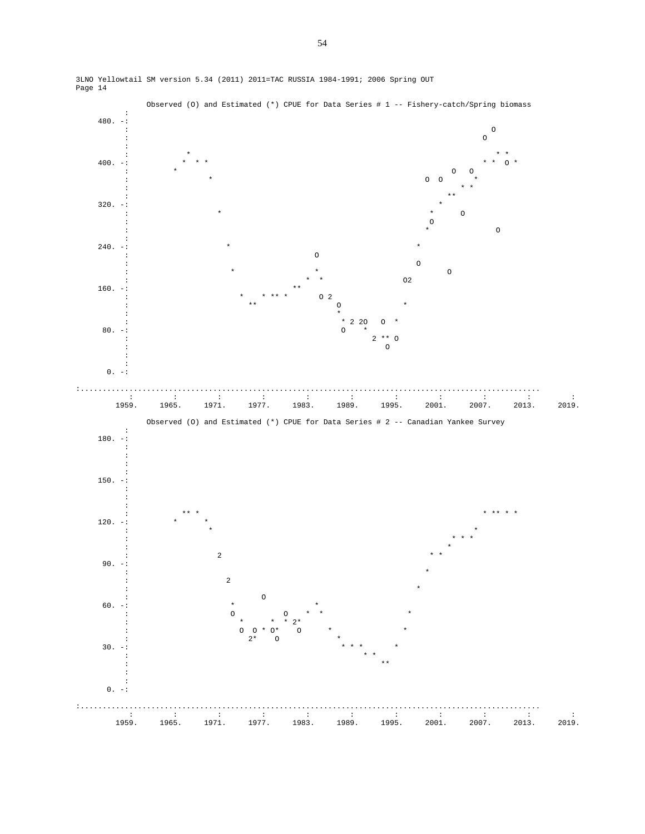

3LNO Yellowtail SM version 5.34 (2011) 2011=TAC RUSSIA 1984-1991; 2006 Spring OUT Page 14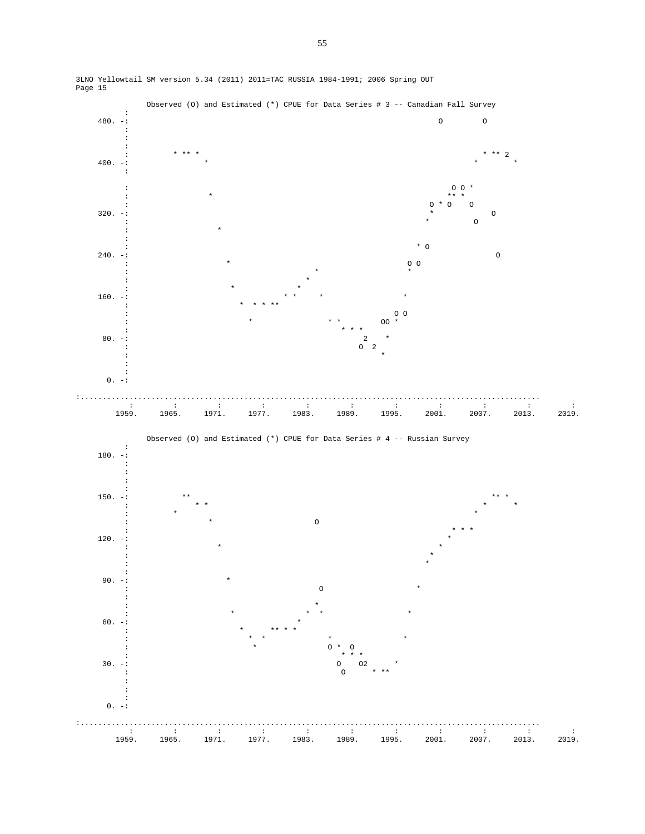